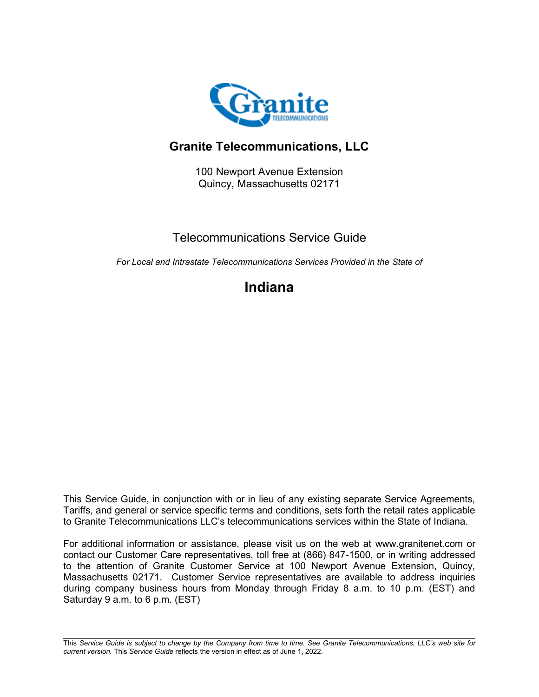

# **Granite Telecommunications, LLC**

100 Newport Avenue Extension Quincy, Massachusetts 02171

## Telecommunications Service Guide

*For Local and Intrastate Telecommunications Services Provided in the State of*

# **Indiana**

This Service Guide, in conjunction with or in lieu of any existing separate Service Agreements, Tariffs, and general or service specific terms and conditions, sets forth the retail rates applicable to Granite Telecommunications LLC's telecommunications services within the State of Indiana.

For additional information or assistance, please visit us on the web at www.granitenet.com or contact our Customer Care representatives, toll free at (866) 847-1500, or in writing addressed to the attention of Granite Customer Service at 100 Newport Avenue Extension, Quincy, Massachusetts 02171. Customer Service representatives are available to address inquiries during company business hours from Monday through Friday 8 a.m. to 10 p.m. (EST) and Saturday 9 a.m. to 6 p.m. (EST)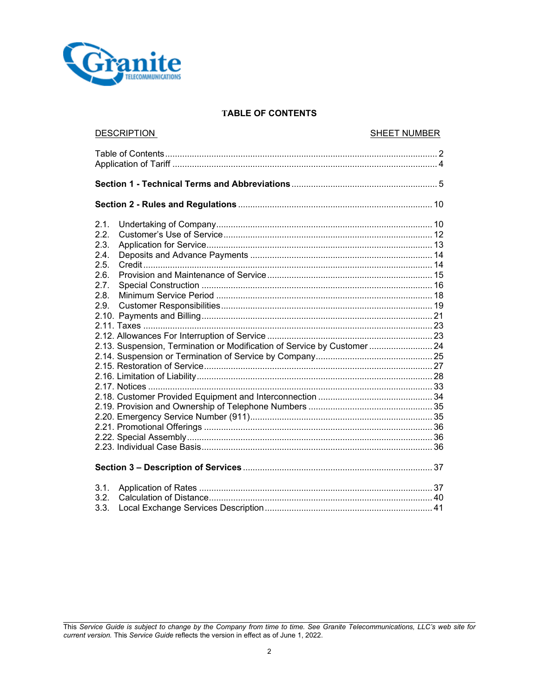

## **TABLE OF CONTENTS**

| <b>DESCRIPTION</b>                                                                                                                             | <b>SHEET NUMBER</b> |  |  |
|------------------------------------------------------------------------------------------------------------------------------------------------|---------------------|--|--|
|                                                                                                                                                |                     |  |  |
|                                                                                                                                                |                     |  |  |
|                                                                                                                                                |                     |  |  |
| 2.1.<br>2.2.<br>2.3.<br>2.4<br>2.5.<br>2.6.<br>2.7.<br>2.8.<br>2.9.<br>2.13. Suspension, Termination or Modification of Service by Customer 24 |                     |  |  |
|                                                                                                                                                |                     |  |  |
| 3.1.<br>3.2.<br>3.3.                                                                                                                           |                     |  |  |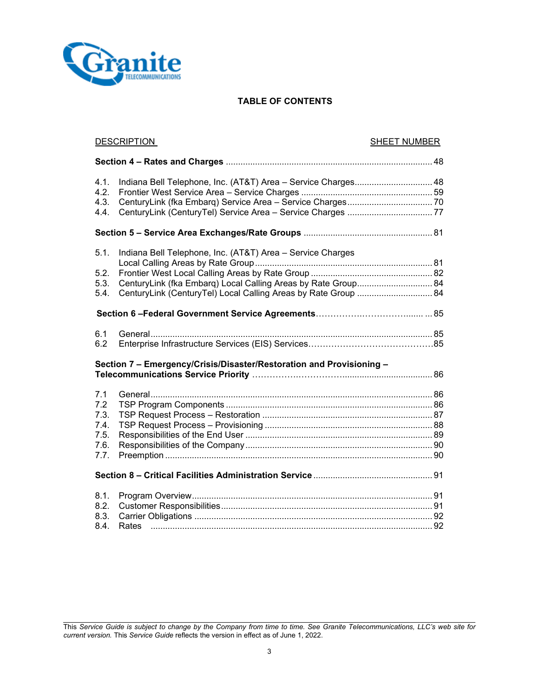

## **TABLE OF CONTENTS**

| <b>DESCRIPTION</b>                                                   |                                                                                                                                                                                               | <b>SHEET NUMBER</b> |  |
|----------------------------------------------------------------------|-----------------------------------------------------------------------------------------------------------------------------------------------------------------------------------------------|---------------------|--|
|                                                                      |                                                                                                                                                                                               |                     |  |
| 4.1.<br>4.2.<br>4.3.<br>4.4.                                         | Indiana Bell Telephone, Inc. (AT&T) Area - Service Charges 48                                                                                                                                 |                     |  |
|                                                                      |                                                                                                                                                                                               |                     |  |
| 5.1.<br>5.2.<br>5.3.<br>5.4.                                         | Indiana Bell Telephone, Inc. (AT&T) Area - Service Charges<br>CenturyLink (fka Embarq) Local Calling Areas by Rate Group 84<br>CenturyLink (CenturyTel) Local Calling Areas by Rate Group  84 |                     |  |
|                                                                      |                                                                                                                                                                                               |                     |  |
| 6.1<br>6.2                                                           |                                                                                                                                                                                               |                     |  |
| Section 7 - Emergency/Crisis/Disaster/Restoration and Provisioning - |                                                                                                                                                                                               |                     |  |
| 7.1<br>7.2<br>7.3.<br>7.4.<br>7.5.<br>7.6.<br>7.7.                   |                                                                                                                                                                                               |                     |  |
|                                                                      |                                                                                                                                                                                               |                     |  |
| 8.1.<br>8.2.<br>8.3.<br>8.4.                                         |                                                                                                                                                                                               |                     |  |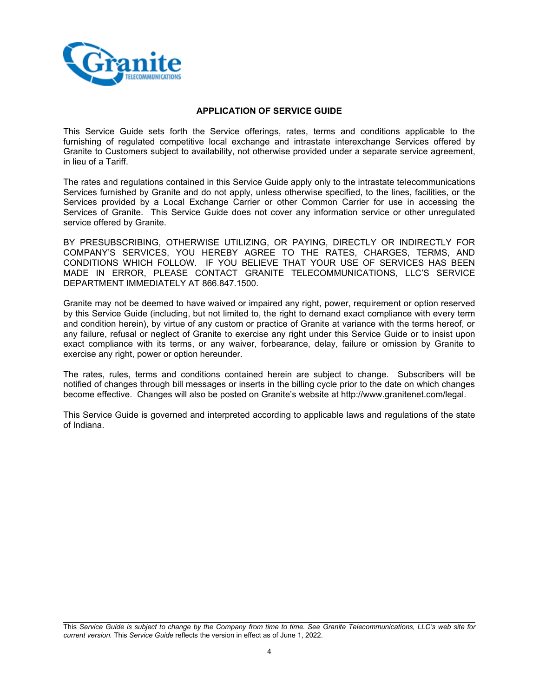

## **APPLICATION OF SERVICE GUIDE**

This Service Guide sets forth the Service offerings, rates, terms and conditions applicable to the furnishing of regulated competitive local exchange and intrastate interexchange Services offered by Granite to Customers subject to availability, not otherwise provided under a separate service agreement, in lieu of a Tariff.

The rates and regulations contained in this Service Guide apply only to the intrastate telecommunications Services furnished by Granite and do not apply, unless otherwise specified, to the lines, facilities, or the Services provided by a Local Exchange Carrier or other Common Carrier for use in accessing the Services of Granite. This Service Guide does not cover any information service or other unregulated service offered by Granite.

BY PRESUBSCRIBING, OTHERWISE UTILIZING, OR PAYING, DIRECTLY OR INDIRECTLY FOR COMPANY'S SERVICES, YOU HEREBY AGREE TO THE RATES, CHARGES, TERMS, AND CONDITIONS WHICH FOLLOW. IF YOU BELIEVE THAT YOUR USE OF SERVICES HAS BEEN MADE IN ERROR, PLEASE CONTACT GRANITE TELECOMMUNICATIONS, LLC'S SERVICE DEPARTMENT IMMEDIATELY AT 866.847.1500.

Granite may not be deemed to have waived or impaired any right, power, requirement or option reserved by this Service Guide (including, but not limited to, the right to demand exact compliance with every term and condition herein), by virtue of any custom or practice of Granite at variance with the terms hereof, or any failure, refusal or neglect of Granite to exercise any right under this Service Guide or to insist upon exact compliance with its terms, or any waiver, forbearance, delay, failure or omission by Granite to exercise any right, power or option hereunder.

The rates, rules, terms and conditions contained herein are subject to change. Subscribers will be notified of changes through bill messages or inserts in the billing cycle prior to the date on which changes become effective. Changes will also be posted on Granite's website at http://www.granitenet.com/legal.

This Service Guide is governed and interpreted according to applicable laws and regulations of the state of Indiana.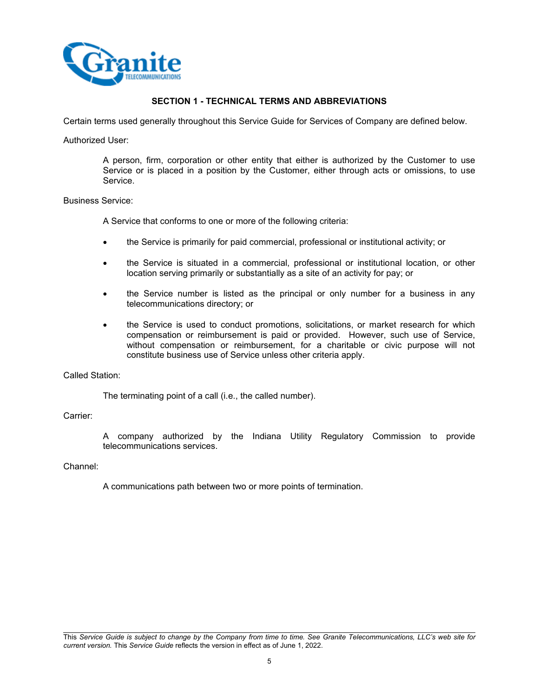

## **SECTION 1 - TECHNICAL TERMS AND ABBREVIATIONS**

Certain terms used generally throughout this Service Guide for Services of Company are defined below.

#### Authorized User:

A person, firm, corporation or other entity that either is authorized by the Customer to use Service or is placed in a position by the Customer, either through acts or omissions, to use Service.

## Business Service:

A Service that conforms to one or more of the following criteria:

- the Service is primarily for paid commercial, professional or institutional activity; or
- the Service is situated in a commercial, professional or institutional location, or other location serving primarily or substantially as a site of an activity for pay; or
- the Service number is listed as the principal or only number for a business in any telecommunications directory; or
- the Service is used to conduct promotions, solicitations, or market research for which compensation or reimbursement is paid or provided. However, such use of Service, without compensation or reimbursement, for a charitable or civic purpose will not constitute business use of Service unless other criteria apply.

## Called Station:

The terminating point of a call (i.e., the called number).

## Carrier:

A company authorized by the Indiana Utility Regulatory Commission to provide telecommunications services.

#### Channel:

A communications path between two or more points of termination.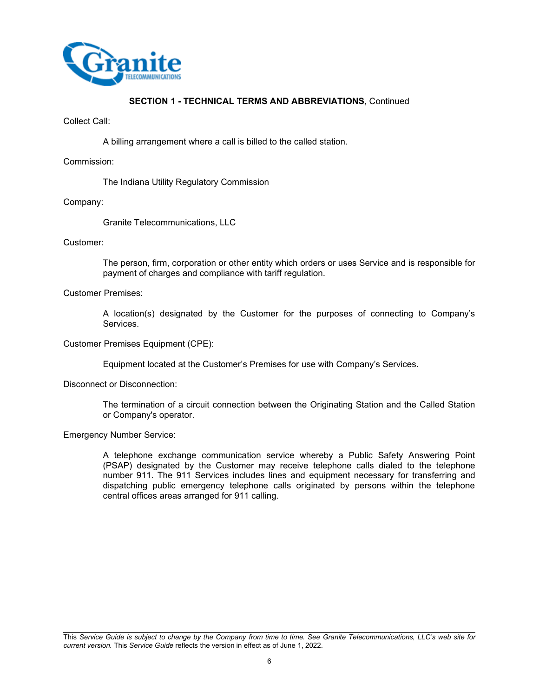

#### Collect Call:

A billing arrangement where a call is billed to the called station.

#### Commission:

The Indiana Utility Regulatory Commission

#### Company:

Granite Telecommunications, LLC

## Customer:

The person, firm, corporation or other entity which orders or uses Service and is responsible for payment of charges and compliance with tariff regulation.

#### Customer Premises:

A location(s) designated by the Customer for the purposes of connecting to Company's Services.

#### Customer Premises Equipment (CPE):

Equipment located at the Customer's Premises for use with Company's Services.

#### Disconnect or Disconnection:

The termination of a circuit connection between the Originating Station and the Called Station or Company's operator.

## Emergency Number Service:

A telephone exchange communication service whereby a Public Safety Answering Point (PSAP) designated by the Customer may receive telephone calls dialed to the telephone number 911. The 911 Services includes lines and equipment necessary for transferring and dispatching public emergency telephone calls originated by persons within the telephone central offices areas arranged for 911 calling.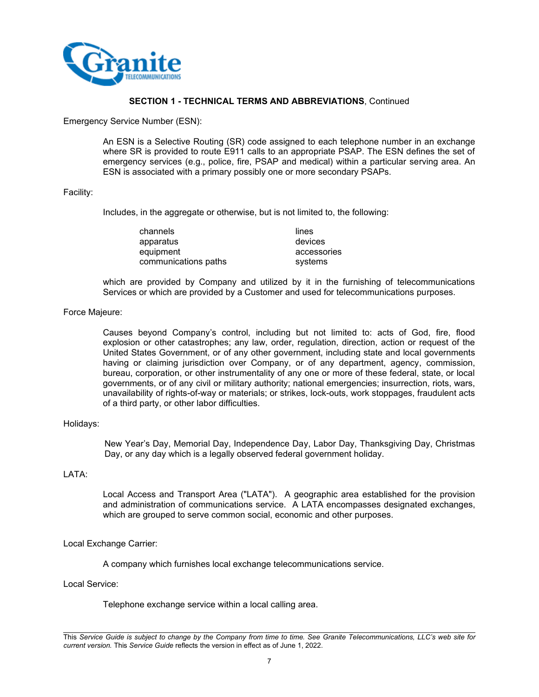

Emergency Service Number (ESN):

An ESN is a Selective Routing (SR) code assigned to each telephone number in an exchange where SR is provided to route E911 calls to an appropriate PSAP. The ESN defines the set of emergency services (e.g., police, fire, PSAP and medical) within a particular serving area. An ESN is associated with a primary possibly one or more secondary PSAPs.

#### Facility:

Includes, in the aggregate or otherwise, but is not limited to, the following:

| channels             | lines       |
|----------------------|-------------|
| apparatus            | devices     |
| equipment            | accessories |
| communications paths | systems     |

which are provided by Company and utilized by it in the furnishing of telecommunications Services or which are provided by a Customer and used for telecommunications purposes.

#### Force Majeure:

Causes beyond Company's control, including but not limited to: acts of God, fire, flood explosion or other catastrophes; any law, order, regulation, direction, action or request of the United States Government, or of any other government, including state and local governments having or claiming jurisdiction over Company, or of any department, agency, commission, bureau, corporation, or other instrumentality of any one or more of these federal, state, or local governments, or of any civil or military authority; national emergencies; insurrection, riots, wars, unavailability of rights-of-way or materials; or strikes, lock-outs, work stoppages, fraudulent acts of a third party, or other labor difficulties.

## Holidays:

New Year's Day, Memorial Day, Independence Day, Labor Day, Thanksgiving Day, Christmas Day, or any day which is a legally observed federal government holiday.

## LATA:

Local Access and Transport Area ("LATA"). A geographic area established for the provision and administration of communications service. A LATA encompasses designated exchanges, which are grouped to serve common social, economic and other purposes.

#### Local Exchange Carrier:

A company which furnishes local exchange telecommunications service.

Local Service:

Telephone exchange service within a local calling area.

This *Service Guide is subject to change by the Company from time to time. See Granite Telecommunications, LLC's web site for current version.* This *Service Guide* reflects the version in effect as of June 1, 2022.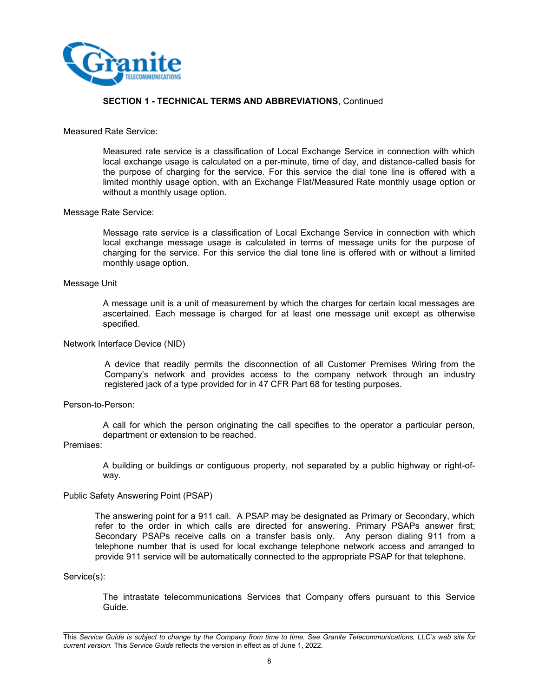

#### Measured Rate Service:

Measured rate service is a classification of Local Exchange Service in connection with which local exchange usage is calculated on a per-minute, time of day, and distance-called basis for the purpose of charging for the service. For this service the dial tone line is offered with a limited monthly usage option, with an Exchange Flat/Measured Rate monthly usage option or without a monthly usage option.

#### Message Rate Service:

Message rate service is a classification of Local Exchange Service in connection with which local exchange message usage is calculated in terms of message units for the purpose of charging for the service. For this service the dial tone line is offered with or without a limited monthly usage option.

#### Message Unit

A message unit is a unit of measurement by which the charges for certain local messages are ascertained. Each message is charged for at least one message unit except as otherwise specified.

#### Network Interface Device (NID)

A device that readily permits the disconnection of all Customer Premises Wiring from the Company's network and provides access to the company network through an industry registered jack of a type provided for in 47 CFR Part 68 for testing purposes.

#### Person-to-Person:

A call for which the person originating the call specifies to the operator a particular person, department or extension to be reached.

## Premises:

A building or buildings or contiguous property, not separated by a public highway or right-ofway.

#### Public Safety Answering Point (PSAP)

The answering point for a 911 call. A PSAP may be designated as Primary or Secondary, which refer to the order in which calls are directed for answering. Primary PSAPs answer first; Secondary PSAPs receive calls on a transfer basis only. Any person dialing 911 from a telephone number that is used for local exchange telephone network access and arranged to provide 911 service will be automatically connected to the appropriate PSAP for that telephone.

#### Service(s):

The intrastate telecommunications Services that Company offers pursuant to this Service Guide.

This *Service Guide is subject to change by the Company from time to time. See Granite Telecommunications, LLC's web site for current version.* This *Service Guide* reflects the version in effect as of June 1, 2022.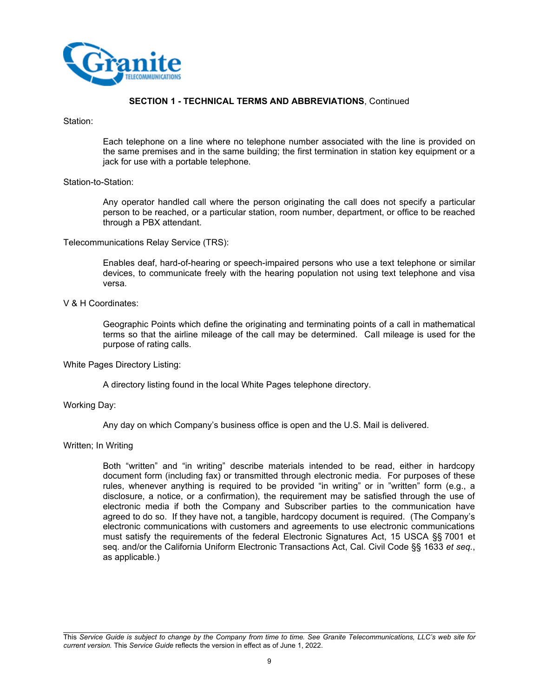

Station:

Each telephone on a line where no telephone number associated with the line is provided on the same premises and in the same building; the first termination in station key equipment or a jack for use with a portable telephone.

#### Station-to-Station:

Any operator handled call where the person originating the call does not specify a particular person to be reached, or a particular station, room number, department, or office to be reached through a PBX attendant.

Telecommunications Relay Service (TRS):

Enables deaf, hard-of-hearing or speech-impaired persons who use a text telephone or similar devices, to communicate freely with the hearing population not using text telephone and visa versa.

#### V & H Coordinates:

Geographic Points which define the originating and terminating points of a call in mathematical terms so that the airline mileage of the call may be determined. Call mileage is used for the purpose of rating calls.

White Pages Directory Listing:

A directory listing found in the local White Pages telephone directory.

Working Day:

Any day on which Company's business office is open and the U.S. Mail is delivered.

## Written; In Writing

Both "written" and "in writing" describe materials intended to be read, either in hardcopy document form (including fax) or transmitted through electronic media. For purposes of these rules, whenever anything is required to be provided "in writing" or in "written" form (e.g., a disclosure, a notice, or a confirmation), the requirement may be satisfied through the use of electronic media if both the Company and Subscriber parties to the communication have agreed to do so. If they have not, a tangible, hardcopy document is required. (The Company's electronic communications with customers and agreements to use electronic communications must satisfy the requirements of the federal Electronic Signatures Act, 15 USCA §§ 7001 et seq. and/or the California Uniform Electronic Transactions Act, Cal. Civil Code §§ 1633 *et seq.*, as applicable.)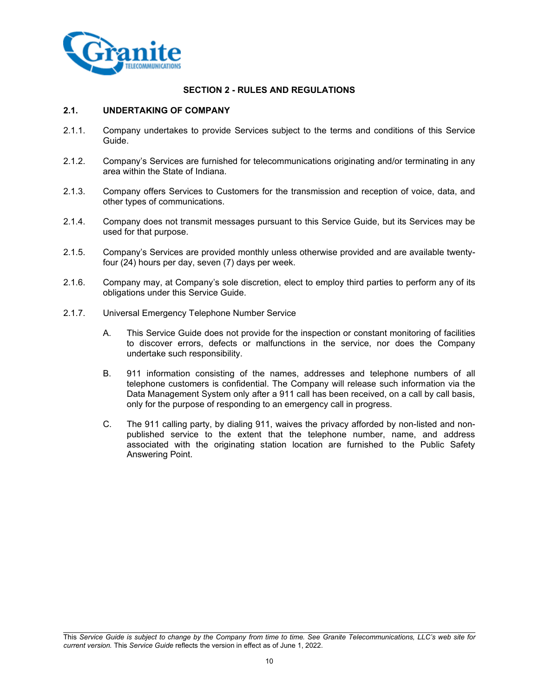

## **SECTION 2 - RULES AND REGULATIONS**

## **2.1. UNDERTAKING OF COMPANY**

- 2.1.1. Company undertakes to provide Services subject to the terms and conditions of this Service Guide.
- 2.1.2. Company's Services are furnished for telecommunications originating and/or terminating in any area within the State of Indiana.
- 2.1.3. Company offers Services to Customers for the transmission and reception of voice, data, and other types of communications.
- 2.1.4. Company does not transmit messages pursuant to this Service Guide, but its Services may be used for that purpose.
- 2.1.5. Company's Services are provided monthly unless otherwise provided and are available twentyfour (24) hours per day, seven (7) days per week.
- 2.1.6. Company may, at Company's sole discretion, elect to employ third parties to perform any of its obligations under this Service Guide.
- 2.1.7. Universal Emergency Telephone Number Service
	- A. This Service Guide does not provide for the inspection or constant monitoring of facilities to discover errors, defects or malfunctions in the service, nor does the Company undertake such responsibility.
	- B. 911 information consisting of the names, addresses and telephone numbers of all telephone customers is confidential. The Company will release such information via the Data Management System only after a 911 call has been received, on a call by call basis, only for the purpose of responding to an emergency call in progress.
	- C. The 911 calling party, by dialing 911, waives the privacy afforded by non-listed and nonpublished service to the extent that the telephone number, name, and address associated with the originating station location are furnished to the Public Safety Answering Point.

This *Service Guide is subject to change by the Company from time to time. See Granite Telecommunications, LLC's web site for current version.* This *Service Guide* reflects the version in effect as of June 1, 2022.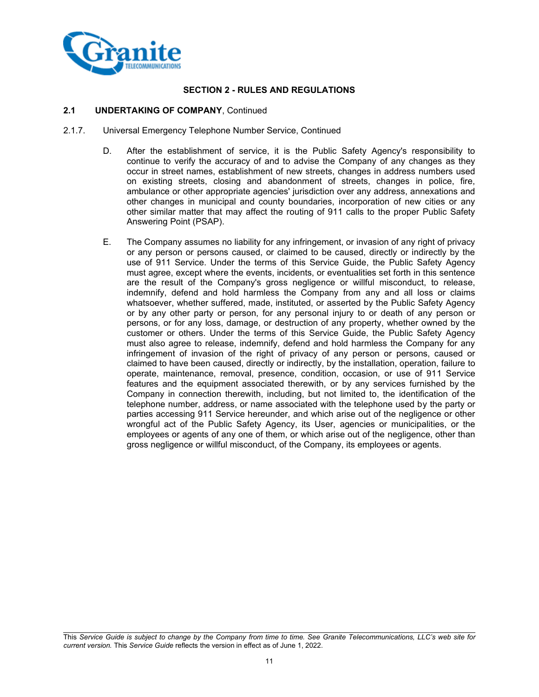

## **SECTION 2 - RULES AND REGULATIONS**

## **2.1 UNDERTAKING OF COMPANY**, Continued

- 2.1.7. Universal Emergency Telephone Number Service, Continued
	- D. After the establishment of service, it is the Public Safety Agency's responsibility to continue to verify the accuracy of and to advise the Company of any changes as they occur in street names, establishment of new streets, changes in address numbers used on existing streets, closing and abandonment of streets, changes in police, fire, ambulance or other appropriate agencies' jurisdiction over any address, annexations and other changes in municipal and county boundaries, incorporation of new cities or any other similar matter that may affect the routing of 911 calls to the proper Public Safety Answering Point (PSAP).
	- E. The Company assumes no liability for any infringement, or invasion of any right of privacy or any person or persons caused, or claimed to be caused, directly or indirectly by the use of 911 Service. Under the terms of this Service Guide, the Public Safety Agency must agree, except where the events, incidents, or eventualities set forth in this sentence are the result of the Company's gross negligence or willful misconduct, to release, indemnify, defend and hold harmless the Company from any and all loss or claims whatsoever, whether suffered, made, instituted, or asserted by the Public Safety Agency or by any other party or person, for any personal injury to or death of any person or persons, or for any loss, damage, or destruction of any property, whether owned by the customer or others. Under the terms of this Service Guide, the Public Safety Agency must also agree to release, indemnify, defend and hold harmless the Company for any infringement of invasion of the right of privacy of any person or persons, caused or claimed to have been caused, directly or indirectly, by the installation, operation, failure to operate, maintenance, removal, presence, condition, occasion, or use of 911 Service features and the equipment associated therewith, or by any services furnished by the Company in connection therewith, including, but not limited to, the identification of the telephone number, address, or name associated with the telephone used by the party or parties accessing 911 Service hereunder, and which arise out of the negligence or other wrongful act of the Public Safety Agency, its User, agencies or municipalities, or the employees or agents of any one of them, or which arise out of the negligence, other than gross negligence or willful misconduct, of the Company, its employees or agents.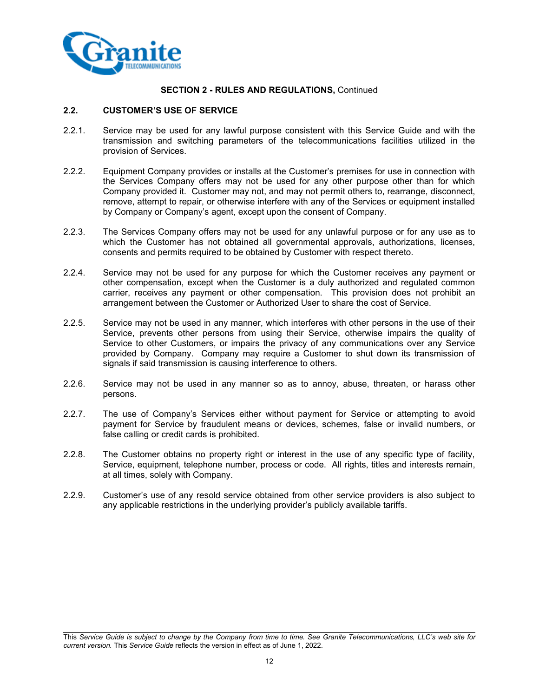

## **2.2. CUSTOMER'S USE OF SERVICE**

- 2.2.1. Service may be used for any lawful purpose consistent with this Service Guide and with the transmission and switching parameters of the telecommunications facilities utilized in the provision of Services.
- 2.2.2. Equipment Company provides or installs at the Customer's premises for use in connection with the Services Company offers may not be used for any other purpose other than for which Company provided it. Customer may not, and may not permit others to, rearrange, disconnect, remove, attempt to repair, or otherwise interfere with any of the Services or equipment installed by Company or Company's agent, except upon the consent of Company.
- 2.2.3. The Services Company offers may not be used for any unlawful purpose or for any use as to which the Customer has not obtained all governmental approvals, authorizations, licenses, consents and permits required to be obtained by Customer with respect thereto.
- 2.2.4. Service may not be used for any purpose for which the Customer receives any payment or other compensation, except when the Customer is a duly authorized and regulated common carrier, receives any payment or other compensation. This provision does not prohibit an arrangement between the Customer or Authorized User to share the cost of Service.
- 2.2.5. Service may not be used in any manner, which interferes with other persons in the use of their Service, prevents other persons from using their Service, otherwise impairs the quality of Service to other Customers, or impairs the privacy of any communications over any Service provided by Company. Company may require a Customer to shut down its transmission of signals if said transmission is causing interference to others.
- 2.2.6. Service may not be used in any manner so as to annoy, abuse, threaten, or harass other persons.
- 2.2.7. The use of Company's Services either without payment for Service or attempting to avoid payment for Service by fraudulent means or devices, schemes, false or invalid numbers, or false calling or credit cards is prohibited.
- 2.2.8. The Customer obtains no property right or interest in the use of any specific type of facility, Service, equipment, telephone number, process or code. All rights, titles and interests remain, at all times, solely with Company.
- 2.2.9. Customer's use of any resold service obtained from other service providers is also subject to any applicable restrictions in the underlying provider's publicly available tariffs.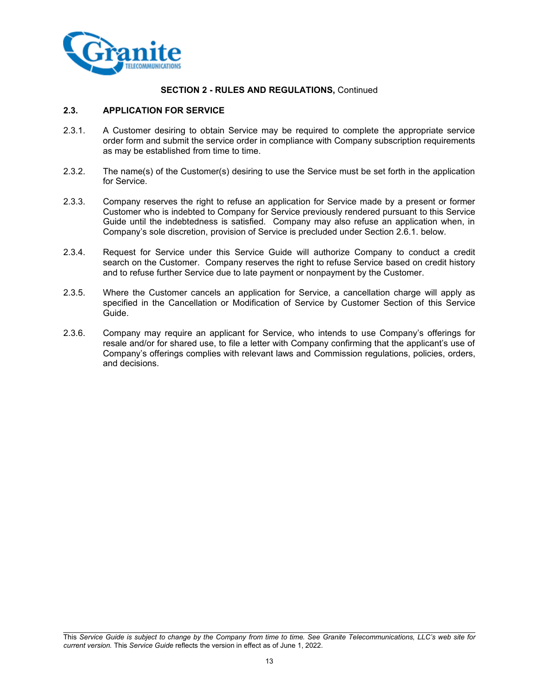

## **2.3. APPLICATION FOR SERVICE**

- 2.3.1. A Customer desiring to obtain Service may be required to complete the appropriate service order form and submit the service order in compliance with Company subscription requirements as may be established from time to time.
- 2.3.2. The name(s) of the Customer(s) desiring to use the Service must be set forth in the application for Service.
- 2.3.3. Company reserves the right to refuse an application for Service made by a present or former Customer who is indebted to Company for Service previously rendered pursuant to this Service Guide until the indebtedness is satisfied. Company may also refuse an application when, in Company's sole discretion, provision of Service is precluded under Section 2.6.1. below.
- 2.3.4. Request for Service under this Service Guide will authorize Company to conduct a credit search on the Customer. Company reserves the right to refuse Service based on credit history and to refuse further Service due to late payment or nonpayment by the Customer.
- 2.3.5. Where the Customer cancels an application for Service, a cancellation charge will apply as specified in the Cancellation or Modification of Service by Customer Section of this Service Guide.
- 2.3.6. Company may require an applicant for Service, who intends to use Company's offerings for resale and/or for shared use, to file a letter with Company confirming that the applicant's use of Company's offerings complies with relevant laws and Commission regulations, policies, orders, and decisions.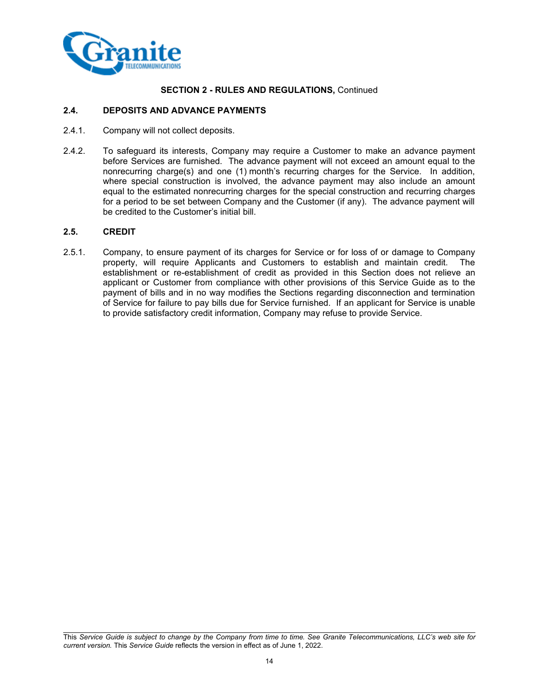

## **2.4. DEPOSITS AND ADVANCE PAYMENTS**

- 2.4.1. Company will not collect deposits.
- 2.4.2. To safeguard its interests, Company may require a Customer to make an advance payment before Services are furnished. The advance payment will not exceed an amount equal to the nonrecurring charge(s) and one (1) month's recurring charges for the Service. In addition, where special construction is involved, the advance payment may also include an amount equal to the estimated nonrecurring charges for the special construction and recurring charges for a period to be set between Company and the Customer (if any). The advance payment will be credited to the Customer's initial bill.

#### **2.5. CREDIT**

2.5.1. Company, to ensure payment of its charges for Service or for loss of or damage to Company property, will require Applicants and Customers to establish and maintain credit. The establishment or re-establishment of credit as provided in this Section does not relieve an applicant or Customer from compliance with other provisions of this Service Guide as to the payment of bills and in no way modifies the Sections regarding disconnection and termination of Service for failure to pay bills due for Service furnished. If an applicant for Service is unable to provide satisfactory credit information, Company may refuse to provide Service.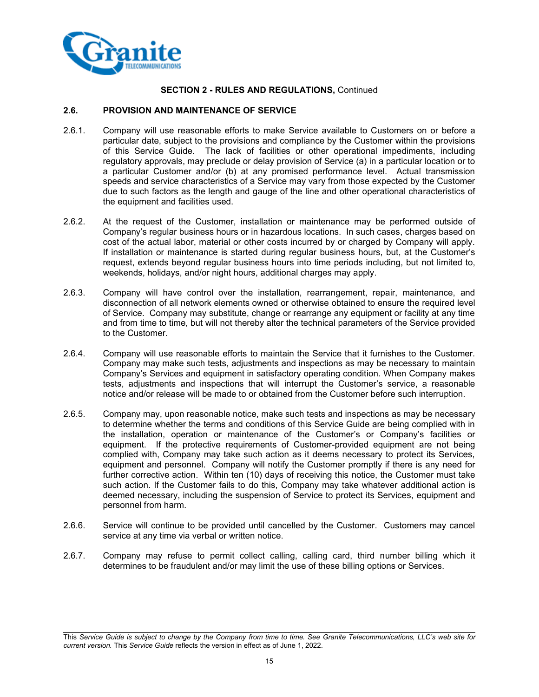

## **2.6. PROVISION AND MAINTENANCE OF SERVICE**

- 2.6.1. Company will use reasonable efforts to make Service available to Customers on or before a particular date, subject to the provisions and compliance by the Customer within the provisions of this Service Guide. The lack of facilities or other operational impediments, including regulatory approvals, may preclude or delay provision of Service (a) in a particular location or to a particular Customer and/or (b) at any promised performance level. Actual transmission speeds and service characteristics of a Service may vary from those expected by the Customer due to such factors as the length and gauge of the line and other operational characteristics of the equipment and facilities used.
- 2.6.2. At the request of the Customer, installation or maintenance may be performed outside of Company's regular business hours or in hazardous locations. In such cases, charges based on cost of the actual labor, material or other costs incurred by or charged by Company will apply. If installation or maintenance is started during regular business hours, but, at the Customer's request, extends beyond regular business hours into time periods including, but not limited to, weekends, holidays, and/or night hours, additional charges may apply.
- 2.6.3. Company will have control over the installation, rearrangement, repair, maintenance, and disconnection of all network elements owned or otherwise obtained to ensure the required level of Service. Company may substitute, change or rearrange any equipment or facility at any time and from time to time, but will not thereby alter the technical parameters of the Service provided to the Customer.
- 2.6.4. Company will use reasonable efforts to maintain the Service that it furnishes to the Customer. Company may make such tests, adjustments and inspections as may be necessary to maintain Company's Services and equipment in satisfactory operating condition. When Company makes tests, adjustments and inspections that will interrupt the Customer's service, a reasonable notice and/or release will be made to or obtained from the Customer before such interruption.
- 2.6.5. Company may, upon reasonable notice, make such tests and inspections as may be necessary to determine whether the terms and conditions of this Service Guide are being complied with in the installation, operation or maintenance of the Customer's or Company's facilities or equipment. If the protective requirements of Customer-provided equipment are not being complied with, Company may take such action as it deems necessary to protect its Services, equipment and personnel. Company will notify the Customer promptly if there is any need for further corrective action. Within ten (10) days of receiving this notice, the Customer must take such action. If the Customer fails to do this, Company may take whatever additional action is deemed necessary, including the suspension of Service to protect its Services, equipment and personnel from harm.
- 2.6.6. Service will continue to be provided until cancelled by the Customer. Customers may cancel service at any time via verbal or written notice.
- 2.6.7. Company may refuse to permit collect calling, calling card, third number billing which it determines to be fraudulent and/or may limit the use of these billing options or Services.

This *Service Guide is subject to change by the Company from time to time. See Granite Telecommunications, LLC's web site for current version.* This *Service Guide* reflects the version in effect as of June 1, 2022.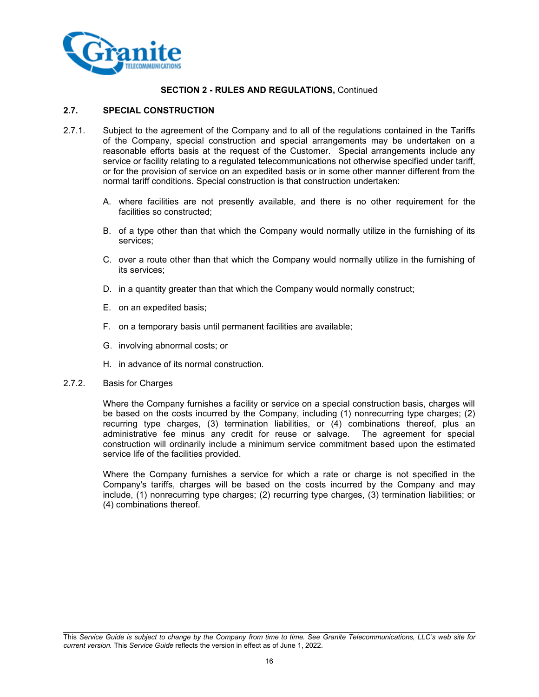

## **2.7. SPECIAL CONSTRUCTION**

- 2.7.1. Subject to the agreement of the Company and to all of the regulations contained in the Tariffs of the Company, special construction and special arrangements may be undertaken on a reasonable efforts basis at the request of the Customer. Special arrangements include any service or facility relating to a regulated telecommunications not otherwise specified under tariff, or for the provision of service on an expedited basis or in some other manner different from the normal tariff conditions. Special construction is that construction undertaken:
	- A. where facilities are not presently available, and there is no other requirement for the facilities so constructed;
	- B. of a type other than that which the Company would normally utilize in the furnishing of its services;
	- C. over a route other than that which the Company would normally utilize in the furnishing of its services;
	- D. in a quantity greater than that which the Company would normally construct;
	- E. on an expedited basis;
	- F. on a temporary basis until permanent facilities are available;
	- G. involving abnormal costs; or
	- H. in advance of its normal construction.

#### 2.7.2. Basis for Charges

Where the Company furnishes a facility or service on a special construction basis, charges will be based on the costs incurred by the Company, including (1) nonrecurring type charges; (2) recurring type charges, (3) termination liabilities, or (4) combinations thereof, plus an administrative fee minus any credit for reuse or salvage. The agreement for special construction will ordinarily include a minimum service commitment based upon the estimated service life of the facilities provided.

Where the Company furnishes a service for which a rate or charge is not specified in the Company's tariffs, charges will be based on the costs incurred by the Company and may include, (1) nonrecurring type charges; (2) recurring type charges, (3) termination liabilities; or (4) combinations thereof.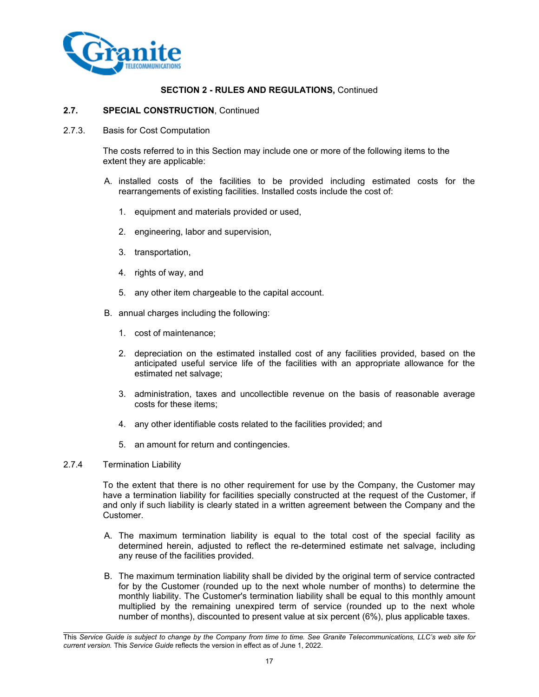

#### **2.7. SPECIAL CONSTRUCTION**, Continued

2.7.3. Basis for Cost Computation

The costs referred to in this Section may include one or more of the following items to the extent they are applicable:

- A. installed costs of the facilities to be provided including estimated costs for the rearrangements of existing facilities. Installed costs include the cost of:
	- 1. equipment and materials provided or used,
	- 2. engineering, labor and supervision,
	- 3. transportation,
	- 4. rights of way, and
	- 5. any other item chargeable to the capital account.
- B. annual charges including the following:
	- 1. cost of maintenance;
	- 2. depreciation on the estimated installed cost of any facilities provided, based on the anticipated useful service life of the facilities with an appropriate allowance for the estimated net salvage;
	- 3. administration, taxes and uncollectible revenue on the basis of reasonable average costs for these items;
	- 4. any other identifiable costs related to the facilities provided; and
	- 5. an amount for return and contingencies.

## 2.7.4 Termination Liability

To the extent that there is no other requirement for use by the Company, the Customer may have a termination liability for facilities specially constructed at the request of the Customer, if and only if such liability is clearly stated in a written agreement between the Company and the **Customer** 

- A. The maximum termination liability is equal to the total cost of the special facility as determined herein, adjusted to reflect the re-determined estimate net salvage, including any reuse of the facilities provided.
- B. The maximum termination liability shall be divided by the original term of service contracted for by the Customer (rounded up to the next whole number of months) to determine the monthly liability. The Customer's termination liability shall be equal to this monthly amount multiplied by the remaining unexpired term of service (rounded up to the next whole number of months), discounted to present value at six percent (6%), plus applicable taxes.

This *Service Guide is subject to change by the Company from time to time. See Granite Telecommunications, LLC's web site for current version.* This *Service Guide* reflects the version in effect as of June 1, 2022.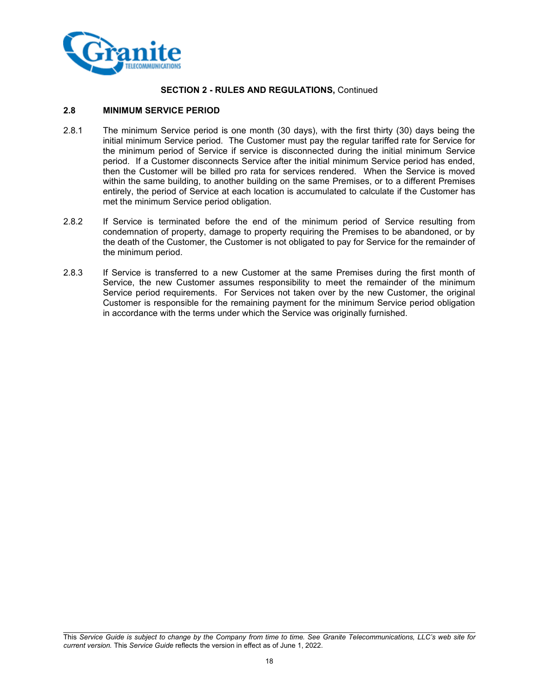

## **2.8 MINIMUM SERVICE PERIOD**

- 2.8.1 The minimum Service period is one month (30 days), with the first thirty (30) days being the initial minimum Service period. The Customer must pay the regular tariffed rate for Service for the minimum period of Service if service is disconnected during the initial minimum Service period. If a Customer disconnects Service after the initial minimum Service period has ended, then the Customer will be billed pro rata for services rendered. When the Service is moved within the same building, to another building on the same Premises, or to a different Premises entirely, the period of Service at each location is accumulated to calculate if the Customer has met the minimum Service period obligation.
- 2.8.2 If Service is terminated before the end of the minimum period of Service resulting from condemnation of property, damage to property requiring the Premises to be abandoned, or by the death of the Customer, the Customer is not obligated to pay for Service for the remainder of the minimum period.
- 2.8.3 If Service is transferred to a new Customer at the same Premises during the first month of Service, the new Customer assumes responsibility to meet the remainder of the minimum Service period requirements. For Services not taken over by the new Customer, the original Customer is responsible for the remaining payment for the minimum Service period obligation in accordance with the terms under which the Service was originally furnished.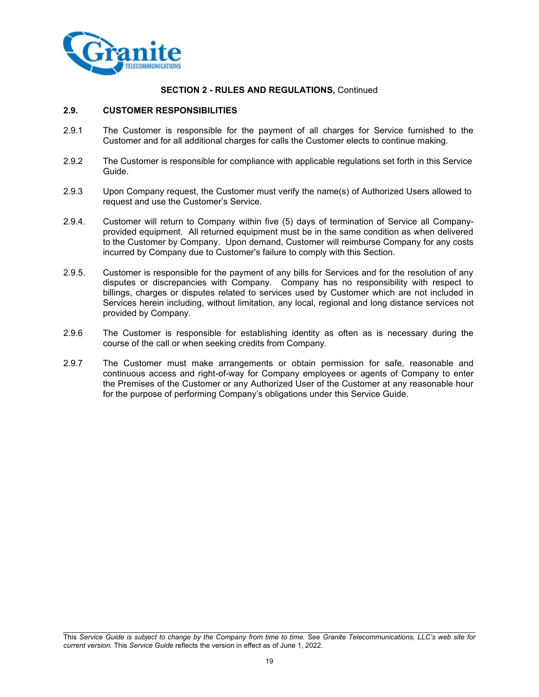

#### **2.9. CUSTOMER RESPONSIBILITIES**

- 2.9.1 The Customer is responsible for the payment of all charges for Service furnished to the Customer and for all additional charges for calls the Customer elects to continue making.
- 2.9.2 The Customer is responsible for compliance with applicable regulations set forth in this Service Guide.
- 2.9.3 Upon Company request, the Customer must verify the name(s) of Authorized Users allowed to request and use the Customer's Service.
- 2.9.4. Customer will return to Company within five (5) days of termination of Service all Companyprovided equipment. All returned equipment must be in the same condition as when delivered to the Customer by Company. Upon demand, Customer will reimburse Company for any costs incurred by Company due to Customer's failure to comply with this Section.
- 2.9.5. Customer is responsible for the payment of any bills for Services and for the resolution of any disputes or discrepancies with Company. Company has no responsibility with respect to billings, charges or disputes related to services used by Customer which are not included in Services herein including, without limitation, any local, regional and long distance services not provided by Company.
- 2.9.6 The Customer is responsible for establishing identity as often as is necessary during the course of the call or when seeking credits from Company.
- 2.9.7 The Customer must make arrangements or obtain permission for safe, reasonable and continuous access and right-of-way for Company employees or agents of Company to enter the Premises of the Customer or any Authorized User of the Customer at any reasonable hour for the purpose of performing Company's obligations under this Service Guide.

This *Service Guide is subject to change by the Company from time to time. See Granite Telecommunications, LLC's web site for current version.* This *Service Guide* reflects the version in effect as of June 1, 2022.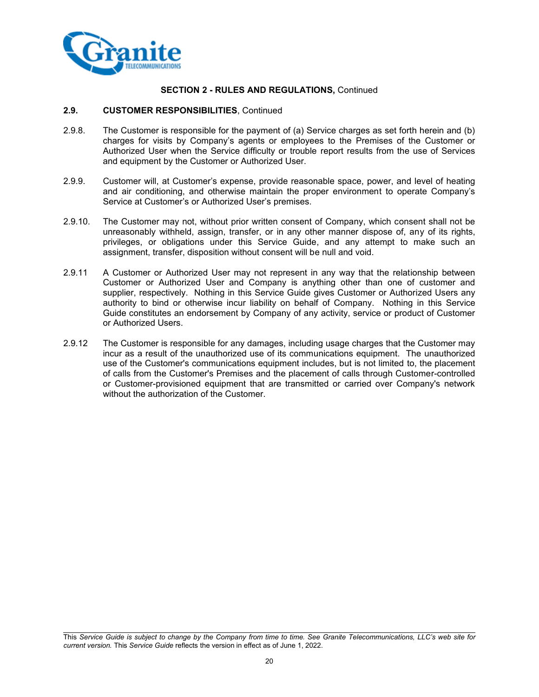

#### **2.9. CUSTOMER RESPONSIBILITIES**, Continued

- 2.9.8. The Customer is responsible for the payment of (a) Service charges as set forth herein and (b) charges for visits by Company's agents or employees to the Premises of the Customer or Authorized User when the Service difficulty or trouble report results from the use of Services and equipment by the Customer or Authorized User.
- 2.9.9. Customer will, at Customer's expense, provide reasonable space, power, and level of heating and air conditioning, and otherwise maintain the proper environment to operate Company's Service at Customer's or Authorized User's premises.
- 2.9.10. The Customer may not, without prior written consent of Company, which consent shall not be unreasonably withheld, assign, transfer, or in any other manner dispose of, any of its rights, privileges, or obligations under this Service Guide, and any attempt to make such an assignment, transfer, disposition without consent will be null and void.
- 2.9.11 A Customer or Authorized User may not represent in any way that the relationship between Customer or Authorized User and Company is anything other than one of customer and supplier, respectively. Nothing in this Service Guide gives Customer or Authorized Users any authority to bind or otherwise incur liability on behalf of Company. Nothing in this Service Guide constitutes an endorsement by Company of any activity, service or product of Customer or Authorized Users.
- 2.9.12 The Customer is responsible for any damages, including usage charges that the Customer may incur as a result of the unauthorized use of its communications equipment. The unauthorized use of the Customer's communications equipment includes, but is not limited to, the placement of calls from the Customer's Premises and the placement of calls through Customer-controlled or Customer-provisioned equipment that are transmitted or carried over Company's network without the authorization of the Customer.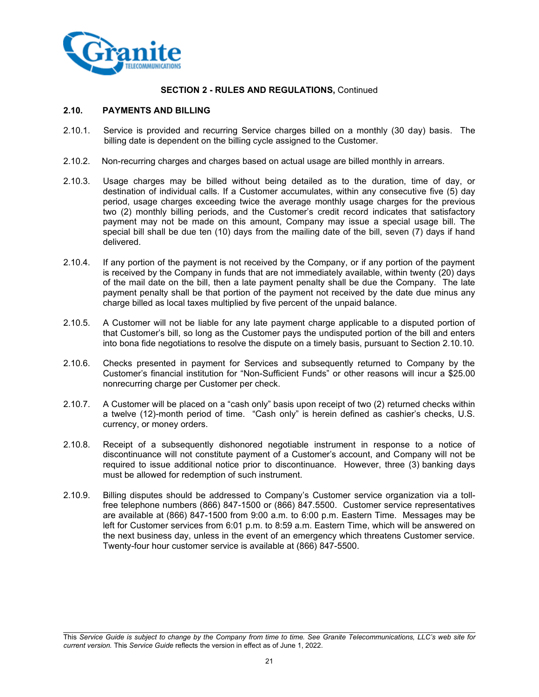

## **2.10. PAYMENTS AND BILLING**

- 2.10.1. Service is provided and recurring Service charges billed on a monthly (30 day) basis. The billing date is dependent on the billing cycle assigned to the Customer.
- 2.10.2. Non-recurring charges and charges based on actual usage are billed monthly in arrears.
- 2.10.3. Usage charges may be billed without being detailed as to the duration, time of day, or destination of individual calls. If a Customer accumulates, within any consecutive five (5) day period, usage charges exceeding twice the average monthly usage charges for the previous two (2) monthly billing periods, and the Customer's credit record indicates that satisfactory payment may not be made on this amount, Company may issue a special usage bill. The special bill shall be due ten (10) days from the mailing date of the bill, seven (7) days if hand delivered.
- 2.10.4. If any portion of the payment is not received by the Company, or if any portion of the payment is received by the Company in funds that are not immediately available, within twenty (20) days of the mail date on the bill, then a late payment penalty shall be due the Company. The late payment penalty shall be that portion of the payment not received by the date due minus any charge billed as local taxes multiplied by five percent of the unpaid balance.
- 2.10.5. A Customer will not be liable for any late payment charge applicable to a disputed portion of that Customer's bill, so long as the Customer pays the undisputed portion of the bill and enters into bona fide negotiations to resolve the dispute on a timely basis, pursuant to Section 2.10.10.
- 2.10.6. Checks presented in payment for Services and subsequently returned to Company by the Customer's financial institution for "Non-Sufficient Funds" or other reasons will incur a \$25.00 nonrecurring charge per Customer per check.
- 2.10.7. A Customer will be placed on a "cash only" basis upon receipt of two (2) returned checks within a twelve (12)-month period of time. "Cash only" is herein defined as cashier's checks, U.S. currency, or money orders.
- 2.10.8. Receipt of a subsequently dishonored negotiable instrument in response to a notice of discontinuance will not constitute payment of a Customer's account, and Company will not be required to issue additional notice prior to discontinuance. However, three (3) banking days must be allowed for redemption of such instrument.
- 2.10.9. Billing disputes should be addressed to Company's Customer service organization via a tollfree telephone numbers (866) 847-1500 or (866) 847.5500.Customer service representatives are available at (866) 847-1500 from 9:00 a.m. to 6:00 p.m. Eastern Time. Messages may be left for Customer services from 6:01 p.m. to 8:59 a.m. Eastern Time, which will be answered on the next business day, unless in the event of an emergency which threatens Customer service. Twenty-four hour customer service is available at (866) 847-5500.

This *Service Guide is subject to change by the Company from time to time. See Granite Telecommunications, LLC's web site for current version.* This *Service Guide* reflects the version in effect as of June 1, 2022.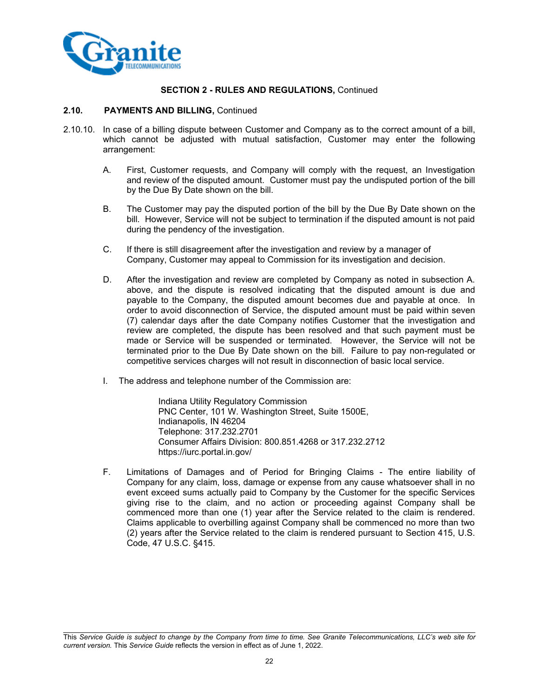

#### **2.10. PAYMENTS AND BILLING,** Continued

- 2.10.10. In case of a billing dispute between Customer and Company as to the correct amount of a bill, which cannot be adjusted with mutual satisfaction, Customer may enter the following arrangement:
	- A. First, Customer requests, and Company will comply with the request, an Investigation and review of the disputed amount. Customer must pay the undisputed portion of the bill by the Due By Date shown on the bill.
	- B. The Customer may pay the disputed portion of the bill by the Due By Date shown on the bill. However, Service will not be subject to termination if the disputed amount is not paid during the pendency of the investigation.
	- C. If there is still disagreement after the investigation and review by a manager of Company, Customer may appeal to Commission for its investigation and decision.
	- D. After the investigation and review are completed by Company as noted in subsection A. above, and the dispute is resolved indicating that the disputed amount is due and payable to the Company, the disputed amount becomes due and payable at once. In order to avoid disconnection of Service, the disputed amount must be paid within seven (7) calendar days after the date Company notifies Customer that the investigation and review are completed, the dispute has been resolved and that such payment must be made or Service will be suspended or terminated. However, the Service will not be terminated prior to the Due By Date shown on the bill. Failure to pay non-regulated or competitive services charges will not result in disconnection of basic local service.
	- I. The address and telephone number of the Commission are:

Indiana Utility Regulatory Commission PNC Center, 101 W. Washington Street, Suite 1500E, Indianapolis, IN 46204 Telephone: 317.232.2701 Consumer Affairs Division: 800.851.4268 or 317.232.2712 https://iurc.portal.in.gov/

F. Limitations of Damages and of Period for Bringing Claims - The entire liability of Company for any claim, loss, damage or expense from any cause whatsoever shall in no event exceed sums actually paid to Company by the Customer for the specific Services giving rise to the claim, and no action or proceeding against Company shall be commenced more than one (1) year after the Service related to the claim is rendered. Claims applicable to overbilling against Company shall be commenced no more than two (2) years after the Service related to the claim is rendered pursuant to Section 415, U.S. Code, 47 U.S.C. §415.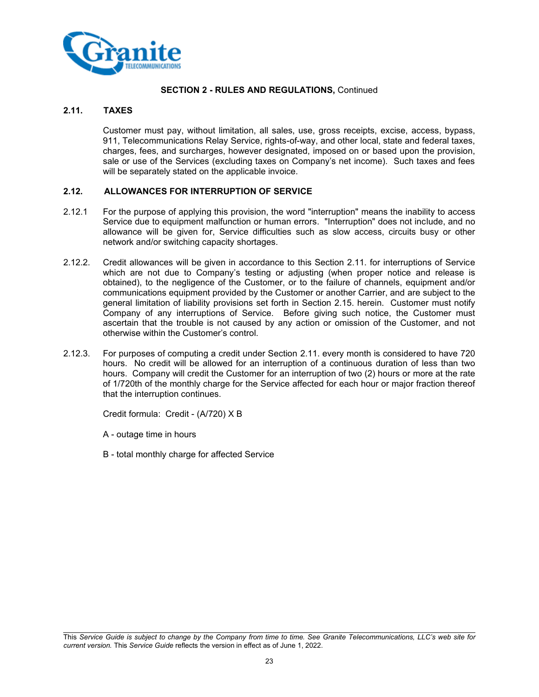

## **2.11. TAXES**

Customer must pay, without limitation, all sales, use, gross receipts, excise, access, bypass, 911, Telecommunications Relay Service, rights-of-way, and other local, state and federal taxes, charges, fees, and surcharges, however designated, imposed on or based upon the provision, sale or use of the Services (excluding taxes on Company's net income). Such taxes and fees will be separately stated on the applicable invoice.

## **2.12. ALLOWANCES FOR INTERRUPTION OF SERVICE**

- 2.12.1 For the purpose of applying this provision, the word "interruption" means the inability to access Service due to equipment malfunction or human errors. "Interruption" does not include, and no allowance will be given for, Service difficulties such as slow access, circuits busy or other network and/or switching capacity shortages.
- 2.12.2. Credit allowances will be given in accordance to this Section 2.11. for interruptions of Service which are not due to Company's testing or adjusting (when proper notice and release is obtained), to the negligence of the Customer, or to the failure of channels, equipment and/or communications equipment provided by the Customer or another Carrier, and are subject to the general limitation of liability provisions set forth in Section 2.15. herein. Customer must notify Company of any interruptions of Service. Before giving such notice, the Customer must ascertain that the trouble is not caused by any action or omission of the Customer, and not otherwise within the Customer's control.
- 2.12.3. For purposes of computing a credit under Section 2.11. every month is considered to have 720 hours. No credit will be allowed for an interruption of a continuous duration of less than two hours. Company will credit the Customer for an interruption of two (2) hours or more at the rate of 1/720th of the monthly charge for the Service affected for each hour or major fraction thereof that the interruption continues.

Credit formula: Credit - (A/720) X B

A - outage time in hours

B - total monthly charge for affected Service

This *Service Guide is subject to change by the Company from time to time. See Granite Telecommunications, LLC's web site for current version.* This *Service Guide* reflects the version in effect as of June 1, 2022.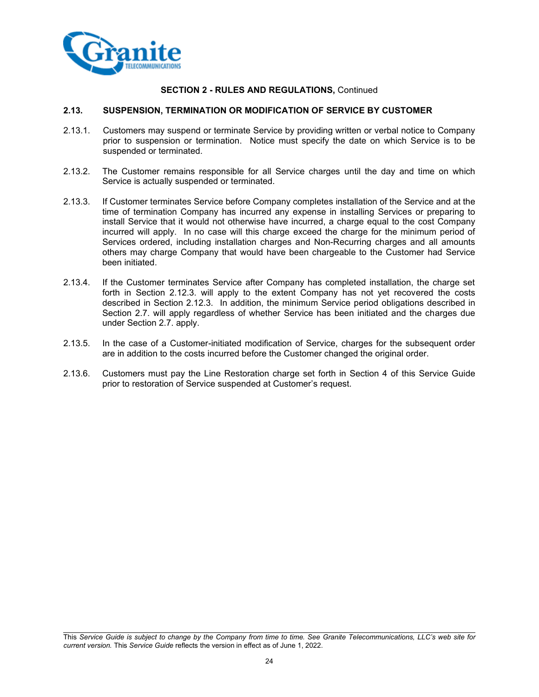

#### **2.13. SUSPENSION, TERMINATION OR MODIFICATION OF SERVICE BY CUSTOMER**

- 2.13.1. Customers may suspend or terminate Service by providing written or verbal notice to Company prior to suspension or termination. Notice must specify the date on which Service is to be suspended or terminated.
- 2.13.2. The Customer remains responsible for all Service charges until the day and time on which Service is actually suspended or terminated.
- 2.13.3. If Customer terminates Service before Company completes installation of the Service and at the time of termination Company has incurred any expense in installing Services or preparing to install Service that it would not otherwise have incurred, a charge equal to the cost Company incurred will apply. In no case will this charge exceed the charge for the minimum period of Services ordered, including installation charges and Non-Recurring charges and all amounts others may charge Company that would have been chargeable to the Customer had Service been initiated.
- 2.13.4. If the Customer terminates Service after Company has completed installation, the charge set forth in Section 2.12.3. will apply to the extent Company has not yet recovered the costs described in Section 2.12.3. In addition, the minimum Service period obligations described in Section 2.7. will apply regardless of whether Service has been initiated and the charges due under Section 2.7. apply.
- 2.13.5. In the case of a Customer-initiated modification of Service, charges for the subsequent order are in addition to the costs incurred before the Customer changed the original order.
- 2.13.6. Customers must pay the Line Restoration charge set forth in Section 4 of this Service Guide prior to restoration of Service suspended at Customer's request.

This *Service Guide is subject to change by the Company from time to time. See Granite Telecommunications, LLC's web site for current version.* This *Service Guide* reflects the version in effect as of June 1, 2022.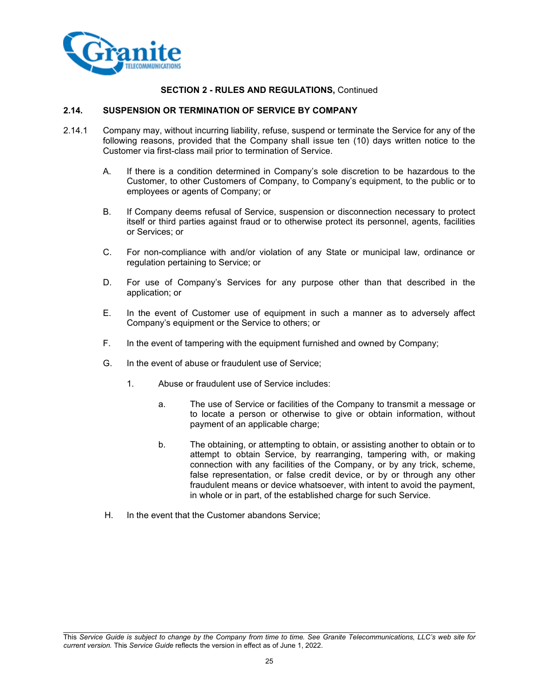

#### **2.14. SUSPENSION OR TERMINATION OF SERVICE BY COMPANY**

- 2.14.1 Company may, without incurring liability, refuse, suspend or terminate the Service for any of the following reasons, provided that the Company shall issue ten (10) days written notice to the Customer via first-class mail prior to termination of Service.
	- A. If there is a condition determined in Company's sole discretion to be hazardous to the Customer, to other Customers of Company, to Company's equipment, to the public or to employees or agents of Company; or
	- B. If Company deems refusal of Service, suspension or disconnection necessary to protect itself or third parties against fraud or to otherwise protect its personnel, agents, facilities or Services; or
	- C. For non-compliance with and/or violation of any State or municipal law, ordinance or regulation pertaining to Service; or
	- D. For use of Company's Services for any purpose other than that described in the application; or
	- E. In the event of Customer use of equipment in such a manner as to adversely affect Company's equipment or the Service to others; or
	- F. In the event of tampering with the equipment furnished and owned by Company;
	- G. In the event of abuse or fraudulent use of Service;
		- 1. Abuse or fraudulent use of Service includes:
			- a. The use of Service or facilities of the Company to transmit a message or to locate a person or otherwise to give or obtain information, without payment of an applicable charge;
			- b. The obtaining, or attempting to obtain, or assisting another to obtain or to attempt to obtain Service, by rearranging, tampering with, or making connection with any facilities of the Company, or by any trick, scheme, false representation, or false credit device, or by or through any other fraudulent means or device whatsoever, with intent to avoid the payment, in whole or in part, of the established charge for such Service.
	- H. In the event that the Customer abandons Service;

This *Service Guide is subject to change by the Company from time to time. See Granite Telecommunications, LLC's web site for current version.* This *Service Guide* reflects the version in effect as of June 1, 2022.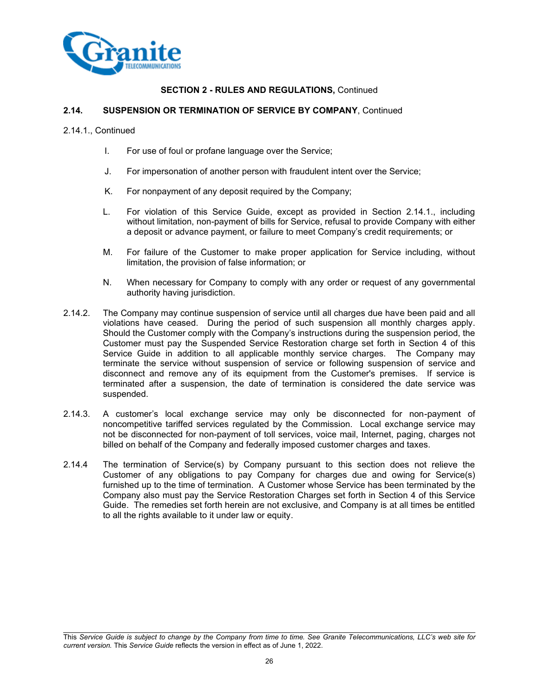

#### **2.14. SUSPENSION OR TERMINATION OF SERVICE BY COMPANY**, Continued

2.14.1., Continued

- I. For use of foul or profane language over the Service;
- J. For impersonation of another person with fraudulent intent over the Service;
- K. For nonpayment of any deposit required by the Company;
- L. For violation of this Service Guide, except as provided in Section 2.14.1., including without limitation, non-payment of bills for Service, refusal to provide Company with either a deposit or advance payment, or failure to meet Company's credit requirements; or
- M. For failure of the Customer to make proper application for Service including, without limitation, the provision of false information; or
- N. When necessary for Company to comply with any order or request of any governmental authority having jurisdiction.
- 2.14.2. The Company may continue suspension of service until all charges due have been paid and all violations have ceased. During the period of such suspension all monthly charges apply. Should the Customer comply with the Company's instructions during the suspension period, the Customer must pay the Suspended Service Restoration charge set forth in Section 4 of this Service Guide in addition to all applicable monthly service charges. The Company may terminate the service without suspension of service or following suspension of service and disconnect and remove any of its equipment from the Customer's premises. If service is terminated after a suspension, the date of termination is considered the date service was suspended.
- 2.14.3. A customer's local exchange service may only be disconnected for non-payment of noncompetitive tariffed services regulated by the Commission. Local exchange service may not be disconnected for non-payment of toll services, voice mail, Internet, paging, charges not billed on behalf of the Company and federally imposed customer charges and taxes.
- 2.14.4 The termination of Service(s) by Company pursuant to this section does not relieve the Customer of any obligations to pay Company for charges due and owing for Service(s) furnished up to the time of termination. A Customer whose Service has been terminated by the Company also must pay the Service Restoration Charges set forth in Section 4 of this Service Guide. The remedies set forth herein are not exclusive, and Company is at all times be entitled to all the rights available to it under law or equity.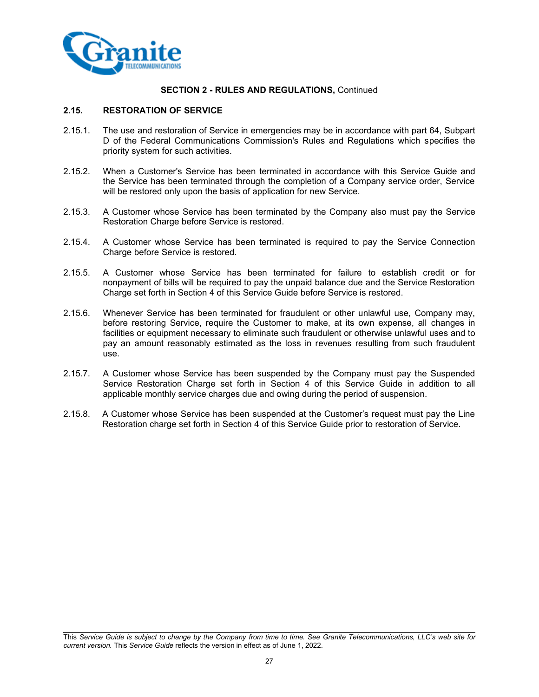

#### **2.15. RESTORATION OF SERVICE**

- 2.15.1. The use and restoration of Service in emergencies may be in accordance with part 64, Subpart D of the Federal Communications Commission's Rules and Regulations which specifies the priority system for such activities.
- 2.15.2. When a Customer's Service has been terminated in accordance with this Service Guide and the Service has been terminated through the completion of a Company service order, Service will be restored only upon the basis of application for new Service.
- 2.15.3. A Customer whose Service has been terminated by the Company also must pay the Service Restoration Charge before Service is restored.
- 2.15.4. A Customer whose Service has been terminated is required to pay the Service Connection Charge before Service is restored.
- 2.15.5. A Customer whose Service has been terminated for failure to establish credit or for nonpayment of bills will be required to pay the unpaid balance due and the Service Restoration Charge set forth in Section 4 of this Service Guide before Service is restored.
- 2.15.6. Whenever Service has been terminated for fraudulent or other unlawful use, Company may, before restoring Service, require the Customer to make, at its own expense, all changes in facilities or equipment necessary to eliminate such fraudulent or otherwise unlawful uses and to pay an amount reasonably estimated as the loss in revenues resulting from such fraudulent use.
- 2.15.7. A Customer whose Service has been suspended by the Company must pay the Suspended Service Restoration Charge set forth in Section 4 of this Service Guide in addition to all applicable monthly service charges due and owing during the period of suspension.
- 2.15.8. A Customer whose Service has been suspended at the Customer's request must pay the Line Restoration charge set forth in Section 4 of this Service Guide prior to restoration of Service.

This *Service Guide is subject to change by the Company from time to time. See Granite Telecommunications, LLC's web site for current version.* This *Service Guide* reflects the version in effect as of June 1, 2022.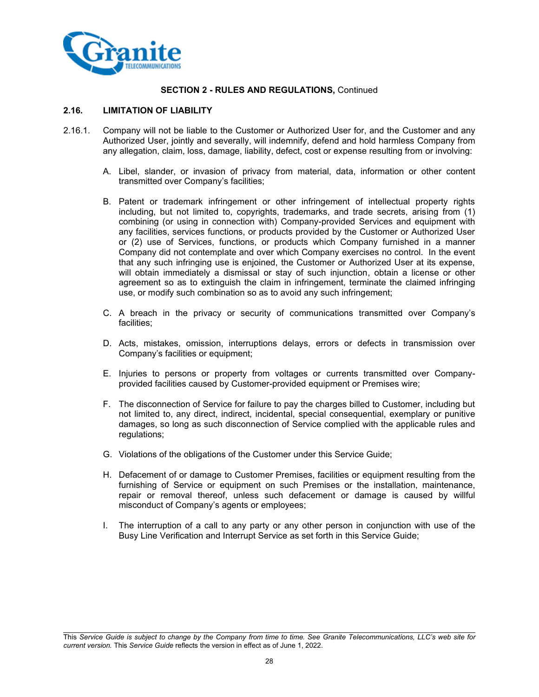

## **2.16. LIMITATION OF LIABILITY**

- 2.16.1. Company will not be liable to the Customer or Authorized User for, and the Customer and any Authorized User, jointly and severally, will indemnify, defend and hold harmless Company from any allegation, claim, loss, damage, liability, defect, cost or expense resulting from or involving:
	- A. Libel, slander, or invasion of privacy from material, data, information or other content transmitted over Company's facilities;
	- B. Patent or trademark infringement or other infringement of intellectual property rights including, but not limited to, copyrights, trademarks, and trade secrets, arising from (1) combining (or using in connection with) Company-provided Services and equipment with any facilities, services functions, or products provided by the Customer or Authorized User or (2) use of Services, functions, or products which Company furnished in a manner Company did not contemplate and over which Company exercises no control. In the event that any such infringing use is enjoined, the Customer or Authorized User at its expense, will obtain immediately a dismissal or stay of such injunction, obtain a license or other agreement so as to extinguish the claim in infringement, terminate the claimed infringing use, or modify such combination so as to avoid any such infringement;
	- C. A breach in the privacy or security of communications transmitted over Company's facilities;
	- D. Acts, mistakes, omission, interruptions delays, errors or defects in transmission over Company's facilities or equipment;
	- E. Injuries to persons or property from voltages or currents transmitted over Companyprovided facilities caused by Customer-provided equipment or Premises wire;
	- F. The disconnection of Service for failure to pay the charges billed to Customer, including but not limited to, any direct, indirect, incidental, special consequential, exemplary or punitive damages, so long as such disconnection of Service complied with the applicable rules and regulations:
	- G. Violations of the obligations of the Customer under this Service Guide;
	- H. Defacement of or damage to Customer Premises, facilities or equipment resulting from the furnishing of Service or equipment on such Premises or the installation, maintenance, repair or removal thereof, unless such defacement or damage is caused by willful misconduct of Company's agents or employees;
	- I. The interruption of a call to any party or any other person in conjunction with use of the Busy Line Verification and Interrupt Service as set forth in this Service Guide;

This *Service Guide is subject to change by the Company from time to time. See Granite Telecommunications, LLC's web site for current version.* This *Service Guide* reflects the version in effect as of June 1, 2022.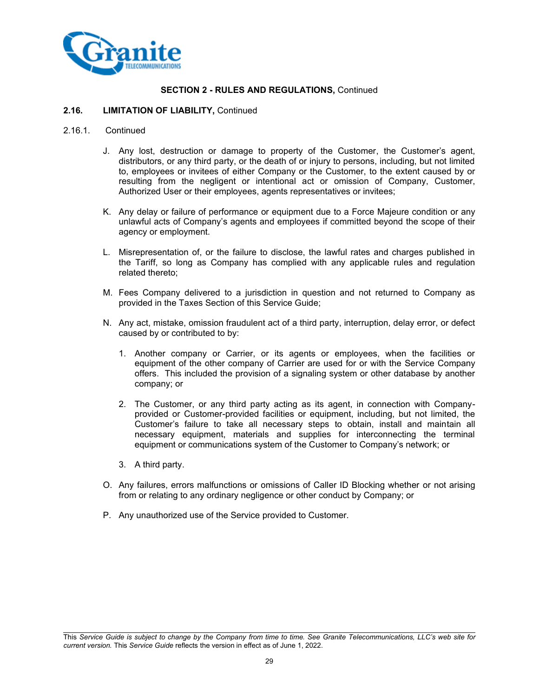

#### **2.16. LIMITATION OF LIABILITY,** Continued

#### 2.16.1. Continued

- J. Any lost, destruction or damage to property of the Customer, the Customer's agent, distributors, or any third party, or the death of or injury to persons, including, but not limited to, employees or invitees of either Company or the Customer, to the extent caused by or resulting from the negligent or intentional act or omission of Company, Customer, Authorized User or their employees, agents representatives or invitees;
- K. Any delay or failure of performance or equipment due to a Force Majeure condition or any unlawful acts of Company's agents and employees if committed beyond the scope of their agency or employment.
- L. Misrepresentation of, or the failure to disclose, the lawful rates and charges published in the Tariff, so long as Company has complied with any applicable rules and regulation related thereto;
- M. Fees Company delivered to a jurisdiction in question and not returned to Company as provided in the Taxes Section of this Service Guide;
- N. Any act, mistake, omission fraudulent act of a third party, interruption, delay error, or defect caused by or contributed to by:
	- 1. Another company or Carrier, or its agents or employees, when the facilities or equipment of the other company of Carrier are used for or with the Service Company offers. This included the provision of a signaling system or other database by another company; or
	- 2. The Customer, or any third party acting as its agent, in connection with Companyprovided or Customer-provided facilities or equipment, including, but not limited, the Customer's failure to take all necessary steps to obtain, install and maintain all necessary equipment, materials and supplies for interconnecting the terminal equipment or communications system of the Customer to Company's network; or
	- 3. A third party.
- O. Any failures, errors malfunctions or omissions of Caller ID Blocking whether or not arising from or relating to any ordinary negligence or other conduct by Company; or
- P. Any unauthorized use of the Service provided to Customer.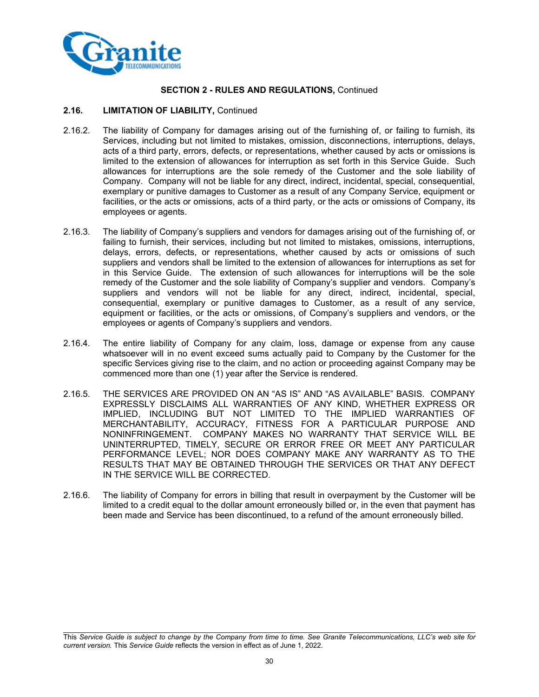

#### **2.16. LIMITATION OF LIABILITY,** Continued

- 2.16.2. The liability of Company for damages arising out of the furnishing of, or failing to furnish, its Services, including but not limited to mistakes, omission, disconnections, interruptions, delays, acts of a third party, errors, defects, or representations, whether caused by acts or omissions is limited to the extension of allowances for interruption as set forth in this Service Guide. Such allowances for interruptions are the sole remedy of the Customer and the sole liability of Company. Company will not be liable for any direct, indirect, incidental, special, consequential, exemplary or punitive damages to Customer as a result of any Company Service, equipment or facilities, or the acts or omissions, acts of a third party, or the acts or omissions of Company, its employees or agents.
- 2.16.3. The liability of Company's suppliers and vendors for damages arising out of the furnishing of, or failing to furnish, their services, including but not limited to mistakes, omissions, interruptions, delays, errors, defects, or representations, whether caused by acts or omissions of such suppliers and vendors shall be limited to the extension of allowances for interruptions as set for in this Service Guide. The extension of such allowances for interruptions will be the sole remedy of the Customer and the sole liability of Company's supplier and vendors. Company's suppliers and vendors will not be liable for any direct, indirect, incidental, special, consequential, exemplary or punitive damages to Customer, as a result of any service, equipment or facilities, or the acts or omissions, of Company's suppliers and vendors, or the employees or agents of Company's suppliers and vendors.
- 2.16.4. The entire liability of Company for any claim, loss, damage or expense from any cause whatsoever will in no event exceed sums actually paid to Company by the Customer for the specific Services giving rise to the claim, and no action or proceeding against Company may be commenced more than one (1) year after the Service is rendered.
- 2.16.5. THE SERVICES ARE PROVIDED ON AN "AS IS" AND "AS AVAILABLE" BASIS. COMPANY EXPRESSLY DISCLAIMS ALL WARRANTIES OF ANY KIND, WHETHER EXPRESS OR IMPLIED, INCLUDING BUT NOT LIMITED TO THE IMPLIED WARRANTIES OF MERCHANTABILITY, ACCURACY, FITNESS FOR A PARTICULAR PURPOSE AND NONINFRINGEMENT. COMPANY MAKES NO WARRANTY THAT SERVICE WILL BE UNINTERRUPTED, TIMELY, SECURE OR ERROR FREE OR MEET ANY PARTICULAR PERFORMANCE LEVEL; NOR DOES COMPANY MAKE ANY WARRANTY AS TO THE RESULTS THAT MAY BE OBTAINED THROUGH THE SERVICES OR THAT ANY DEFECT IN THE SERVICE WILL BE CORRECTED.
- 2.16.6. The liability of Company for errors in billing that result in overpayment by the Customer will be limited to a credit equal to the dollar amount erroneously billed or, in the even that payment has been made and Service has been discontinued, to a refund of the amount erroneously billed.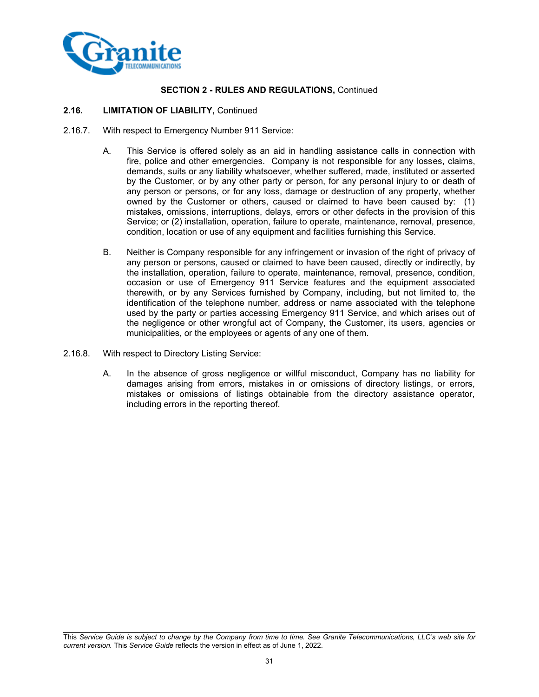

#### **2.16. LIMITATION OF LIABILITY,** Continued

- 2.16.7. With respect to Emergency Number 911 Service:
	- A. This Service is offered solely as an aid in handling assistance calls in connection with fire, police and other emergencies. Company is not responsible for any losses, claims, demands, suits or any liability whatsoever, whether suffered, made, instituted or asserted by the Customer, or by any other party or person, for any personal injury to or death of any person or persons, or for any loss, damage or destruction of any property, whether owned by the Customer or others, caused or claimed to have been caused by: (1) mistakes, omissions, interruptions, delays, errors or other defects in the provision of this Service; or (2) installation, operation, failure to operate, maintenance, removal, presence, condition, location or use of any equipment and facilities furnishing this Service.
	- B. Neither is Company responsible for any infringement or invasion of the right of privacy of any person or persons, caused or claimed to have been caused, directly or indirectly, by the installation, operation, failure to operate, maintenance, removal, presence, condition, occasion or use of Emergency 911 Service features and the equipment associated therewith, or by any Services furnished by Company, including, but not limited to, the identification of the telephone number, address or name associated with the telephone used by the party or parties accessing Emergency 911 Service, and which arises out of the negligence or other wrongful act of Company, the Customer, its users, agencies or municipalities, or the employees or agents of any one of them.
- 2.16.8. With respect to Directory Listing Service:
	- A. In the absence of gross negligence or willful misconduct, Company has no liability for damages arising from errors, mistakes in or omissions of directory listings, or errors, mistakes or omissions of listings obtainable from the directory assistance operator, including errors in the reporting thereof.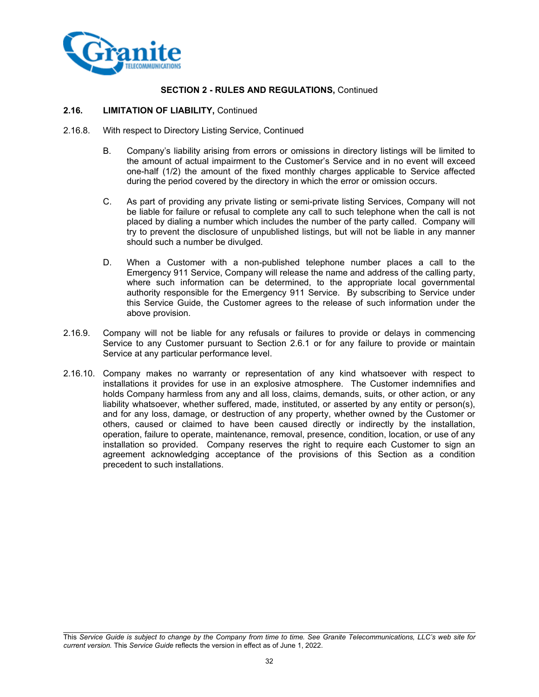

#### **2.16. LIMITATION OF LIABILITY,** Continued

- 2.16.8. With respect to Directory Listing Service, Continued
	- B. Company's liability arising from errors or omissions in directory listings will be limited to the amount of actual impairment to the Customer's Service and in no event will exceed one-half (1/2) the amount of the fixed monthly charges applicable to Service affected during the period covered by the directory in which the error or omission occurs.
	- C. As part of providing any private listing or semi-private listing Services, Company will not be liable for failure or refusal to complete any call to such telephone when the call is not placed by dialing a number which includes the number of the party called. Company will try to prevent the disclosure of unpublished listings, but will not be liable in any manner should such a number be divulged.
	- D. When a Customer with a non-published telephone number places a call to the Emergency 911 Service, Company will release the name and address of the calling party, where such information can be determined, to the appropriate local governmental authority responsible for the Emergency 911 Service. By subscribing to Service under this Service Guide, the Customer agrees to the release of such information under the above provision.
- 2.16.9. Company will not be liable for any refusals or failures to provide or delays in commencing Service to any Customer pursuant to Section 2.6.1 or for any failure to provide or maintain Service at any particular performance level.
- 2.16.10. Company makes no warranty or representation of any kind whatsoever with respect to installations it provides for use in an explosive atmosphere. The Customer indemnifies and holds Company harmless from any and all loss, claims, demands, suits, or other action, or any liability whatsoever, whether suffered, made, instituted, or asserted by any entity or person(s), and for any loss, damage, or destruction of any property, whether owned by the Customer or others, caused or claimed to have been caused directly or indirectly by the installation, operation, failure to operate, maintenance, removal, presence, condition, location, or use of any installation so provided. Company reserves the right to require each Customer to sign an agreement acknowledging acceptance of the provisions of this Section as a condition precedent to such installations.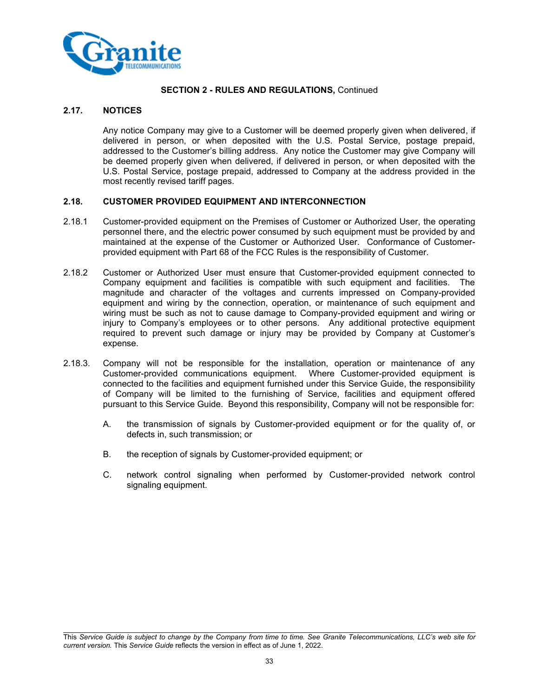

## **2.17. NOTICES**

Any notice Company may give to a Customer will be deemed properly given when delivered, if delivered in person, or when deposited with the U.S. Postal Service, postage prepaid, addressed to the Customer's billing address. Any notice the Customer may give Company will be deemed properly given when delivered, if delivered in person, or when deposited with the U.S. Postal Service, postage prepaid, addressed to Company at the address provided in the most recently revised tariff pages.

#### **2.18. CUSTOMER PROVIDED EQUIPMENT AND INTERCONNECTION**

- 2.18.1 Customer-provided equipment on the Premises of Customer or Authorized User, the operating personnel there, and the electric power consumed by such equipment must be provided by and maintained at the expense of the Customer or Authorized User. Conformance of Customerprovided equipment with Part 68 of the FCC Rules is the responsibility of Customer.
- 2.18.2 Customer or Authorized User must ensure that Customer-provided equipment connected to Company equipment and facilities is compatible with such equipment and facilities. The magnitude and character of the voltages and currents impressed on Company-provided equipment and wiring by the connection, operation, or maintenance of such equipment and wiring must be such as not to cause damage to Company-provided equipment and wiring or injury to Company's employees or to other persons. Any additional protective equipment required to prevent such damage or injury may be provided by Company at Customer's expense.
- 2.18.3. Company will not be responsible for the installation, operation or maintenance of any Customer-provided communications equipment. Where Customer-provided equipment is connected to the facilities and equipment furnished under this Service Guide, the responsibility of Company will be limited to the furnishing of Service, facilities and equipment offered pursuant to this Service Guide. Beyond this responsibility, Company will not be responsible for:
	- A. the transmission of signals by Customer-provided equipment or for the quality of, or defects in, such transmission; or
	- B. the reception of signals by Customer-provided equipment; or
	- C. network control signaling when performed by Customer-provided network control signaling equipment.

This *Service Guide is subject to change by the Company from time to time. See Granite Telecommunications, LLC's web site for current version.* This *Service Guide* reflects the version in effect as of June 1, 2022.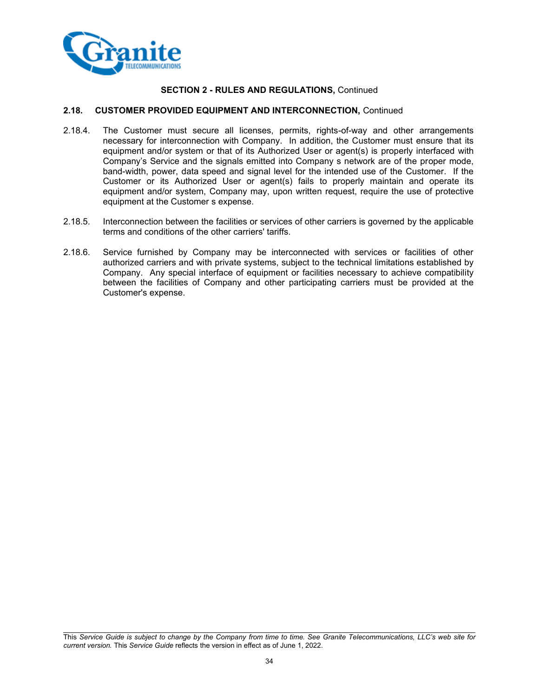

#### **2.18. CUSTOMER PROVIDED EQUIPMENT AND INTERCONNECTION,** Continued

- 2.18.4. The Customer must secure all licenses, permits, rights-of-way and other arrangements necessary for interconnection with Company. In addition, the Customer must ensure that its equipment and/or system or that of its Authorized User or agent(s) is properly interfaced with Company's Service and the signals emitted into Company s network are of the proper mode, band-width, power, data speed and signal level for the intended use of the Customer. If the Customer or its Authorized User or agent(s) fails to properly maintain and operate its equipment and/or system, Company may, upon written request, require the use of protective equipment at the Customer s expense.
- 2.18.5. Interconnection between the facilities or services of other carriers is governed by the applicable terms and conditions of the other carriers' tariffs.
- 2.18.6. Service furnished by Company may be interconnected with services or facilities of other authorized carriers and with private systems, subject to the technical limitations established by Company. Any special interface of equipment or facilities necessary to achieve compatibility between the facilities of Company and other participating carriers must be provided at the Customer's expense.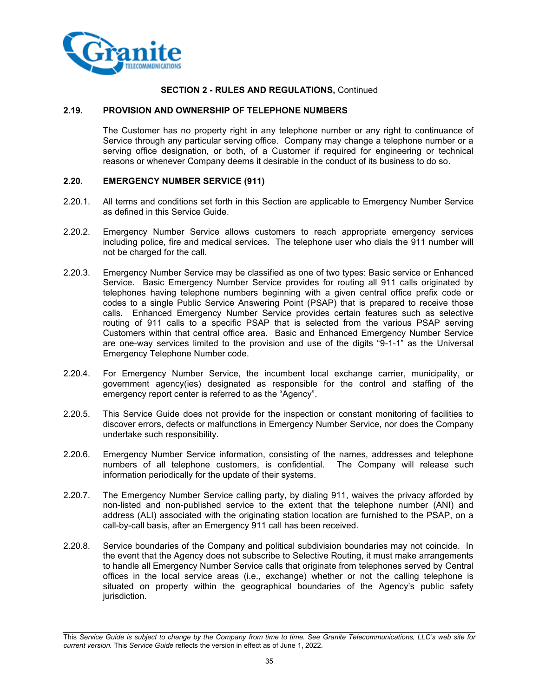

#### **2.19. PROVISION AND OWNERSHIP OF TELEPHONE NUMBERS**

The Customer has no property right in any telephone number or any right to continuance of Service through any particular serving office. Company may change a telephone number or a serving office designation, or both, of a Customer if required for engineering or technical reasons or whenever Company deems it desirable in the conduct of its business to do so.

#### **2.20. EMERGENCY NUMBER SERVICE (911)**

- 2.20.1. All terms and conditions set forth in this Section are applicable to Emergency Number Service as defined in this Service Guide.
- 2.20.2. Emergency Number Service allows customers to reach appropriate emergency services including police, fire and medical services. The telephone user who dials the 911 number will not be charged for the call.
- 2.20.3. Emergency Number Service may be classified as one of two types: Basic service or Enhanced Service. Basic Emergency Number Service provides for routing all 911 calls originated by telephones having telephone numbers beginning with a given central office prefix code or codes to a single Public Service Answering Point (PSAP) that is prepared to receive those calls. Enhanced Emergency Number Service provides certain features such as selective routing of 911 calls to a specific PSAP that is selected from the various PSAP serving Customers within that central office area. Basic and Enhanced Emergency Number Service are one-way services limited to the provision and use of the digits "9-1-1" as the Universal Emergency Telephone Number code.
- 2.20.4. For Emergency Number Service, the incumbent local exchange carrier, municipality, or government agency(ies) designated as responsible for the control and staffing of the emergency report center is referred to as the "Agency".
- 2.20.5. This Service Guide does not provide for the inspection or constant monitoring of facilities to discover errors, defects or malfunctions in Emergency Number Service, nor does the Company undertake such responsibility.
- 2.20.6. Emergency Number Service information, consisting of the names, addresses and telephone numbers of all telephone customers, is confidential. The Company will release such information periodically for the update of their systems.
- 2.20.7. The Emergency Number Service calling party, by dialing 911, waives the privacy afforded by non-listed and non-published service to the extent that the telephone number (ANI) and address (ALI) associated with the originating station location are furnished to the PSAP, on a call-by-call basis, after an Emergency 911 call has been received.
- 2.20.8. Service boundaries of the Company and political subdivision boundaries may not coincide. In the event that the Agency does not subscribe to Selective Routing, it must make arrangements to handle all Emergency Number Service calls that originate from telephones served by Central offices in the local service areas (i.e., exchange) whether or not the calling telephone is situated on property within the geographical boundaries of the Agency's public safety jurisdiction.

This *Service Guide is subject to change by the Company from time to time. See Granite Telecommunications, LLC's web site for current version.* This *Service Guide* reflects the version in effect as of June 1, 2022.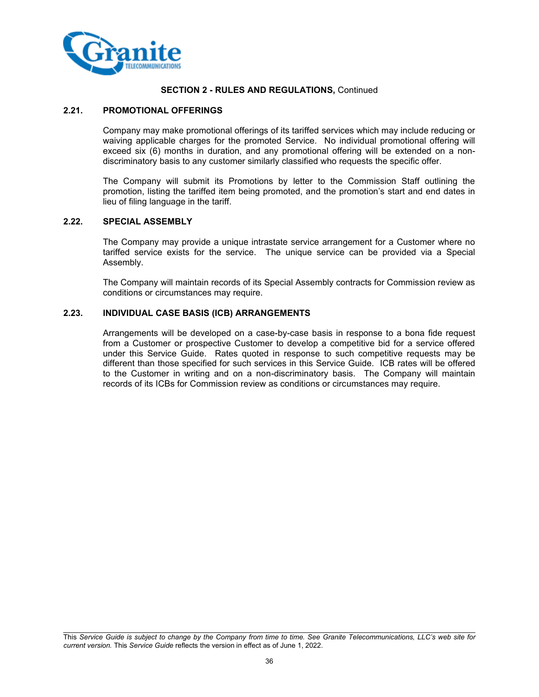

#### **2.21. PROMOTIONAL OFFERINGS**

Company may make promotional offerings of its tariffed services which may include reducing or waiving applicable charges for the promoted Service. No individual promotional offering will exceed six (6) months in duration, and any promotional offering will be extended on a nondiscriminatory basis to any customer similarly classified who requests the specific offer.

The Company will submit its Promotions by letter to the Commission Staff outlining the promotion, listing the tariffed item being promoted, and the promotion's start and end dates in lieu of filing language in the tariff.

## **2.22. SPECIAL ASSEMBLY**

The Company may provide a unique intrastate service arrangement for a Customer where no tariffed service exists for the service. The unique service can be provided via a Special Assembly.

The Company will maintain records of its Special Assembly contracts for Commission review as conditions or circumstances may require.

## **2.23. INDIVIDUAL CASE BASIS (ICB) ARRANGEMENTS**

Arrangements will be developed on a case-by-case basis in response to a bona fide request from a Customer or prospective Customer to develop a competitive bid for a service offered under this Service Guide. Rates quoted in response to such competitive requests may be different than those specified for such services in this Service Guide. ICB rates will be offered to the Customer in writing and on a non-discriminatory basis. The Company will maintain records of its ICBs for Commission review as conditions or circumstances may require.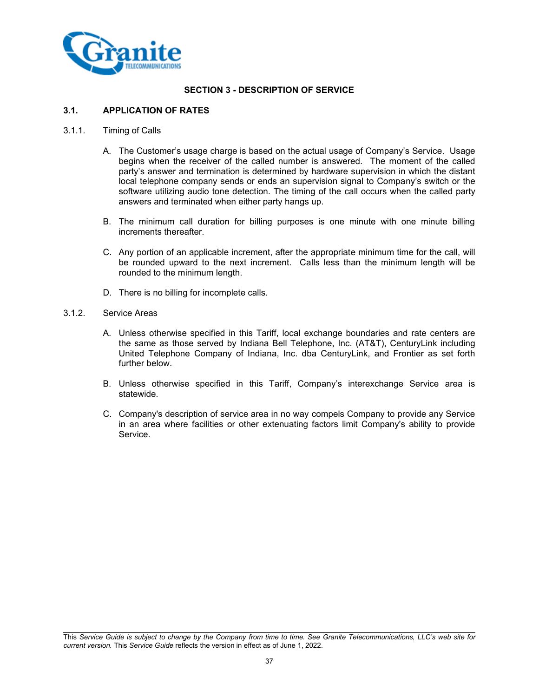

## **SECTION 3 - DESCRIPTION OF SERVICE**

## **3.1. APPLICATION OF RATES**

#### 3.1.1. Timing of Calls

- A. The Customer's usage charge is based on the actual usage of Company's Service. Usage begins when the receiver of the called number is answered. The moment of the called party's answer and termination is determined by hardware supervision in which the distant local telephone company sends or ends an supervision signal to Company's switch or the software utilizing audio tone detection. The timing of the call occurs when the called party answers and terminated when either party hangs up.
- B. The minimum call duration for billing purposes is one minute with one minute billing increments thereafter.
- C. Any portion of an applicable increment, after the appropriate minimum time for the call, will be rounded upward to the next increment. Calls less than the minimum length will be rounded to the minimum length.
- D. There is no billing for incomplete calls.

### 3.1.2. Service Areas

- A. Unless otherwise specified in this Tariff, local exchange boundaries and rate centers are the same as those served by Indiana Bell Telephone, Inc. (AT&T), CenturyLink including United Telephone Company of Indiana, Inc. dba CenturyLink, and Frontier as set forth further below.
- B. Unless otherwise specified in this Tariff, Company's interexchange Service area is statewide.
- C. Company's description of service area in no way compels Company to provide any Service in an area where facilities or other extenuating factors limit Company's ability to provide Service.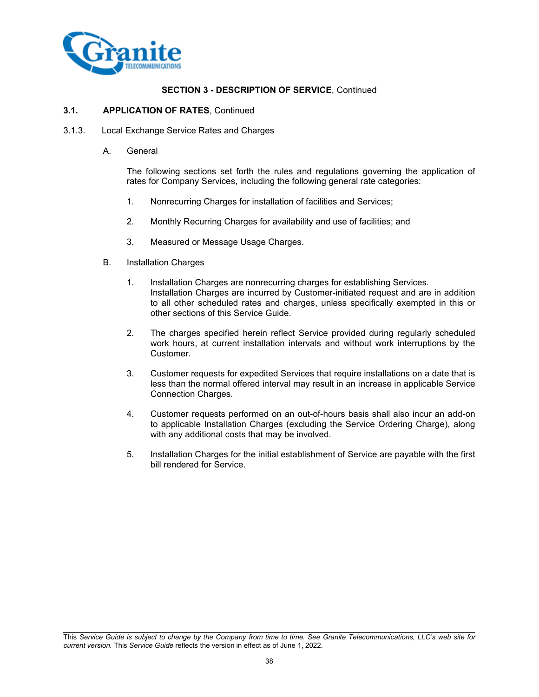

### **3.1. APPLICATION OF RATES**, Continued

- 3.1.3. Local Exchange Service Rates and Charges
	- A. General

The following sections set forth the rules and regulations governing the application of rates for Company Services, including the following general rate categories:

- 1. Nonrecurring Charges for installation of facilities and Services;
- 2. Monthly Recurring Charges for availability and use of facilities; and
- 3. Measured or Message Usage Charges.
- B. Installation Charges
	- 1. Installation Charges are nonrecurring charges for establishing Services. Installation Charges are incurred by Customer-initiated request and are in addition to all other scheduled rates and charges, unless specifically exempted in this or other sections of this Service Guide.
	- 2. The charges specified herein reflect Service provided during regularly scheduled work hours, at current installation intervals and without work interruptions by the Customer.
	- 3. Customer requests for expedited Services that require installations on a date that is less than the normal offered interval may result in an increase in applicable Service Connection Charges.
	- 4. Customer requests performed on an out-of-hours basis shall also incur an add-on to applicable Installation Charges (excluding the Service Ordering Charge), along with any additional costs that may be involved.
	- 5. Installation Charges for the initial establishment of Service are payable with the first bill rendered for Service.

This *Service Guide is subject to change by the Company from time to time. See Granite Telecommunications, LLC's web site for current version.* This *Service Guide* reflects the version in effect as of June 1, 2022.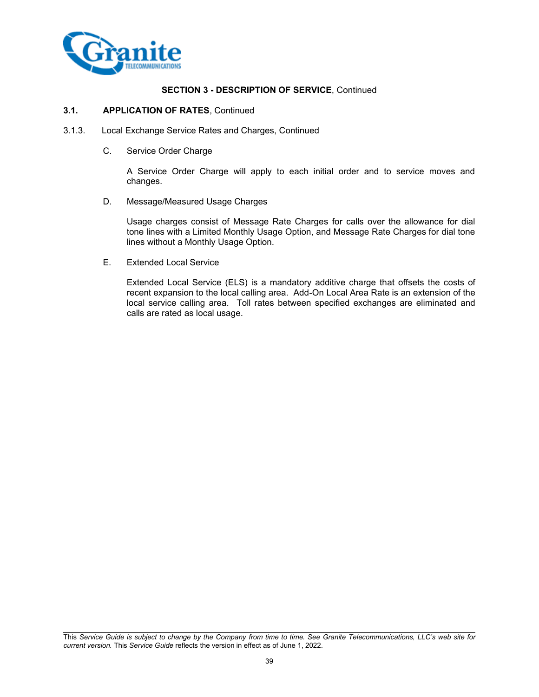

#### **3.1. APPLICATION OF RATES**, Continued

- 3.1.3. Local Exchange Service Rates and Charges, Continued
	- C. Service Order Charge

A Service Order Charge will apply to each initial order and to service moves and changes.

D. Message/Measured Usage Charges

Usage charges consist of Message Rate Charges for calls over the allowance for dial tone lines with a Limited Monthly Usage Option, and Message Rate Charges for dial tone lines without a Monthly Usage Option.

E. Extended Local Service

Extended Local Service (ELS) is a mandatory additive charge that offsets the costs of recent expansion to the local calling area. Add-On Local Area Rate is an extension of the local service calling area. Toll rates between specified exchanges are eliminated and calls are rated as local usage.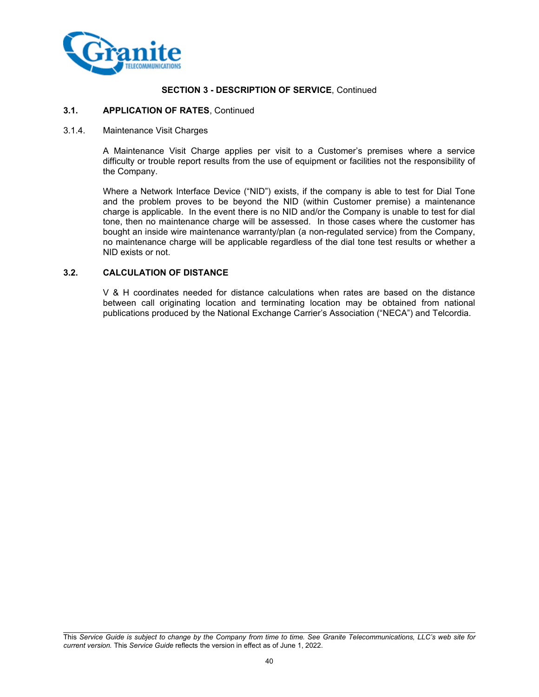

#### **3.1. APPLICATION OF RATES**, Continued

### 3.1.4. Maintenance Visit Charges

A Maintenance Visit Charge applies per visit to a Customer's premises where a service difficulty or trouble report results from the use of equipment or facilities not the responsibility of the Company.

Where a Network Interface Device ("NID") exists, if the company is able to test for Dial Tone and the problem proves to be beyond the NID (within Customer premise) a maintenance charge is applicable. In the event there is no NID and/or the Company is unable to test for dial tone, then no maintenance charge will be assessed. In those cases where the customer has bought an inside wire maintenance warranty/plan (a non-regulated service) from the Company, no maintenance charge will be applicable regardless of the dial tone test results or whether a NID exists or not.

### **3.2. CALCULATION OF DISTANCE**

V & H coordinates needed for distance calculations when rates are based on the distance between call originating location and terminating location may be obtained from national publications produced by the National Exchange Carrier's Association ("NECA") and Telcordia.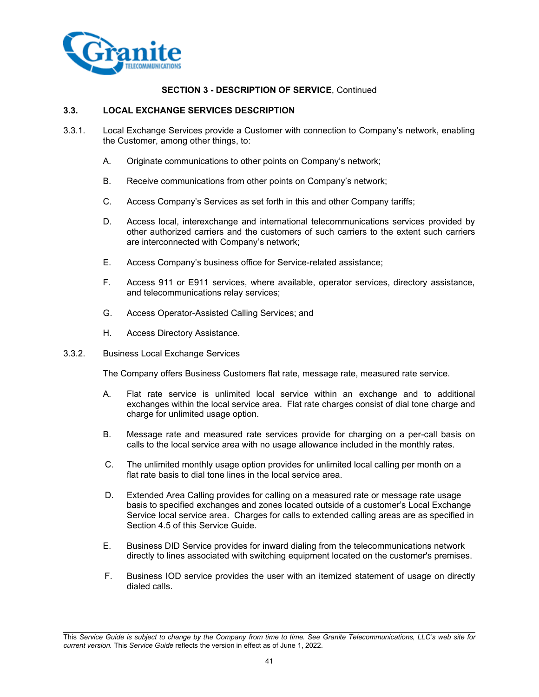

### **3.3. LOCAL EXCHANGE SERVICES DESCRIPTION**

- 3.3.1. Local Exchange Services provide a Customer with connection to Company's network, enabling the Customer, among other things, to:
	- A. Originate communications to other points on Company's network;
	- B. Receive communications from other points on Company's network;
	- C. Access Company's Services as set forth in this and other Company tariffs;
	- D. Access local, interexchange and international telecommunications services provided by other authorized carriers and the customers of such carriers to the extent such carriers are interconnected with Company's network;
	- E. Access Company's business office for Service-related assistance;
	- F. Access 911 or E911 services, where available, operator services, directory assistance, and telecommunications relay services;
	- G. Access Operator-Assisted Calling Services; and
	- H. Access Directory Assistance.
- 3.3.2. Business Local Exchange Services

The Company offers Business Customers flat rate, message rate, measured rate service.

- A. Flat rate service is unlimited local service within an exchange and to additional exchanges within the local service area. Flat rate charges consist of dial tone charge and charge for unlimited usage option.
- B. Message rate and measured rate services provide for charging on a per-call basis on calls to the local service area with no usage allowance included in the monthly rates.
- C. The unlimited monthly usage option provides for unlimited local calling per month on a flat rate basis to dial tone lines in the local service area.
- D. Extended Area Calling provides for calling on a measured rate or message rate usage basis to specified exchanges and zones located outside of a customer's Local Exchange Service local service area. Charges for calls to extended calling areas are as specified in Section 4.5 of this Service Guide.
- E. Business DID Service provides for inward dialing from the telecommunications network directly to lines associated with switching equipment located on the customer's premises.
- F. Business IOD service provides the user with an itemized statement of usage on directly dialed calls.

This *Service Guide is subject to change by the Company from time to time. See Granite Telecommunications, LLC's web site for current version.* This *Service Guide* reflects the version in effect as of June 1, 2022.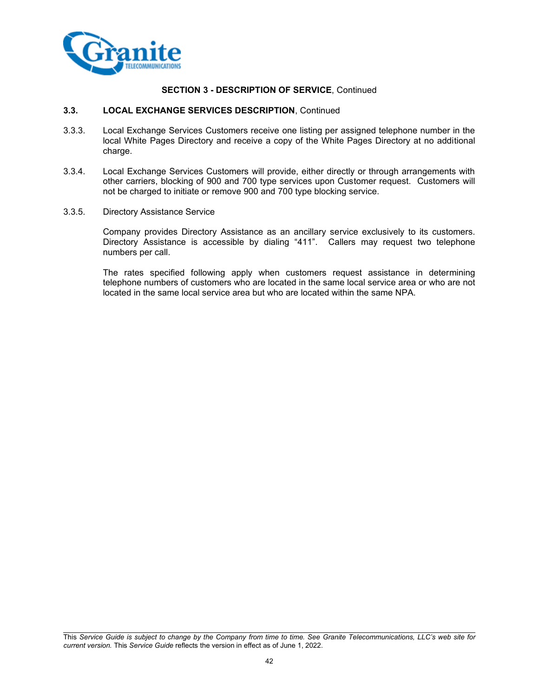

### **3.3. LOCAL EXCHANGE SERVICES DESCRIPTION**, Continued

- 3.3.3. Local Exchange Services Customers receive one listing per assigned telephone number in the local White Pages Directory and receive a copy of the White Pages Directory at no additional charge.
- 3.3.4. Local Exchange Services Customers will provide, either directly or through arrangements with other carriers, blocking of 900 and 700 type services upon Customer request. Customers will not be charged to initiate or remove 900 and 700 type blocking service.
- 3.3.5. Directory Assistance Service

Company provides Directory Assistance as an ancillary service exclusively to its customers. Directory Assistance is accessible by dialing "411". Callers may request two telephone numbers per call.

The rates specified following apply when customers request assistance in determining telephone numbers of customers who are located in the same local service area or who are not located in the same local service area but who are located within the same NPA.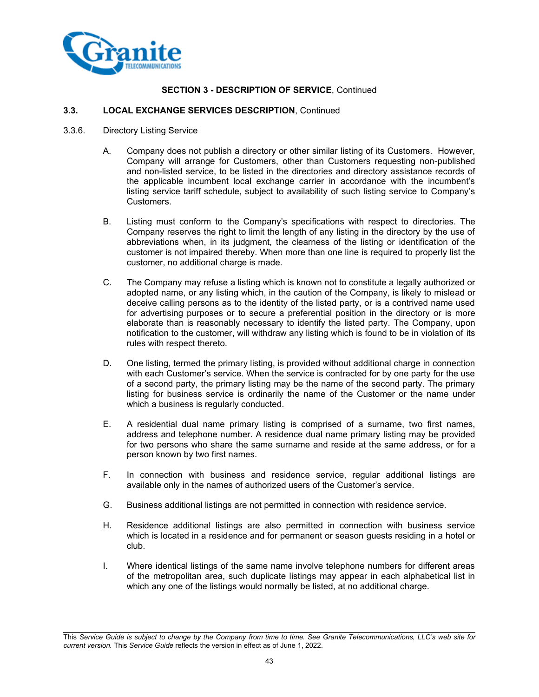

# **3.3. LOCAL EXCHANGE SERVICES DESCRIPTION**, Continued

- 3.3.6. Directory Listing Service
	- A. Company does not publish a directory or other similar listing of its Customers. However, Company will arrange for Customers, other than Customers requesting non-published and non-listed service, to be listed in the directories and directory assistance records of the applicable incumbent local exchange carrier in accordance with the incumbent's listing service tariff schedule, subject to availability of such listing service to Company's Customers.
	- B. Listing must conform to the Company's specifications with respect to directories. The Company reserves the right to limit the length of any listing in the directory by the use of abbreviations when, in its judgment, the clearness of the listing or identification of the customer is not impaired thereby. When more than one line is required to properly list the customer, no additional charge is made.
	- C. The Company may refuse a listing which is known not to constitute a legally authorized or adopted name, or any listing which, in the caution of the Company, is likely to mislead or deceive calling persons as to the identity of the listed party, or is a contrived name used for advertising purposes or to secure a preferential position in the directory or is more elaborate than is reasonably necessary to identify the listed party. The Company, upon notification to the customer, will withdraw any listing which is found to be in violation of its rules with respect thereto.
	- D. One listing, termed the primary listing, is provided without additional charge in connection with each Customer's service. When the service is contracted for by one party for the use of a second party, the primary listing may be the name of the second party. The primary listing for business service is ordinarily the name of the Customer or the name under which a business is regularly conducted.
	- E. A residential dual name primary listing is comprised of a surname, two first names, address and telephone number. A residence dual name primary listing may be provided for two persons who share the same surname and reside at the same address, or for a person known by two first names.
	- F. In connection with business and residence service, regular additional listings are available only in the names of authorized users of the Customer's service.
	- G. Business additional listings are not permitted in connection with residence service.
	- H. Residence additional listings are also permitted in connection with business service which is located in a residence and for permanent or season guests residing in a hotel or club.
	- I. Where identical listings of the same name involve telephone numbers for different areas of the metropolitan area, such duplicate listings may appear in each alphabetical list in which any one of the listings would normally be listed, at no additional charge.

This *Service Guide is subject to change by the Company from time to time. See Granite Telecommunications, LLC's web site for current version.* This *Service Guide* reflects the version in effect as of June 1, 2022.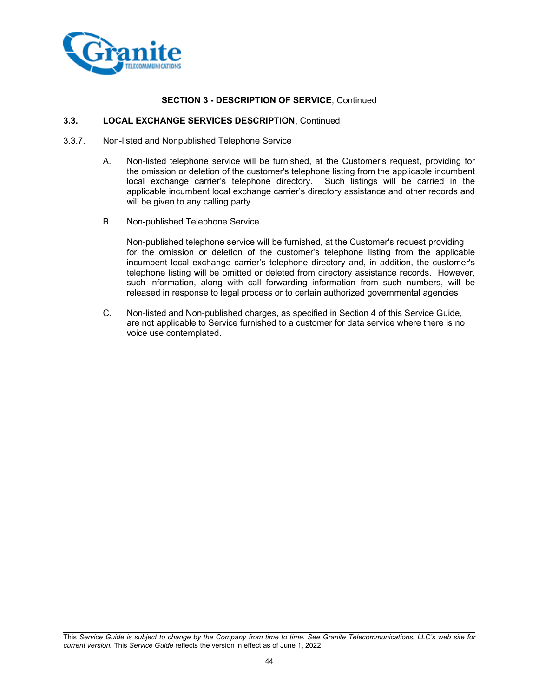

### **3.3. LOCAL EXCHANGE SERVICES DESCRIPTION**, Continued

- 3.3.7. Non-listed and Nonpublished Telephone Service
	- A. Non-listed telephone service will be furnished, at the Customer's request, providing for the omission or deletion of the customer's telephone listing from the applicable incumbent local exchange carrier's telephone directory. Such listings will be carried in the applicable incumbent local exchange carrier's directory assistance and other records and will be given to any calling party.
	- B. Non-published Telephone Service

Non-published telephone service will be furnished, at the Customer's request providing for the omission or deletion of the customer's telephone listing from the applicable incumbent local exchange carrier's telephone directory and, in addition, the customer's telephone listing will be omitted or deleted from directory assistance records. However, such information, along with call forwarding information from such numbers, will be released in response to legal process or to certain authorized governmental agencies

C. Non-listed and Non-published charges, as specified in Section 4 of this Service Guide, are not applicable to Service furnished to a customer for data service where there is no voice use contemplated.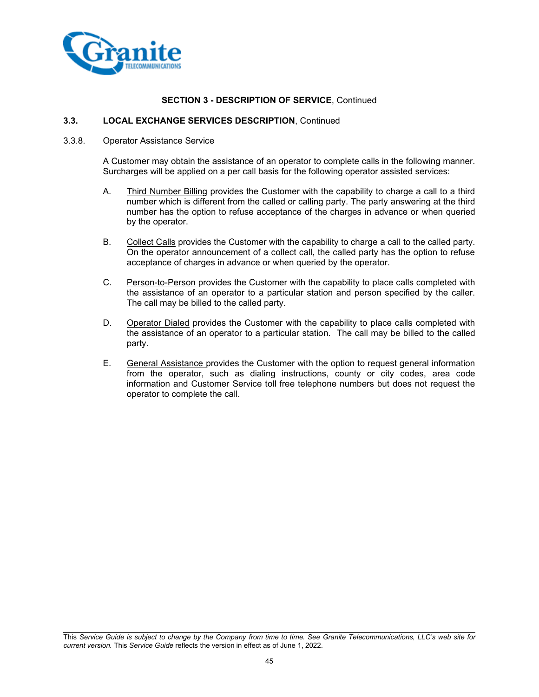

#### **3.3. LOCAL EXCHANGE SERVICES DESCRIPTION**, Continued

#### 3.3.8. Operator Assistance Service

A Customer may obtain the assistance of an operator to complete calls in the following manner. Surcharges will be applied on a per call basis for the following operator assisted services:

- A. Third Number Billing provides the Customer with the capability to charge a call to a third number which is different from the called or calling party. The party answering at the third number has the option to refuse acceptance of the charges in advance or when queried by the operator.
- B. Collect Calls provides the Customer with the capability to charge a call to the called party. On the operator announcement of a collect call, the called party has the option to refuse acceptance of charges in advance or when queried by the operator.
- C. Person-to-Person provides the Customer with the capability to place calls completed with the assistance of an operator to a particular station and person specified by the caller. The call may be billed to the called party.
- D. Operator Dialed provides the Customer with the capability to place calls completed with the assistance of an operator to a particular station. The call may be billed to the called party.
- E. General Assistance provides the Customer with the option to request general information from the operator, such as dialing instructions, county or city codes, area code information and Customer Service toll free telephone numbers but does not request the operator to complete the call.

This *Service Guide is subject to change by the Company from time to time. See Granite Telecommunications, LLC's web site for current version.* This *Service Guide* reflects the version in effect as of June 1, 2022.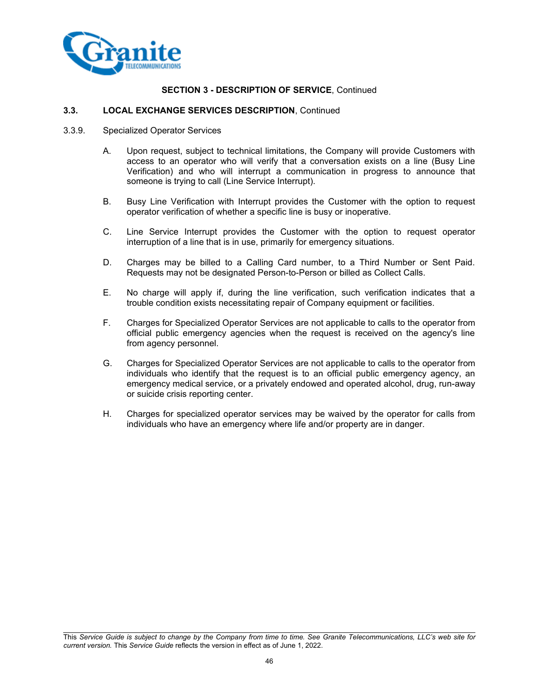

## **3.3. LOCAL EXCHANGE SERVICES DESCRIPTION**, Continued

- 3.3.9. Specialized Operator Services
	- A. Upon request, subject to technical limitations, the Company will provide Customers with access to an operator who will verify that a conversation exists on a line (Busy Line Verification) and who will interrupt a communication in progress to announce that someone is trying to call (Line Service Interrupt).
	- B. Busy Line Verification with Interrupt provides the Customer with the option to request operator verification of whether a specific line is busy or inoperative.
	- C. Line Service Interrupt provides the Customer with the option to request operator interruption of a line that is in use, primarily for emergency situations.
	- D. Charges may be billed to a Calling Card number, to a Third Number or Sent Paid. Requests may not be designated Person-to-Person or billed as Collect Calls.
	- E. No charge will apply if, during the line verification, such verification indicates that a trouble condition exists necessitating repair of Company equipment or facilities.
	- F. Charges for Specialized Operator Services are not applicable to calls to the operator from official public emergency agencies when the request is received on the agency's line from agency personnel.
	- G. Charges for Specialized Operator Services are not applicable to calls to the operator from individuals who identify that the request is to an official public emergency agency, an emergency medical service, or a privately endowed and operated alcohol, drug, run-away or suicide crisis reporting center.
	- H. Charges for specialized operator services may be waived by the operator for calls from individuals who have an emergency where life and/or property are in danger.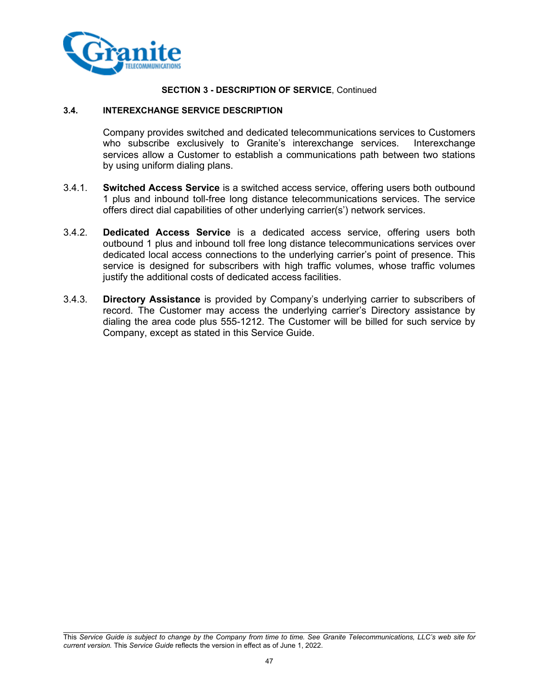

## **3.4. INTEREXCHANGE SERVICE DESCRIPTION**

Company provides switched and dedicated telecommunications services to Customers who subscribe exclusively to Granite's interexchange services. Interexchange services allow a Customer to establish a communications path between two stations by using uniform dialing plans.

- 3.4.1. **Switched Access Service** is a switched access service, offering users both outbound 1 plus and inbound toll-free long distance telecommunications services. The service offers direct dial capabilities of other underlying carrier(s') network services.
- 3.4.2. **Dedicated Access Service** is a dedicated access service, offering users both outbound 1 plus and inbound toll free long distance telecommunications services over dedicated local access connections to the underlying carrier's point of presence. This service is designed for subscribers with high traffic volumes, whose traffic volumes justify the additional costs of dedicated access facilities.
- 3.4.3. **Directory Assistance** is provided by Company's underlying carrier to subscribers of record. The Customer may access the underlying carrier's Directory assistance by dialing the area code plus 555-1212. The Customer will be billed for such service by Company, except as stated in this Service Guide.

This *Service Guide is subject to change by the Company from time to time. See Granite Telecommunications, LLC's web site for current version.* This *Service Guide* reflects the version in effect as of June 1, 2022.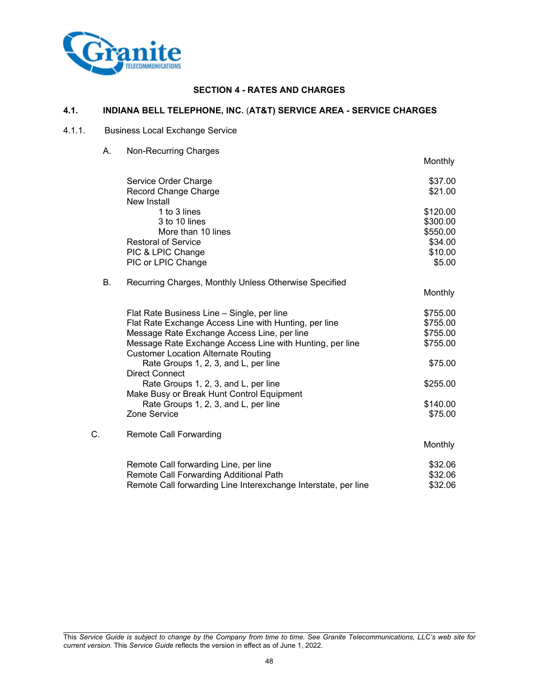

# **SECTION 4 - RATES AND CHARGES**

## **4.1. INDIANA BELL TELEPHONE, INC.** (**AT&T) SERVICE AREA - SERVICE CHARGES**

# 4.1.1. Business Local Exchange Service

A. Non-Recurring Charges

|    |                                                                                                        | Monthly             |
|----|--------------------------------------------------------------------------------------------------------|---------------------|
|    | Service Order Charge                                                                                   | \$37.00             |
|    | Record Change Charge                                                                                   | \$21.00             |
|    | New Install                                                                                            |                     |
|    | 1 to 3 lines                                                                                           | \$120.00            |
|    | 3 to 10 lines                                                                                          | \$300.00            |
|    | More than 10 lines<br><b>Restoral of Service</b>                                                       | \$550.00<br>\$34.00 |
|    | PIC & LPIC Change                                                                                      | \$10.00             |
|    | PIC or LPIC Change                                                                                     | \$5.00              |
|    |                                                                                                        |                     |
| В. | Recurring Charges, Monthly Unless Otherwise Specified                                                  |                     |
|    |                                                                                                        | Monthly             |
|    | Flat Rate Business Line - Single, per line                                                             | \$755.00            |
|    | Flat Rate Exchange Access Line with Hunting, per line                                                  | \$755.00            |
|    | Message Rate Exchange Access Line, per line                                                            | \$755.00            |
|    | Message Rate Exchange Access Line with Hunting, per line<br><b>Customer Location Alternate Routing</b> | \$755.00            |
|    | Rate Groups 1, 2, 3, and L, per line<br><b>Direct Connect</b>                                          | \$75.00             |
|    | Rate Groups 1, 2, 3, and L, per line                                                                   | \$255.00            |
|    | Make Busy or Break Hunt Control Equipment                                                              |                     |
|    | Rate Groups 1, 2, 3, and L, per line                                                                   | \$140.00            |
|    | Zone Service                                                                                           | \$75.00             |
| C. | Remote Call Forwarding                                                                                 |                     |
|    |                                                                                                        | <b>Monthly</b>      |
|    | Remote Call forwarding Line, per line                                                                  | \$32.06             |
|    | Remote Call Forwarding Additional Path                                                                 | \$32.06             |
|    | Remote Call forwarding Line Interexchange Interstate, per line                                         | \$32.06             |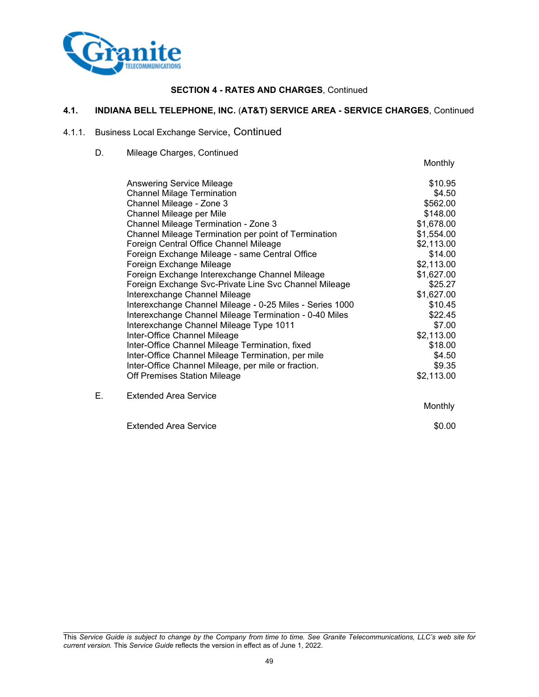

## **4.1. INDIANA BELL TELEPHONE, INC.** (**AT&T) SERVICE AREA - SERVICE CHARGES**, Continued

# 4.1.1. Business Local Exchange Service, Continued

D. Mileage Charges, Continued

|    |                                                          | Monthly    |
|----|----------------------------------------------------------|------------|
|    | Answering Service Mileage                                | \$10.95    |
|    | <b>Channel Milage Termination</b>                        | \$4.50     |
|    | Channel Mileage - Zone 3                                 | \$562.00   |
|    | Channel Mileage per Mile                                 | \$148.00   |
|    | Channel Mileage Termination - Zone 3                     | \$1,678.00 |
|    | Channel Mileage Termination per point of Termination     | \$1,554.00 |
|    | Foreign Central Office Channel Mileage                   | \$2,113.00 |
|    | Foreign Exchange Mileage - same Central Office           | \$14.00    |
|    | Foreign Exchange Mileage                                 | \$2,113.00 |
|    | Foreign Exchange Interexchange Channel Mileage           | \$1,627.00 |
|    | Foreign Exchange Svc-Private Line Svc Channel Mileage    | \$25.27    |
|    | Interexchange Channel Mileage                            | \$1,627.00 |
|    | Interexchange Channel Mileage - 0-25 Miles - Series 1000 | \$10.45    |
|    | Interexchange Channel Mileage Termination - 0-40 Miles   | \$22.45    |
|    | Interexchange Channel Mileage Type 1011                  | \$7.00     |
|    | Inter-Office Channel Mileage                             | \$2,113.00 |
|    | Inter-Office Channel Mileage Termination, fixed          | \$18.00    |
|    | Inter-Office Channel Mileage Termination, per mile       | \$4.50     |
|    | Inter-Office Channel Mileage, per mile or fraction.      | \$9.35     |
|    | Off Premises Station Mileage                             | \$2,113.00 |
| Е. | <b>Extended Area Service</b>                             |            |

Monthly

Extended Area Service  $\sim$  \$0.00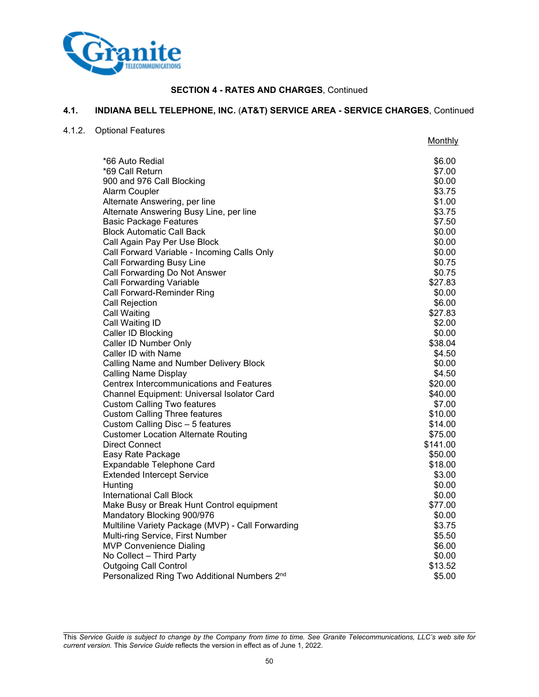

## **4.1. INDIANA BELL TELEPHONE, INC.** (**AT&T) SERVICE AREA - SERVICE CHARGES**, Continued

4.1.2. Optional Features

|                                                   | <b>Monthly</b> |
|---------------------------------------------------|----------------|
| *66 Auto Redial                                   | \$6.00         |
| *69 Call Return                                   | \$7.00         |
| 900 and 976 Call Blocking                         | \$0.00         |
| Alarm Coupler                                     | \$3.75         |
| Alternate Answering, per line                     | \$1.00         |
| Alternate Answering Busy Line, per line           | \$3.75         |
| <b>Basic Package Features</b>                     | \$7.50         |
| <b>Block Automatic Call Back</b>                  | \$0.00         |
| Call Again Pay Per Use Block                      | \$0.00         |
| Call Forward Variable - Incoming Calls Only       | \$0.00         |
| Call Forwarding Busy Line                         | \$0.75         |
| Call Forwarding Do Not Answer                     | \$0.75         |
| <b>Call Forwarding Variable</b>                   | \$27.83        |
| Call Forward-Reminder Ring                        | \$0.00         |
| Call Rejection                                    | \$6.00         |
| <b>Call Waiting</b>                               | \$27.83        |
| Call Waiting ID                                   | \$2.00         |
| Caller ID Blocking                                | \$0.00         |
| Caller ID Number Only                             | \$38.04        |
| Caller ID with Name                               | \$4.50         |
| Calling Name and Number Delivery Block            | \$0.00         |
| <b>Calling Name Display</b>                       | \$4.50         |
| <b>Centrex Intercommunications and Features</b>   | \$20.00        |
| Channel Equipment: Universal Isolator Card        | \$40.00        |
| <b>Custom Calling Two features</b>                | \$7.00         |
| <b>Custom Calling Three features</b>              | \$10.00        |
| Custom Calling Disc - 5 features                  | \$14.00        |
| <b>Customer Location Alternate Routing</b>        | \$75.00        |
| <b>Direct Connect</b>                             | \$141.00       |
| Easy Rate Package                                 | \$50.00        |
| Expandable Telephone Card                         | \$18.00        |
| <b>Extended Intercept Service</b>                 | \$3.00         |
| Hunting                                           | \$0.00         |
| <b>International Call Block</b>                   | \$0.00         |
| Make Busy or Break Hunt Control equipment         | \$77.00        |
| Mandatory Blocking 900/976                        | \$0.00         |
| Multiline Variety Package (MVP) - Call Forwarding | \$3.75         |
| Multi-ring Service, First Number                  | \$5.50         |
| <b>MVP Convenience Dialing</b>                    | \$6.00         |
| No Collect - Third Party                          | \$0.00         |
| <b>Outgoing Call Control</b>                      | \$13.52        |
| Personalized Ring Two Additional Numbers 2nd      | \$5.00         |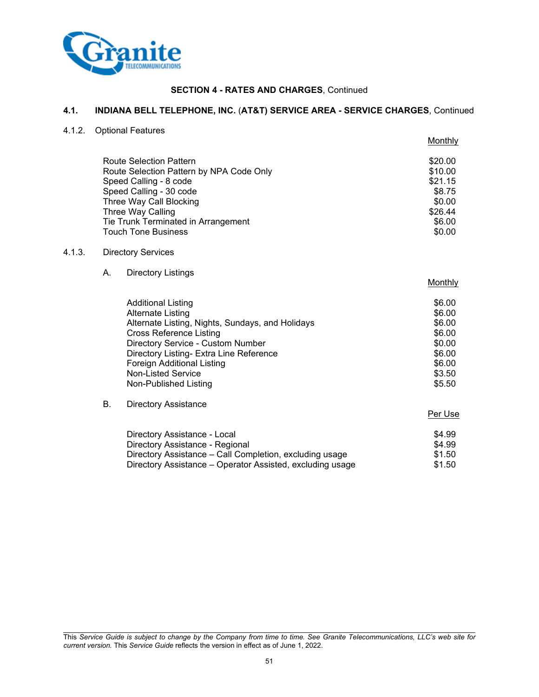

## **4.1. INDIANA BELL TELEPHONE, INC.** (**AT&T) SERVICE AREA - SERVICE CHARGES**, Continued

4.1.2. Optional Features

|                                          | Monthly |
|------------------------------------------|---------|
| <b>Route Selection Pattern</b>           | \$20.00 |
| Route Selection Pattern by NPA Code Only | \$10.00 |
| Speed Calling - 8 code                   | \$21.15 |
| Speed Calling - 30 code                  | \$8.75  |
| Three Way Call Blocking                  | \$0.00  |
| Three Way Calling                        | \$26.44 |
| Tie Trunk Terminated in Arrangement      | \$6.00  |
| <b>Touch Tone Business</b>               | \$0.00  |

### 4.1.3. Directory Services

A. Directory Listings

| <b>Additional Listing</b>                        | \$6.00 |
|--------------------------------------------------|--------|
| <b>Alternate Listing</b>                         | \$6.00 |
| Alternate Listing, Nights, Sundays, and Holidays | \$6.00 |
| <b>Cross Reference Listing</b>                   | \$6.00 |
| Directory Service - Custom Number                | \$0.00 |
| Directory Listing- Extra Line Reference          | \$6.00 |
| Foreign Additional Listing                       | \$6.00 |
| Non-Listed Service                               | \$3.50 |
| Non-Published Listing                            | \$5.50 |

# B. Directory Assistance

### Per Use

Monthly

| Directory Assistance - Local                              | \$4.99 |
|-----------------------------------------------------------|--------|
| Directory Assistance - Regional                           | \$4.99 |
| Directory Assistance – Call Completion, excluding usage   | \$1.50 |
| Directory Assistance – Operator Assisted, excluding usage | \$1.50 |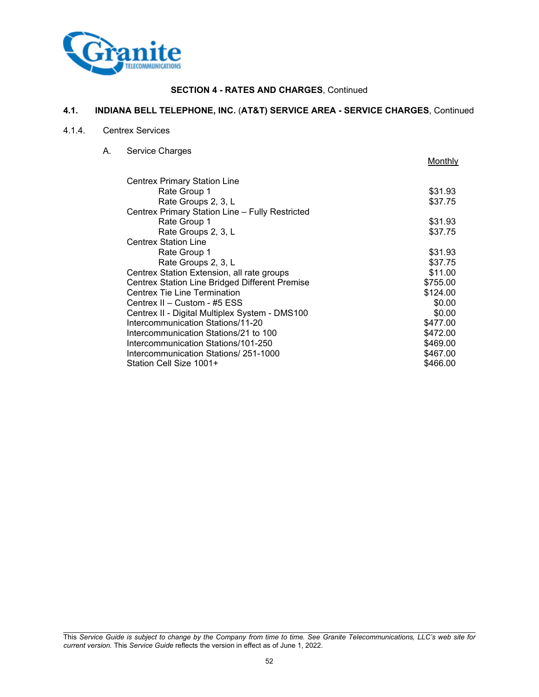

## **4.1. INDIANA BELL TELEPHONE, INC.** (**AT&T) SERVICE AREA - SERVICE CHARGES**, Continued

## 4.1.4. Centrex Services

A. Service Charges

|                                                 | Monthly  |
|-------------------------------------------------|----------|
| Centrex Primary Station Line                    |          |
| Rate Group 1                                    | \$31.93  |
| Rate Groups 2, 3, L                             | \$37.75  |
| Centrex Primary Station Line - Fully Restricted |          |
|                                                 |          |
| Rate Group 1                                    | \$31.93  |
| Rate Groups 2, 3, L                             | \$37.75  |
| <b>Centrex Station Line</b>                     |          |
| Rate Group 1                                    | \$31.93  |
| Rate Groups 2, 3, L                             | \$37.75  |
| Centrex Station Extension, all rate groups      | \$11.00  |
| Centrex Station Line Bridged Different Premise  | \$755.00 |
| <b>Centrex Tie Line Termination</b>             | \$124.00 |
| Centrex II - Custom - #5 ESS                    | \$0.00   |
| Centrex II - Digital Multiplex System - DMS100  | \$0.00   |
| Intercommunication Stations/11-20               | \$477.00 |
| Intercommunication Stations/21 to 100           | \$472.00 |
| Intercommunication Stations/101-250             | \$469.00 |
| Intercommunication Stations/ 251-1000           | \$467.00 |
| Station Cell Size 1001+                         | \$466.00 |
|                                                 |          |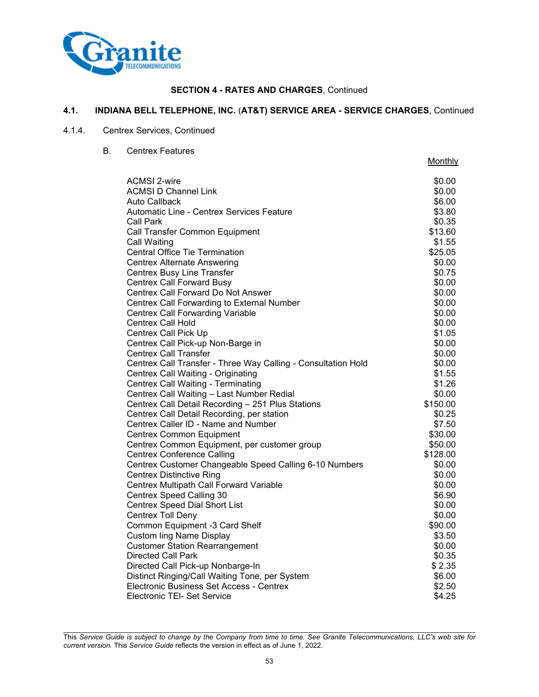

## **4.1. INDIANA BELL TELEPHONE, INC.** (**AT&T) SERVICE AREA - SERVICE CHARGES**, Continued

### 4.1.4. Centrex Services, Continued

B. Centrex Features

|                                                               | Monthly  |
|---------------------------------------------------------------|----------|
| <b>ACMSI 2-wire</b>                                           | \$0.00   |
| <b>ACMSI D Channel Link</b>                                   | \$0.00   |
| Auto Callback                                                 | \$6.00   |
| Automatic Line - Centrex Services Feature                     | \$3.80   |
| <b>Call Park</b>                                              | \$0.35   |
| Call Transfer Common Equipment                                | \$13.60  |
| Call Waiting                                                  | \$1.55   |
| <b>Central Office Tie Termination</b>                         | \$25.05  |
| <b>Centrex Alternate Answering</b>                            | \$0.00   |
| <b>Centrex Busy Line Transfer</b>                             | \$0.75   |
| <b>Centrex Call Forward Busy</b>                              | \$0.00   |
| Centrex Call Forward Do Not Answer                            | \$0.00   |
| Centrex Call Forwarding to External Number                    | \$0.00   |
| <b>Centrex Call Forwarding Variable</b>                       | \$0.00   |
| <b>Centrex Call Hold</b>                                      | \$0.00   |
| <b>Centrex Call Pick Up</b>                                   | \$1.05   |
| Centrex Call Pick-up Non-Barge in                             | \$0.00   |
| <b>Centrex Call Transfer</b>                                  | \$0.00   |
| Centrex Call Transfer - Three Way Calling - Consultation Hold | \$0.00   |
| Centrex Call Waiting - Originating                            | \$1.55   |
| <b>Centrex Call Waiting - Terminating</b>                     | \$1.26   |
| Centrex Call Waiting - Last Number Redial                     | \$0.00   |
| Centrex Call Detail Recording - 251 Plus Stations             | \$150.00 |
| Centrex Call Detail Recording, per station                    | \$0.25   |
| Centrex Caller ID - Name and Number                           | \$7.50   |
| <b>Centrex Common Equipment</b>                               | \$30.00  |
| Centrex Common Equipment, per customer group                  | \$50.00  |
| <b>Centrex Conference Calling</b>                             | \$128.00 |
| Centrex Customer Changeable Speed Calling 6-10 Numbers        | \$0.00   |
| <b>Centrex Distinctive Ring</b>                               | \$0.00   |
| Centrex Multipath Call Forward Variable                       | \$0.00   |
| <b>Centrex Speed Calling 30</b>                               | \$6.90   |
| <b>Centrex Speed Dial Short List</b>                          | \$0.00   |
| <b>Centrex Toll Deny</b>                                      | \$0.00   |
| Common Equipment -3 Card Shelf                                | \$90.00  |
| <b>Custom ling Name Display</b>                               | \$3.50   |
| <b>Customer Station Rearrangement</b>                         | \$0.00   |
| <b>Directed Call Park</b>                                     | \$0.35   |
| Directed Call Pick-up Nonbarge-In                             | \$2.35   |
| Distinct Ringing/Call Waiting Tone, per System                | \$6.00   |
| Electronic Business Set Access - Centrex                      | \$2.50   |
| <b>Electronic TEI- Set Service</b>                            | \$4.25   |

This *Service Guide is subject to change by the Company from time to time. See Granite Telecommunications, LLC's web site for current version.* This *Service Guide* reflects the version in effect as of June 1, 2022.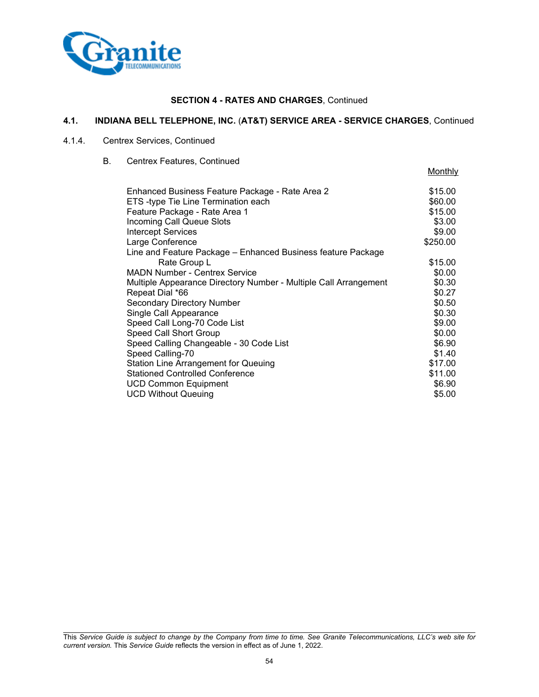

## **4.1. INDIANA BELL TELEPHONE, INC.** (**AT&T) SERVICE AREA - SERVICE CHARGES**, Continued

# 4.1.4. Centrex Services, Continued

B. Centrex Features, Continued

| Enhanced Business Feature Package - Rate Area 2                  | \$15.00  |
|------------------------------------------------------------------|----------|
| ETS-type Tie Line Termination each                               | \$60.00  |
| Feature Package - Rate Area 1                                    | \$15.00  |
| <b>Incoming Call Queue Slots</b>                                 | \$3.00   |
| <b>Intercept Services</b>                                        | \$9.00   |
| Large Conference                                                 | \$250.00 |
| Line and Feature Package - Enhanced Business feature Package     |          |
| Rate Group L                                                     | \$15.00  |
| <b>MADN Number - Centrex Service</b>                             | \$0.00   |
| Multiple Appearance Directory Number - Multiple Call Arrangement | \$0.30   |
| Repeat Dial *66                                                  | \$0.27   |
| <b>Secondary Directory Number</b>                                | \$0.50   |
| Single Call Appearance                                           | \$0.30   |
| Speed Call Long-70 Code List                                     | \$9.00   |
| Speed Call Short Group                                           | \$0.00   |
| Speed Calling Changeable - 30 Code List                          | \$6.90   |
| Speed Calling-70                                                 | \$1.40   |
| <b>Station Line Arrangement for Queuing</b>                      | \$17.00  |
| <b>Stationed Controlled Conference</b>                           | \$11.00  |
| UCD Common Equipment                                             | \$6.90   |
| <b>UCD Without Queuing</b>                                       | \$5.00   |

Monthly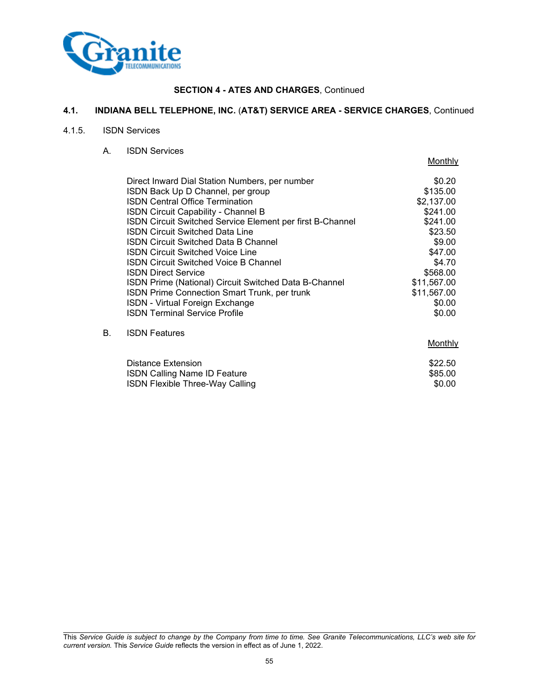

## **4.1. INDIANA BELL TELEPHONE, INC.** (**AT&T) SERVICE AREA - SERVICE CHARGES**, Continued

#### 4.1.5. ISDN Services

A. ISDN Services

|    |                                                                  | <b>IVIOLIUIIV</b> |
|----|------------------------------------------------------------------|-------------------|
|    | Direct Inward Dial Station Numbers, per number                   | \$0.20            |
|    | ISDN Back Up D Channel, per group                                | \$135.00          |
|    | <b>ISDN Central Office Termination</b>                           | \$2,137.00        |
|    | <b>ISDN Circuit Capability - Channel B</b>                       | \$241.00          |
|    | <b>ISDN Circuit Switched Service Element per first B-Channel</b> | \$241.00          |
|    | <b>ISDN Circuit Switched Data Line</b>                           | \$23.50           |
|    | <b>ISDN Circuit Switched Data B Channel</b>                      | \$9.00            |
|    | <b>ISDN Circuit Switched Voice Line</b>                          | \$47.00           |
|    | <b>ISDN Circuit Switched Voice B Channel</b>                     | \$4.70            |
|    | <b>ISDN Direct Service</b>                                       | \$568.00          |
|    | ISDN Prime (National) Circuit Switched Data B-Channel            | \$11,567.00       |
|    | ISDN Prime Connection Smart Trunk, per trunk                     | \$11,567.00       |
|    | <b>ISDN - Virtual Foreign Exchange</b>                           | \$0.00            |
|    | <b>ISDN Terminal Service Profile</b>                             | \$0.00            |
| В. | <b>ISDN Features</b>                                             |                   |
|    |                                                                  | Monthly           |
|    | Distance Extension                                               | \$22.50           |
|    | <b>ISDN Calling Name ID Feature</b>                              | \$85.00           |
|    |                                                                  |                   |

ISDN Flexible Three-Way Calling **\$0.00** \$0.00

Monthly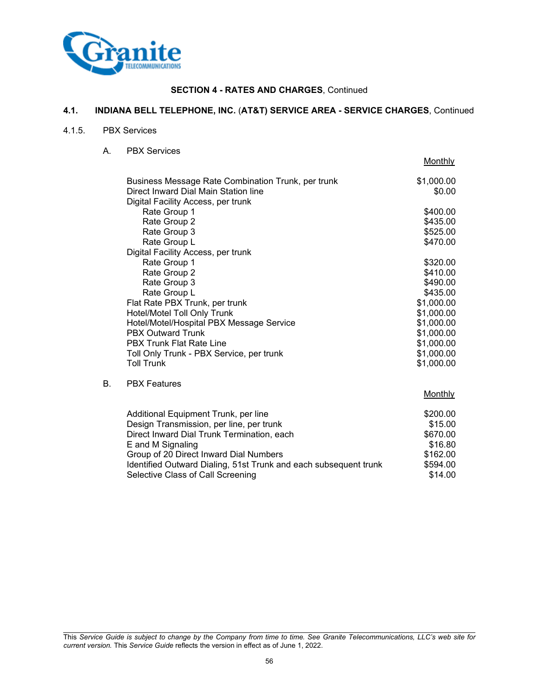

## **4.1. INDIANA BELL TELEPHONE, INC.** (**AT&T) SERVICE AREA - SERVICE CHARGES**, Continued

#### 4.1.5. PBX Services

A. PBX Services

|    |                                                    | <b>IVIOLIUILY</b> |
|----|----------------------------------------------------|-------------------|
|    | Business Message Rate Combination Trunk, per trunk | \$1,000.00        |
|    | Direct Inward Dial Main Station line               | \$0.00            |
|    | Digital Facility Access, per trunk                 |                   |
|    | Rate Group 1                                       | \$400.00          |
|    | Rate Group 2                                       | \$435.00          |
|    | Rate Group 3                                       | \$525.00          |
|    | Rate Group L                                       | \$470.00          |
|    | Digital Facility Access, per trunk                 |                   |
|    | Rate Group 1                                       | \$320.00          |
|    | Rate Group 2                                       | \$410.00          |
|    | Rate Group 3                                       | \$490.00          |
|    | Rate Group L                                       | \$435.00          |
|    | Flat Rate PBX Trunk, per trunk                     | \$1,000.00        |
|    | Hotel/Motel Toll Only Trunk                        | \$1,000.00        |
|    | Hotel/Motel/Hospital PBX Message Service           | \$1,000.00        |
|    | <b>PBX Outward Trunk</b>                           | \$1,000.00        |
|    | <b>PBX Trunk Flat Rate Line</b>                    | \$1,000.00        |
|    | Toll Only Trunk - PBX Service, per trunk           | \$1,000.00        |
|    | <b>Toll Trunk</b>                                  | \$1,000.00        |
| В. | <b>PBX Features</b>                                |                   |

Monthly

Monthly

| \$200.00 |
|----------|
| \$15.00  |
| \$670.00 |
| \$16.80  |
| \$162.00 |
| \$594.00 |
| \$14.00  |
|          |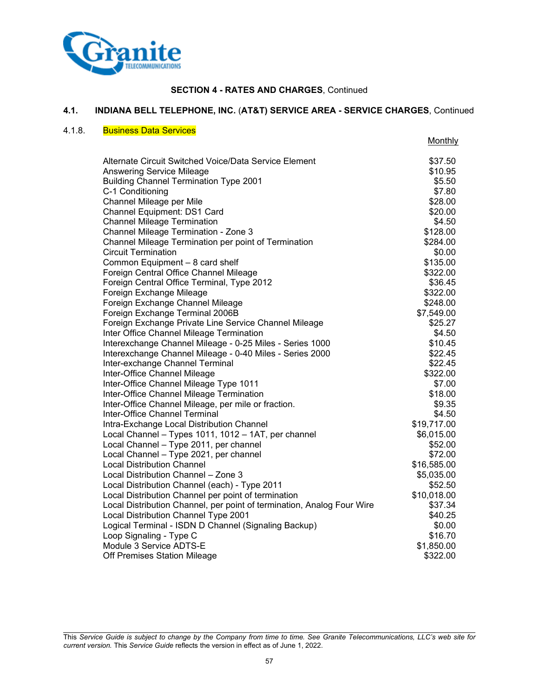

## **4.1. INDIANA BELL TELEPHONE, INC.** (**AT&T) SERVICE AREA - SERVICE CHARGES**, Continued

### 4.1.8. Business Data Services

|                                                                        | Monthly     |
|------------------------------------------------------------------------|-------------|
| Alternate Circuit Switched Voice/Data Service Element                  | \$37.50     |
| Answering Service Mileage                                              | \$10.95     |
| <b>Building Channel Termination Type 2001</b>                          | \$5.50      |
| C-1 Conditioning                                                       | \$7.80      |
| Channel Mileage per Mile                                               | \$28.00     |
| Channel Equipment: DS1 Card                                            | \$20.00     |
| <b>Channel Mileage Termination</b>                                     | \$4.50      |
| Channel Mileage Termination - Zone 3                                   | \$128.00    |
| Channel Mileage Termination per point of Termination                   | \$284.00    |
| <b>Circuit Termination</b>                                             | \$0.00      |
| Common Equipment - 8 card shelf                                        | \$135.00    |
| Foreign Central Office Channel Mileage                                 | \$322.00    |
| Foreign Central Office Terminal, Type 2012                             | \$36.45     |
| Foreign Exchange Mileage                                               | \$322.00    |
| Foreign Exchange Channel Mileage                                       | \$248.00    |
| Foreign Exchange Terminal 2006B                                        | \$7,549.00  |
| Foreign Exchange Private Line Service Channel Mileage                  | \$25.27     |
| Inter Office Channel Mileage Termination                               | \$4.50      |
| Interexchange Channel Mileage - 0-25 Miles - Series 1000               | \$10.45     |
| Interexchange Channel Mileage - 0-40 Miles - Series 2000               | \$22.45     |
| Inter-exchange Channel Terminal                                        | \$22.45     |
| Inter-Office Channel Mileage                                           | \$322.00    |
| Inter-Office Channel Mileage Type 1011                                 | \$7.00      |
| Inter-Office Channel Mileage Termination                               | \$18.00     |
| Inter-Office Channel Mileage, per mile or fraction.                    | \$9.35      |
| Inter-Office Channel Terminal                                          | \$4.50      |
| Intra-Exchange Local Distribution Channel                              | \$19,717.00 |
| Local Channel - Types 1011, 1012 - 1AT, per channel                    | \$6,015.00  |
| Local Channel - Type 2011, per channel                                 | \$52.00     |
| Local Channel - Type 2021, per channel                                 | \$72.00     |
| <b>Local Distribution Channel</b>                                      | \$16,585.00 |
| Local Distribution Channel - Zone 3                                    | \$5,035.00  |
| Local Distribution Channel (each) - Type 2011                          | \$52.50     |
| Local Distribution Channel per point of termination                    | \$10,018.00 |
| Local Distribution Channel, per point of termination, Analog Four Wire | \$37.34     |
| Local Distribution Channel Type 2001                                   | \$40.25     |
| Logical Terminal - ISDN D Channel (Signaling Backup)                   | \$0.00      |
| Loop Signaling - Type C                                                | \$16.70     |
| Module 3 Service ADTS-E                                                | \$1,850.00  |
| Off Premises Station Mileage                                           | \$322.00    |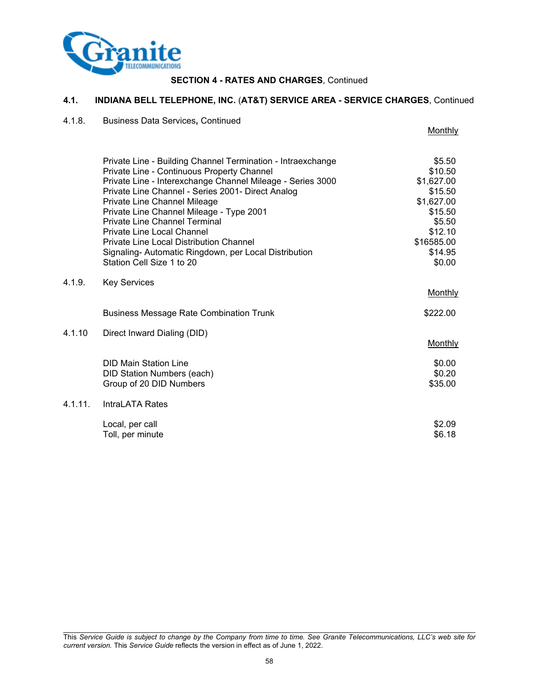

## **4.1. INDIANA BELL TELEPHONE, INC.** (**AT&T) SERVICE AREA - SERVICE CHARGES**, Continued

### 4.1.8. Business Data Services**,** Continued

|            |                                                                                                                                                                         | <b>Monthly</b>                  |
|------------|-------------------------------------------------------------------------------------------------------------------------------------------------------------------------|---------------------------------|
|            | Private Line - Building Channel Termination - Intraexchange<br>Private Line - Continuous Property Channel<br>Private Line - Interexchange Channel Mileage - Series 3000 | \$5.50<br>\$10.50<br>\$1,627.00 |
|            | Private Line Channel - Series 2001- Direct Analog                                                                                                                       | \$15.50                         |
|            | Private Line Channel Mileage                                                                                                                                            | \$1,627.00                      |
|            | Private Line Channel Mileage - Type 2001<br><b>Private Line Channel Terminal</b>                                                                                        | \$15.50<br>\$5.50               |
|            | <b>Private Line Local Channel</b>                                                                                                                                       | \$12.10                         |
|            | Private Line Local Distribution Channel                                                                                                                                 | \$16585.00                      |
|            | Signaling- Automatic Ringdown, per Local Distribution<br>Station Cell Size 1 to 20                                                                                      | \$14.95<br>\$0.00               |
| 4.1.9.     | <b>Key Services</b>                                                                                                                                                     |                                 |
|            |                                                                                                                                                                         | Monthly                         |
|            | <b>Business Message Rate Combination Trunk</b>                                                                                                                          | \$222.00                        |
| 4.1.10     | Direct Inward Dialing (DID)                                                                                                                                             |                                 |
|            |                                                                                                                                                                         | <b>Monthly</b>                  |
|            | <b>DID Main Station Line</b>                                                                                                                                            | \$0.00                          |
|            | <b>DID Station Numbers (each)</b>                                                                                                                                       | \$0.20                          |
|            | Group of 20 DID Numbers                                                                                                                                                 | \$35.00                         |
| $4.1.11$ . | IntraLATA Rates                                                                                                                                                         |                                 |
|            | Local, per call                                                                                                                                                         | \$2.09                          |
|            | Toll, per minute                                                                                                                                                        | \$6.18                          |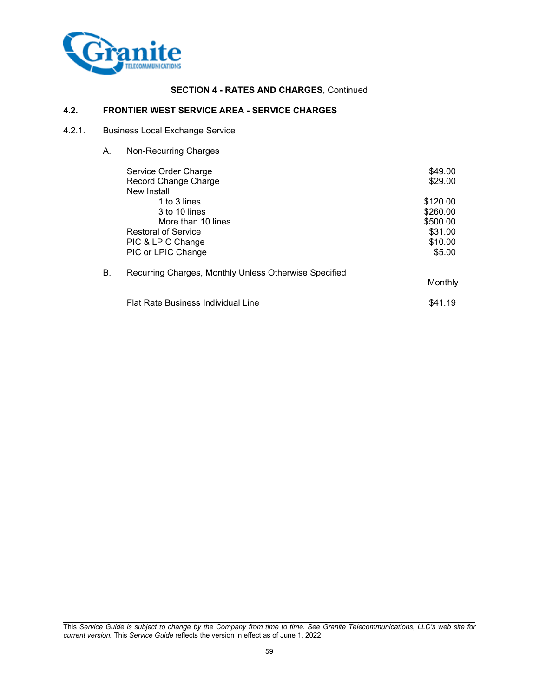

## **4.2. FRONTIER WEST SERVICE AREA - SERVICE CHARGES**

# 4.2.1. Business Local Exchange Service

A. Non-Recurring Charges

|    | Service Order Charge                                  | \$49.00  |
|----|-------------------------------------------------------|----------|
|    | Record Change Charge                                  | \$29.00  |
|    | New Install                                           |          |
|    | 1 to 3 lines                                          | \$120.00 |
|    | 3 to 10 lines                                         | \$260.00 |
|    | More than 10 lines                                    | \$500.00 |
|    | <b>Restoral of Service</b>                            | \$31.00  |
|    | PIC & LPIC Change                                     | \$10.00  |
|    | PIC or LPIC Change                                    | \$5.00   |
| В. | Recurring Charges, Monthly Unless Otherwise Specified |          |
|    |                                                       | Monthly  |
|    | <b>Flat Rate Business Individual Line</b>             | \$41.19  |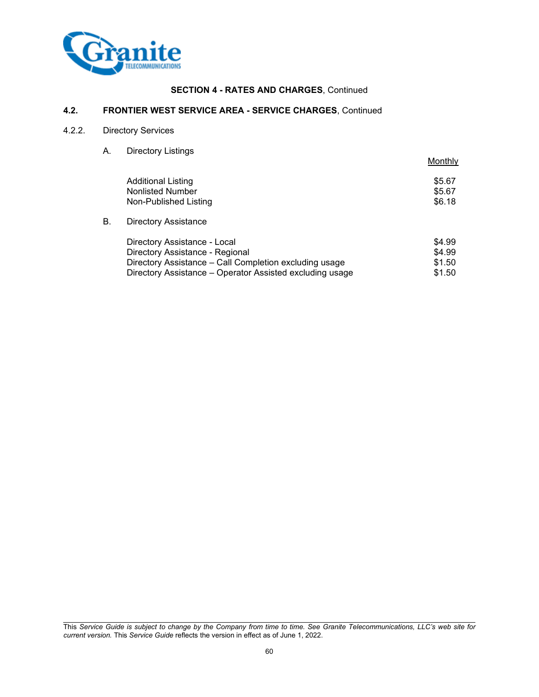

## **4.2. FRONTIER WEST SERVICE AREA - SERVICE CHARGES**, Continued

## 4.2.2. Directory Services

A. Directory Listings

|    |                                                          | Monthly |
|----|----------------------------------------------------------|---------|
|    | <b>Additional Listing</b>                                | \$5.67  |
|    | <b>Nonlisted Number</b>                                  | \$5.67  |
|    | Non-Published Listing                                    | \$6.18  |
| В. | <b>Directory Assistance</b>                              |         |
|    | Directory Assistance - Local                             | \$4.99  |
|    | Directory Assistance - Regional                          | \$4.99  |
|    | Directory Assistance - Call Completion excluding usage   | \$1.50  |
|    | Directory Assistance – Operator Assisted excluding usage | \$1.50  |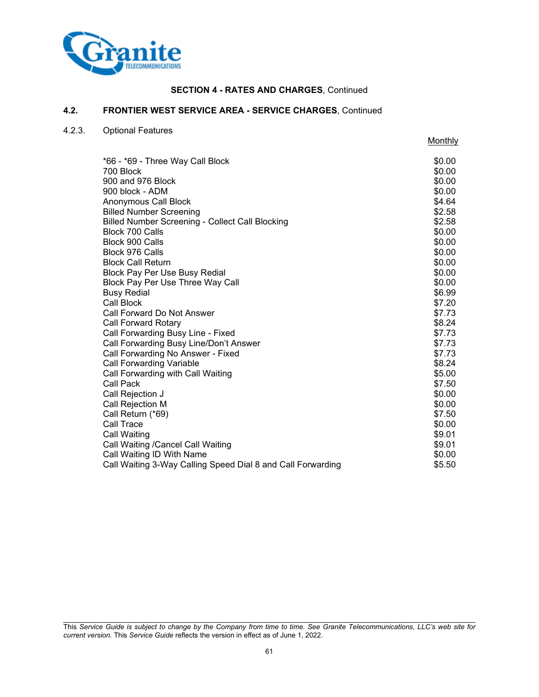

**Monthly** 

### **4.2. FRONTIER WEST SERVICE AREA - SERVICE CHARGES**, Continued

### 4.2.3. Optional Features

\*66 - \*69 - Three Way Call Block \$0.00 700 Block \$0.00 900 and 976 Block  $\sim$  80.00 900 block - ADM \$0.00<br>Anonymous Call Block \$0.00 Anonymous Call Block Billed Number Screening **\$2.58** Billed Number Screening - Collect Call Blocking **\$2.58** Block 700 Calls \$0.00 Block 900 Calls \$0.00 Block 976 Calls \$0.00 Block Call Return \$0.00 Block Pay Per Use Busy Redial **\$0.00 \$0.00** Block Pay Per Use Three Way Call **\$0.00** Special state  $\sim$  \$0.00 Busy Redial \$6.99 (\$6.99) and \$6.99 (\$6.99 (\$6.99 (\$6.99 (\$6.99 (\$6.99 ) \$6.99 (\$6.99 ) \$6.99 (\$6.99 ) \$6.99 (\$1.1 ) \$1.1 (\$1.1 ) \$1.1 (\$1.1 ) \$1.1 (\$1.1 ) \$1.1 (\$1.1 ) \$1.1 (\$1.1 ) \$1.1 (\$1.1 ) \$1.1 (\$1.1 ) \$1.1 (\$1.1 ) \$ Call Block \$7.20 Call Forward Do Not Answer \$7.73 Call Forward Rotary \$8.24 Call Forwarding Busy Line - Fixed \$7.73 Call Forwarding Busy Line/Don't Answer \$7.73 Call Forwarding No Answer - Fixed \$7.73<br>Call Forwarding Variable \$8.24 Call Forwarding Variable Call Forwarding with Call Waiting  $$5.00$ Call Pack \$7.50 **Call Rejection J** \$0.00 Call Rejection M  $\sim$  50.00 Call Return (\*69) \$7.50 **Call Trace 60.000 SOLO SOLO SOLO SOLO** Call Waiting \$9.01 Call Waiting /Cancel Call Waiting  $$9.01$ Call Waiting ID With Name \$0.00 Call Waiting 3-Way Calling Speed Dial 8 and Call Forwarding  $$5.50$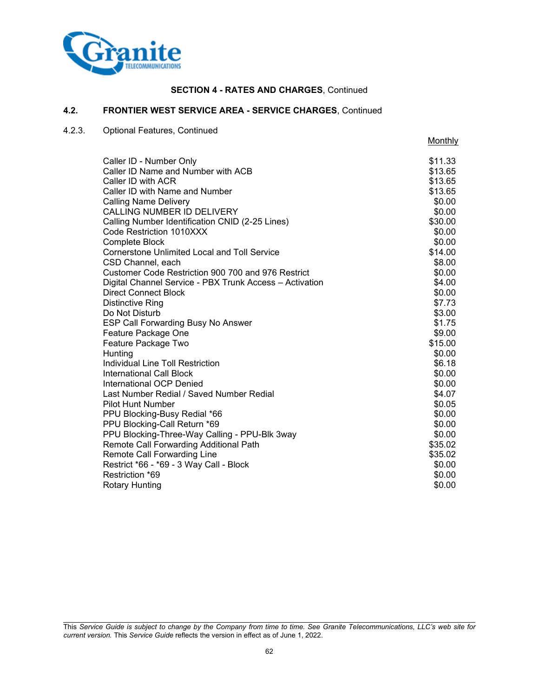

**Monthly** 

### **4.2. FRONTIER WEST SERVICE AREA - SERVICE CHARGES**, Continued

## 4.2.3. Optional Features, Continued

Restriction \*69

Caller ID - Number Only **\$11.33** Caller ID Name and Number with ACB \$13.65 Caller ID with ACR \$13.65 Caller ID with Name and Number  $$13.65$ Calling Name Delivery **\$0.00** CALLING NUMBER ID DELIVERY **\$0.00** \$0.00 Calling Number Identification CNID (2-25 Lines) \$30.00 Code Restriction 1010XXX  $$0.00$ **Complete Block** \$0.00 Cornerstone Unlimited Local and Toll Service \$14.00 CSD Channel, each  $$8.00$ Customer Code Restriction 900 700 and 976 Restrict  $$0.00$ Digital Channel Service - PBX Trunk Access – Activation \$4.00 Direct Connect Block \$0.00 Distinctive Ring  $$7.73$ Do Not Disturb \$3.00 ESP Call Forwarding Busy No Answer \$1.75 Feature Package One  $$9.00$ Feature Package Two \$15.00 Hunting \$0.00 Individual Line Toll Restriction \$6.18 International Call Block \$0.00 International OCP Denied \$0.00 Last Number Redial / Saved Number Redial \$4.07 Pilot Hunt Number \$0.05 PPU Blocking-Busy Redial \*66  $$0.00$ PPU Blocking-Call Return \*69  $$0.00$ PPU Blocking-Three-Way Calling - PPU-Blk 3way  $$0.00$ Remote Call Forwarding Additional Path \$35.02 Remote Call Forwarding Line  $$35.02$ 

This *Service Guide is subject to change by the Company from time to time. See Granite Telecommunications, LLC's web site for current version.* This *Service Guide* reflects the version in effect as of June 1, 2022.

Restrict \*66 - \*69 - 3 Way Call - Block \$0.00 \$0.00 \$0.00<br>Restriction \*69 \$0.00

Rotary Hunting \$0.00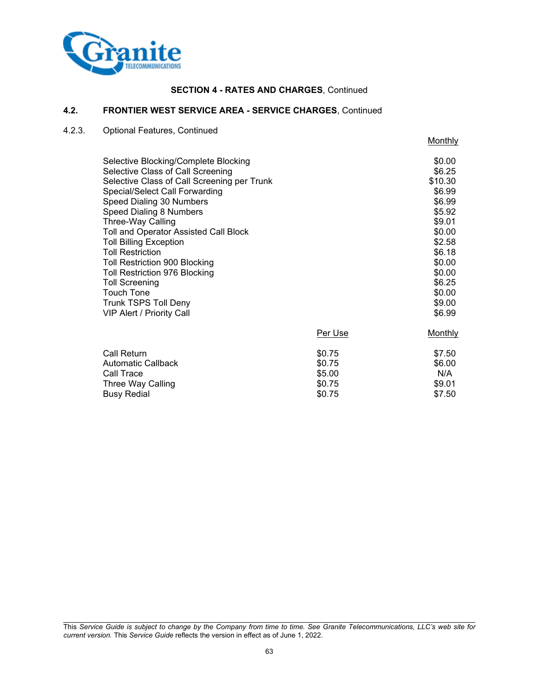

# **4.2. FRONTIER WEST SERVICE AREA - SERVICE CHARGES**, Continued

# 4.2.3. Optional Features, Continued

Busy Redial

**Monthly** 

| Selective Blocking/Complete Blocking<br>Selective Class of Call Screening<br>Selective Class of Call Screening per Trunk<br>Special/Select Call Forwarding<br>Speed Dialing 30 Numbers<br>Speed Dialing 8 Numbers<br>Three-Way Calling<br>Toll and Operator Assisted Call Block<br><b>Toll Billing Exception</b><br><b>Toll Restriction</b><br>Toll Restriction 900 Blocking<br>Toll Restriction 976 Blocking<br>Toll Screening<br>Touch Tone<br><b>Trunk TSPS Toll Deny</b><br><b>VIP Alert / Priority Call</b> | Per Use | \$0.00<br>\$6.25<br>\$10.30<br>\$6.99<br>\$6.99<br>\$5.92<br>\$9.01<br>\$0.00<br>\$2.58<br>\$6.18<br>\$0.00<br>\$0.00<br>\$6.25<br>\$0.00<br>\$9.00<br>\$6.99<br>Monthly |
|------------------------------------------------------------------------------------------------------------------------------------------------------------------------------------------------------------------------------------------------------------------------------------------------------------------------------------------------------------------------------------------------------------------------------------------------------------------------------------------------------------------|---------|--------------------------------------------------------------------------------------------------------------------------------------------------------------------------|
| Call Return                                                                                                                                                                                                                                                                                                                                                                                                                                                                                                      | \$0.75  | \$7.50                                                                                                                                                                   |
| <b>Automatic Callback</b>                                                                                                                                                                                                                                                                                                                                                                                                                                                                                        | \$0.75  | \$6.00                                                                                                                                                                   |
| Call Trace                                                                                                                                                                                                                                                                                                                                                                                                                                                                                                       | \$5.00  | N/A                                                                                                                                                                      |
| Three Way Calling                                                                                                                                                                                                                                                                                                                                                                                                                                                                                                | \$0.75  | \$9.01                                                                                                                                                                   |

Three Way Calling \$0.75 \$9.01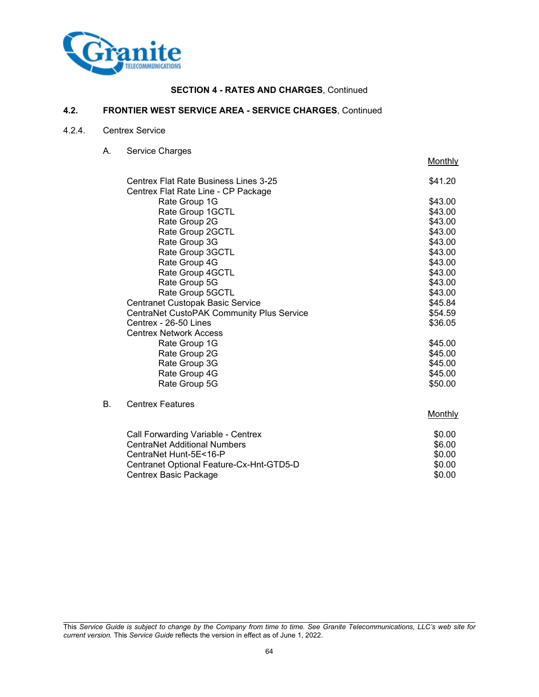

# **4.2. FRONTIER WEST SERVICE AREA - SERVICE CHARGES**, Continued

### 4.2.4. Centrex Service

A. Service Charges

Centrex Basic Package

|    |                                                                                     | Monthly |
|----|-------------------------------------------------------------------------------------|---------|
|    | <b>Centrex Flat Rate Business Lines 3-25</b><br>Centrex Flat Rate Line - CP Package | \$41.20 |
|    | Rate Group 1G                                                                       | \$43.00 |
|    | Rate Group 1GCTL                                                                    | \$43.00 |
|    | Rate Group 2G                                                                       | \$43.00 |
|    | Rate Group 2GCTL                                                                    | \$43.00 |
|    | Rate Group 3G                                                                       | \$43.00 |
|    | Rate Group 3GCTL                                                                    | \$43.00 |
|    | Rate Group 4G                                                                       | \$43.00 |
|    | Rate Group 4GCTL                                                                    | \$43.00 |
|    | Rate Group 5G                                                                       | \$43.00 |
|    | Rate Group 5GCTL                                                                    | \$43.00 |
|    | Centranet Custopak Basic Service                                                    | \$45.84 |
|    | CentraNet CustoPAK Community Plus Service                                           | \$54.59 |
|    | Centrex - 26-50 Lines                                                               | \$36.05 |
|    | <b>Centrex Network Access</b>                                                       |         |
|    | Rate Group 1G                                                                       | \$45.00 |
|    | Rate Group 2G                                                                       | \$45.00 |
|    | Rate Group 3G                                                                       | \$45.00 |
|    | Rate Group 4G                                                                       | \$45.00 |
|    | Rate Group 5G                                                                       | \$50.00 |
| В. | <b>Centrex Features</b>                                                             |         |
|    |                                                                                     | Monthly |
|    | Call Forwarding Variable - Centrex                                                  | \$0.00  |
|    | <b>CentraNet Additional Numbers</b>                                                 | \$6.00  |
|    | CentraNet Hunt-5E<16-P                                                              | \$0.00  |

Centranet Optional Feature-Cx-Hnt-GTD5-D<br>Centrex Basic Package \$0.00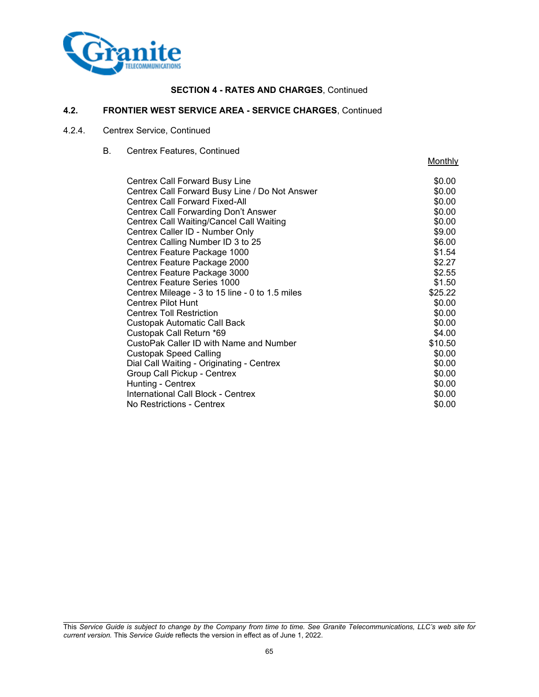

## **4.2. FRONTIER WEST SERVICE AREA - SERVICE CHARGES**, Continued

# 4.2.4. Centrex Service, Continued

B. Centrex Features, Continued

|                                                 | Monthly |
|-------------------------------------------------|---------|
| Centrex Call Forward Busy Line                  | \$0.00  |
| Centrex Call Forward Busy Line / Do Not Answer  | \$0.00  |
| <b>Centrex Call Forward Fixed-All</b>           | \$0.00  |
| Centrex Call Forwarding Don't Answer            | \$0.00  |
| <b>Centrex Call Waiting/Cancel Call Waiting</b> | \$0.00  |
| Centrex Caller ID - Number Only                 | \$9.00  |
| Centrex Calling Number ID 3 to 25               | \$6.00  |
| Centrex Feature Package 1000                    | \$1.54  |
| Centrex Feature Package 2000                    | \$2.27  |
| Centrex Feature Package 3000                    | \$2.55  |
| <b>Centrex Feature Series 1000</b>              | \$1.50  |
| Centrex Mileage - 3 to 15 line - 0 to 1.5 miles | \$25.22 |
| Centrex Pilot Hunt                              | \$0.00  |
| <b>Centrex Toll Restriction</b>                 | \$0.00  |
| <b>Custopak Automatic Call Back</b>             | \$0.00  |
| Custopak Call Return *69                        | \$4.00  |
| CustoPak Caller ID with Name and Number         | \$10.50 |
| <b>Custopak Speed Calling</b>                   | \$0.00  |
| Dial Call Waiting - Originating - Centrex       | \$0.00  |
| Group Call Pickup - Centrex                     | \$0.00  |
| Hunting - Centrex                               | \$0.00  |
| International Call Block - Centrex              | \$0.00  |
| No Restrictions - Centrex                       | \$0.00  |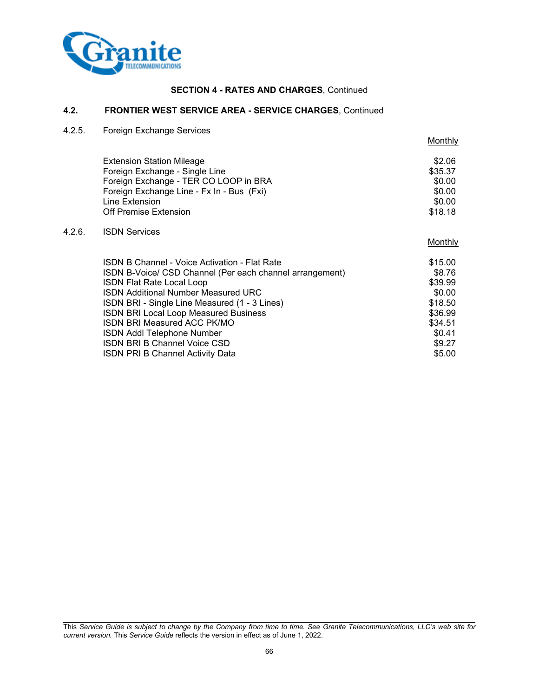

## **4.2. FRONTIER WEST SERVICE AREA - SERVICE CHARGES**, Continued

4.2.5. Foreign Exchange Services

Extension Station Mileage \$2.06<br>
Foreign Exchange - Single Line Foreign Exchange - Single Line Foreign Exchange - TER CO LOOP in BRA  $$0.00$ Foreign Exchange Line - Fx In - Bus (Fxi) \$0.00<br>
Line Extension \$0.00 Line Extension Off Premise Extension \$18.18

## 4.2.6. ISDN Services

Monthly

**Monthly** 

| <b>ISDN B Channel - Voice Activation - Flat Rate</b>     | \$15.00 |
|----------------------------------------------------------|---------|
| ISDN B-Voice/ CSD Channel (Per each channel arrangement) | \$8.76  |
| <b>ISDN Flat Rate Local Loop</b>                         | \$39.99 |
| <b>ISDN Additional Number Measured URC</b>               | \$0.00  |
| ISDN BRI - Single Line Measured (1 - 3 Lines)            | \$18.50 |
| <b>ISDN BRI Local Loop Measured Business</b>             | \$36.99 |
| ISDN BRI Measured ACC PK/MO                              | \$34.51 |
| <b>ISDN Addl Telephone Number</b>                        | \$0.41  |
| <b>ISDN BRI B Channel Voice CSD</b>                      | \$9.27  |
| <b>ISDN PRI B Channel Activity Data</b>                  | \$5.00  |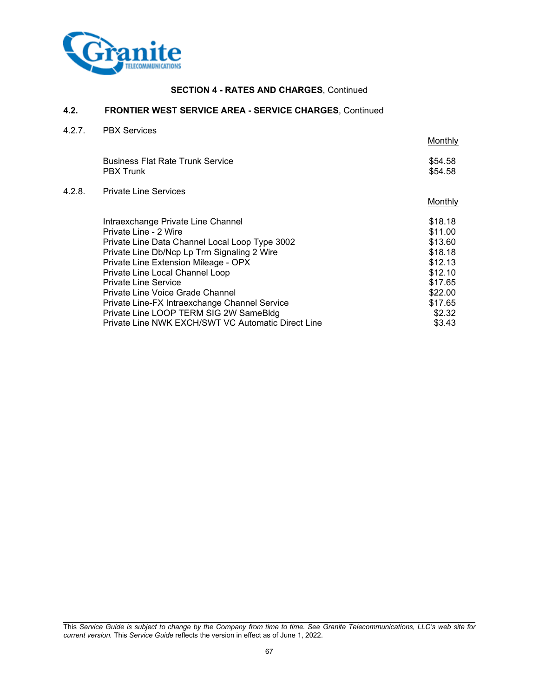

## **4.2. FRONTIER WEST SERVICE AREA - SERVICE CHARGES**, Continued

4.2.7. PBX Services

 $4.2.8.$ 

|                                                             | Monthly                                                                                      |
|-------------------------------------------------------------|----------------------------------------------------------------------------------------------|
| <b>Business Flat Rate Trunk Service</b><br><b>PBX Trunk</b> | \$54.58<br>\$54.58                                                                           |
| <b>Private Line Services</b>                                |                                                                                              |
|                                                             | Monthly                                                                                      |
| Intraexchange Private Line Channel                          | \$18.18                                                                                      |
| Private Line - 2 Wire                                       | \$11.00                                                                                      |
| Private Line Data Channel Local Loop Type 3002              | \$13.60                                                                                      |
|                                                             | \$18.18                                                                                      |
| Private Line Extension Mileage - OPX                        | \$12.13                                                                                      |
| Private Line Local Channel Loop                             | \$12.10                                                                                      |
| <b>Private Line Service</b>                                 | \$17.65                                                                                      |
| Private Line Voice Grade Channel                            | \$22.00                                                                                      |
|                                                             | \$17.65                                                                                      |
| Private Line LOOP TERM SIG 2W SameBldg                      | \$2.32                                                                                       |
| Private Line NWK EXCH/SWT VC Automatic Direct Line          | \$3.43                                                                                       |
|                                                             | Private Line Db/Ncp Lp Trm Signaling 2 Wire<br>Private Line-FX Intraexchange Channel Service |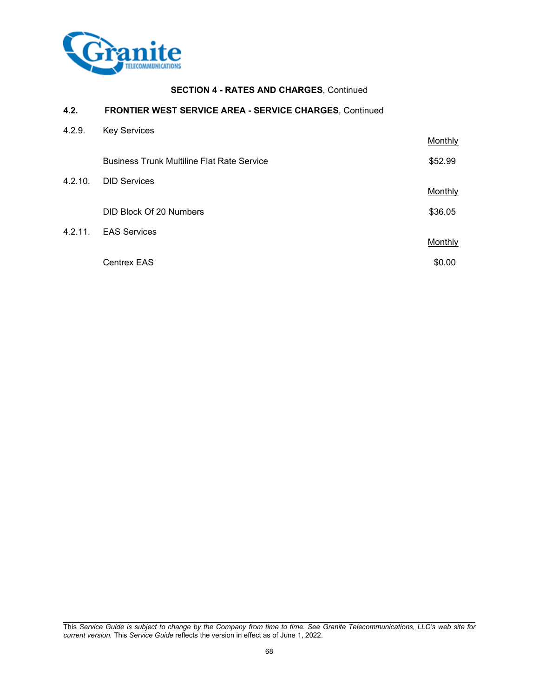

# **4.2. FRONTIER WEST SERVICE AREA - SERVICE CHARGES**, Continued

| 4.2.9.  | <b>Key Services</b>                               |         |
|---------|---------------------------------------------------|---------|
|         |                                                   | Monthly |
|         | <b>Business Trunk Multiline Flat Rate Service</b> | \$52.99 |
| 4.2.10. | <b>DID Services</b>                               |         |
|         |                                                   | Monthly |
|         | DID Block Of 20 Numbers                           | \$36.05 |
| 4.2.11. | <b>EAS Services</b>                               |         |
|         |                                                   | Monthly |
|         | <b>Centrex EAS</b>                                | \$0.00  |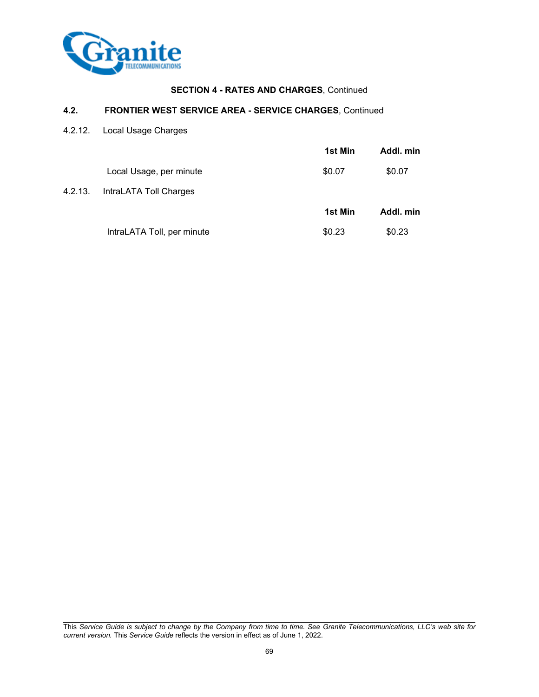

## **4.2. FRONTIER WEST SERVICE AREA - SERVICE CHARGES**, Continued

4.2.12. Local Usage Charges

|                            | <b>1st Min</b> | Addl. min |
|----------------------------|----------------|-----------|
| Local Usage, per minute    | \$0.07         | \$0.07    |
| IntraLATA Toll Charges     |                |           |
|                            | <b>1st Min</b> | Addl. min |
| IntraLATA Toll, per minute | \$0.23         | \$0.23    |
|                            |                |           |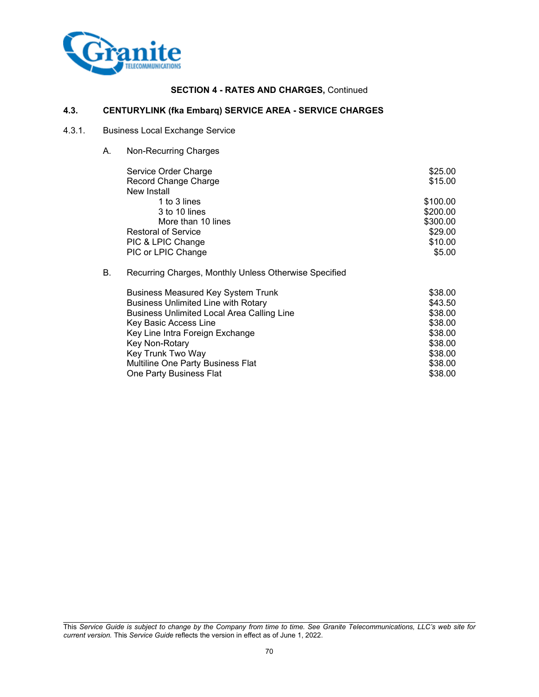

## **4.3. CENTURYLINK (fka Embarq) SERVICE AREA - SERVICE CHARGES**

### 4.3.1. Business Local Exchange Service

A. Non-Recurring Charges

Multiline One Party Business Flat

|    | Service Order Charge                                  | \$25.00  |
|----|-------------------------------------------------------|----------|
|    | Record Change Charge                                  | \$15.00  |
|    | New Install                                           |          |
|    | 1 to 3 lines                                          | \$100.00 |
|    | 3 to 10 lines                                         | \$200.00 |
|    | More than 10 lines                                    | \$300.00 |
|    | <b>Restoral of Service</b>                            | \$29.00  |
|    | PIC & LPIC Change                                     | \$10.00  |
|    | PIC or LPIC Change                                    | \$5.00   |
| В. | Recurring Charges, Monthly Unless Otherwise Specified |          |
|    | <b>Business Measured Key System Trunk</b>             | \$38.00  |
|    | <b>Business Unlimited Line with Rotary</b>            | \$43.50  |
|    | <b>Business Unlimited Local Area Calling Line</b>     | \$38.00  |

Key Basic Access Line  $$38.00$ Key Line Intra Foreign Exchange  $$38.00$ Key Non-Rotary \$38.00 Key Trunk Two Way<br>Multiline One Party Business Flat (1999) 838.000<br>\$38.00 \$38.00

One Party Business Flat \$38.00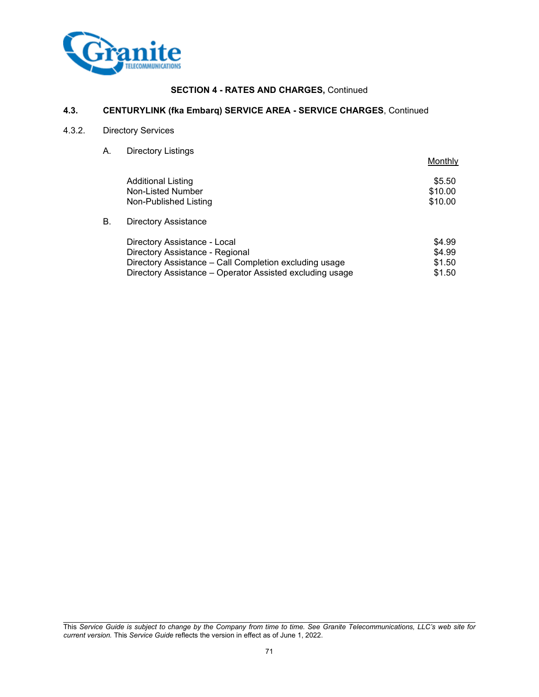

## **4.3. CENTURYLINK (fka Embarq) SERVICE AREA - SERVICE CHARGES**, Continued

# 4.3.2. Directory Services

A. Directory Listings

|    |                                                          | Monthly |
|----|----------------------------------------------------------|---------|
|    | <b>Additional Listing</b>                                | \$5.50  |
|    | Non-Listed Number                                        | \$10.00 |
|    | Non-Published Listing                                    | \$10.00 |
| В. | <b>Directory Assistance</b>                              |         |
|    | Directory Assistance - Local                             | \$4.99  |
|    | Directory Assistance - Regional                          | \$4.99  |
|    | Directory Assistance - Call Completion excluding usage   | \$1.50  |
|    | Directory Assistance - Operator Assisted excluding usage | \$1.50  |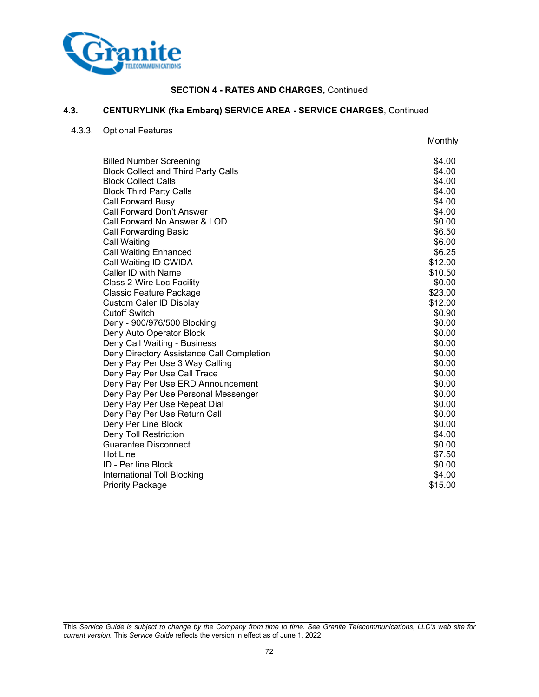

### **4.3. CENTURYLINK (fka Embarq) SERVICE AREA - SERVICE CHARGES**, Continued

4.3.3. Optional Features

**Monthly** Billed Number Screening<br>Block Collect and Third Party Calls \$4.00 Block Collect and Third Party Calls \$4.00 \$4.00 \$4.00 \$4.00 \$4.00 \$4.00 \$4.00 \$4.00 \$4.00 \$4.00 \$4.00 \$4.00 \$4.00 \$4.00 \$4.00 \$4.00 \$4.00 \$4.00 \$4.00 \$4.00 \$4.00 \$4.00 \$4.00 \$4.00 \$4.00 \$4.00 \$4.00 \$4.00 \$4.00 \$5.00 \$5.00 Block Collect Calls \$4.00<br>Block Third Party Calls \$4.00 Block Third Party Calls \$4.00<br>Call Forward Busy \$4.00 \$4.00 \$4.00 \$4.00 \$4.00 \$4.00 \$4.00 \$4.00 \$4.00 \$4.00 \$4.00 \$4.00 \$4.00 \$4.00 \$4.00 \$ Call Forward Busy Call Forward Don't Answer \$4.00 Call Forward No Answer & LOD \$0.00 \$0.00 \$0.00 \$0.00 \$0.00 \$1.50 \$1.50 \$1.50 \$1.50 \$1.50 \$1.50 \$1.50 \$1.50 \$1.50 Call Forwarding Basic \$6.50 **Call Waiting \$6.00** Call Waiting Enhanced \$6.25 Call Waiting ID CWIDA  $\qquad$   $\qquad$  512.00 Caller ID with Name  $$10.50$ Class 2-Wire Loc Facility \$0.00 Classic Feature Package  $$23.00$ Custom Caler ID Display \$12.00 Cutoff Switch  $\text{mod 90.90}$ Deny - 900/976/500 Blocking \$0.00 Deny Auto Operator Block \$0.00 Deny Call Waiting - Business \$0.00 Deny Directory Assistance Call Completion  $$0.00$ Deny Pay Per Use 3 Way Calling **\$0.00** Deny Pay Per Use 3 Way Calling **Deny Pay Per Use Call Trace the Call Trace According to the Call Trace According to the Call Trace According to the S0.00** Deny Pay Per Use ERD Announcement **but all the South Announcement** \$0.00 Deny Pay Per Use Personal Messenger **\$0.00** \$0.00 Deny Pay Per Use Repeat Dial \$0.00 Deny Pay Per Use Return Call \$0.00 Deny Per Line Block \$0.00 Deny Toll Restriction \$4.00 Guarantee Disconnect **\$0.00** Superintendent state  $\sim$  \$0.000 Superintendent state  $\sim$  \$0.00 Hot Line \$7.50 ID - Per line Block \$0.00<br>International Toll Blocking states and the second states are set of the second states and states \$4.00  $\$4.00$ International Toll Blocking \$4.00<br>Priority Package \$15.00 Priority Package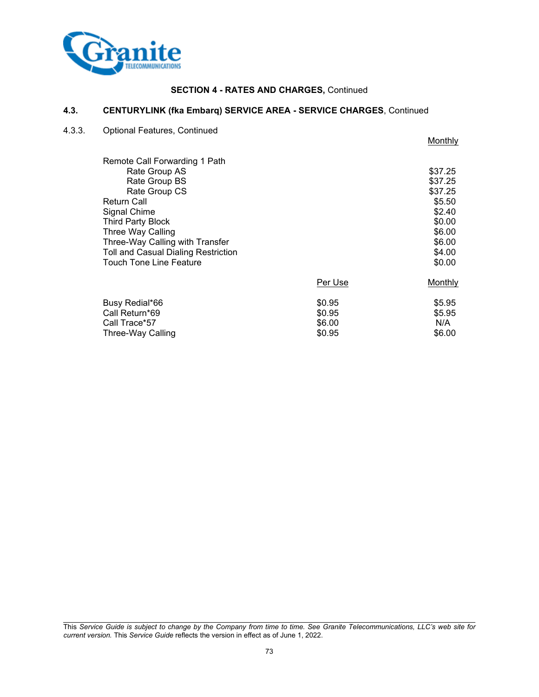

## **4.3. CENTURYLINK (fka Embarq) SERVICE AREA - SERVICE CHARGES**, Continued

4.3.3. Optional Features, Continued

| Remote Call Forwarding 1 Path       |         |         |
|-------------------------------------|---------|---------|
| Rate Group AS                       |         | \$37.25 |
| Rate Group BS                       |         | \$37.25 |
| Rate Group CS                       |         | \$37.25 |
| <b>Return Call</b>                  |         | \$5.50  |
| Signal Chime                        |         | \$2.40  |
| Third Party Block                   |         | \$0.00  |
| Three Way Calling                   |         | \$6.00  |
| Three-Way Calling with Transfer     |         | \$6.00  |
| Toll and Casual Dialing Restriction |         | \$4.00  |
| <b>Touch Tone Line Feature</b>      |         | \$0.00  |
|                                     | Per Use | Monthly |
| Busy Redial*66                      | \$0.95  | \$5.95  |
| Call Return*69                      | \$0.95  | \$5.95  |
| Call Trace*57                       | \$6.00  | N/A     |
| Three-Way Calling                   | \$0.95  | \$6.00  |

**Monthly**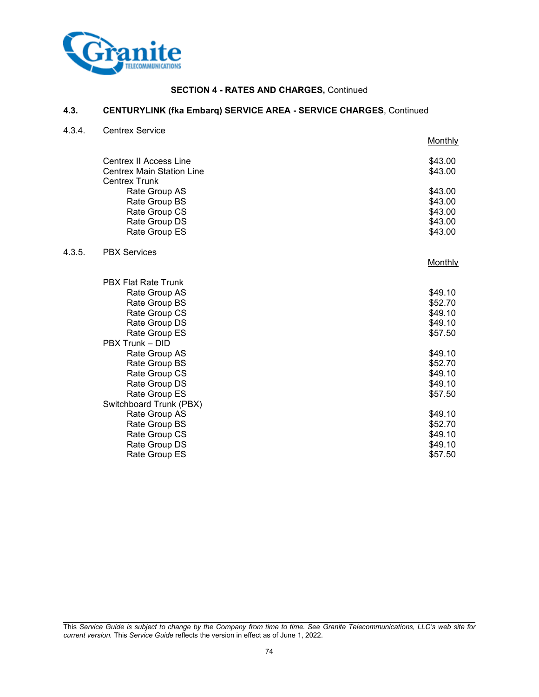

## **4.3. CENTURYLINK (fka Embarq) SERVICE AREA - SERVICE CHARGES**, Continued

4.3.4. Centrex Service

 $4.3.5.$ 

|                                                          | Monthly |
|----------------------------------------------------------|---------|
| Centrex II Access Line                                   | \$43.00 |
| <b>Centrex Main Station Line</b><br><b>Centrex Trunk</b> | \$43.00 |
| Rate Group AS                                            | \$43.00 |
| Rate Group BS                                            | \$43.00 |
| Rate Group CS                                            | \$43.00 |
| Rate Group DS                                            | \$43.00 |
| Rate Group ES                                            | \$43.00 |
| <b>PBX Services</b>                                      |         |
|                                                          | Monthly |
| <b>PBX Flat Rate Trunk</b>                               |         |
| Rate Group AS                                            | \$49.10 |
| Rate Group BS                                            | \$52.70 |
| Rate Group CS                                            | \$49.10 |
| Rate Group DS<br>Rate Group ES                           | \$49.10 |
| PBX Trunk - DID                                          | \$57.50 |
| Rate Group AS                                            | \$49.10 |
| Rate Group BS                                            | \$52.70 |
| Rate Group CS                                            | \$49.10 |
| Rate Group DS                                            | \$49.10 |
| Rate Group ES                                            | \$57.50 |
| Switchboard Trunk (PBX)                                  |         |
| Rate Group AS                                            | \$49.10 |
| Rate Group BS                                            | \$52.70 |
| Rate Group CS                                            | \$49.10 |
| Rate Group DS                                            | \$49.10 |
| Rate Group ES                                            | \$57.50 |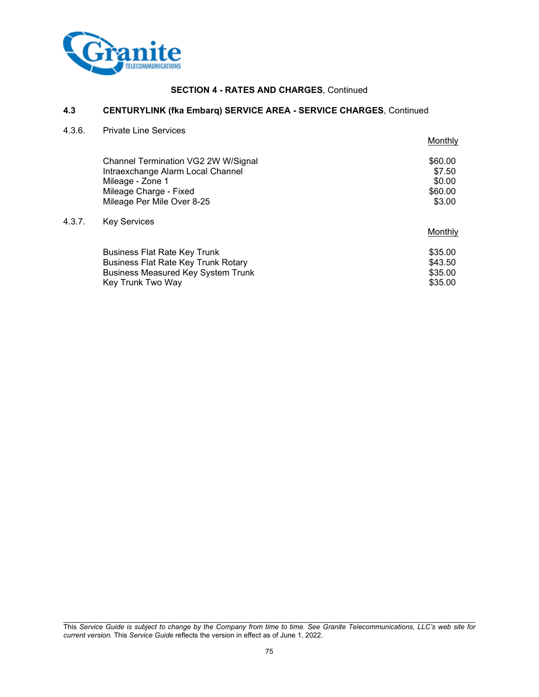

## **4.3 CENTURYLINK (fka Embarq) SERVICE AREA - SERVICE CHARGES**, Continued

4.3.6. Private Line Services

 $4.3.7.$ 

|                                            | Monthly |
|--------------------------------------------|---------|
| Channel Termination VG2 2W W/Signal        | \$60.00 |
| Intraexchange Alarm Local Channel          | \$7.50  |
| Mileage - Zone 1                           | \$0.00  |
| Mileage Charge - Fixed                     | \$60.00 |
| Mileage Per Mile Over 8-25                 | \$3.00  |
| <b>Key Services</b>                        |         |
|                                            | Monthly |
| <b>Business Flat Rate Key Trunk</b>        | \$35.00 |
| <b>Business Flat Rate Key Trunk Rotary</b> | \$43.50 |
| <b>Business Measured Key System Trunk</b>  | \$35.00 |
| Key Trunk Two Way                          | \$35.00 |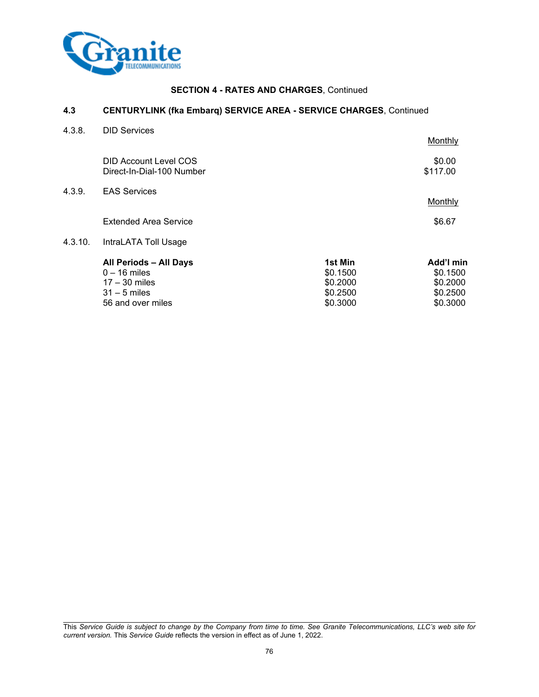

## **4.3 CENTURYLINK (fka Embarq) SERVICE AREA - SERVICE CHARGES**, Continued

| 4.3.8.  | <b>DID Services</b>                                       |          |                    |
|---------|-----------------------------------------------------------|----------|--------------------|
|         |                                                           |          | Monthly            |
|         | <b>DID Account Level COS</b><br>Direct-In-Dial-100 Number |          | \$0.00<br>\$117.00 |
| 4.3.9.  | <b>EAS Services</b>                                       |          |                    |
|         |                                                           |          | Monthly            |
|         | <b>Extended Area Service</b>                              |          | \$6.67             |
| 4.3.10. | IntraLATA Toll Usage                                      |          |                    |
|         | All Periods - All Days                                    | 1st Min  | Add'l min          |
|         | $0 - 16$ miles                                            | \$0.1500 | \$0.1500           |
|         | $17 - 30$ miles                                           | \$0.2000 | \$0.2000           |
|         | $31 - 5$ miles                                            | \$0.2500 | \$0.2500           |
|         | 56 and over miles                                         | \$0.3000 | \$0.3000           |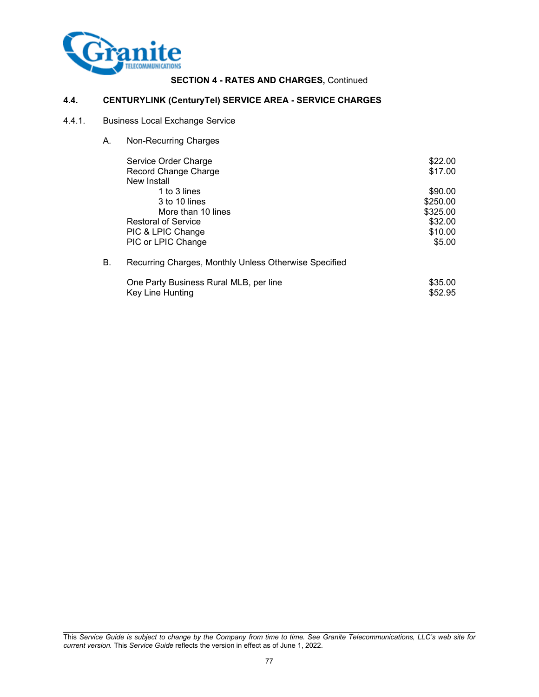

## **4.4. CENTURYLINK (CenturyTel) SERVICE AREA - SERVICE CHARGES**

## 4.4.1. Business Local Exchange Service

A. Non-Recurring Charges

|    | Service Order Charge                                  | \$22.00  |
|----|-------------------------------------------------------|----------|
|    | Record Change Charge                                  | \$17.00  |
|    | New Install                                           |          |
|    | 1 to 3 lines                                          | \$90.00  |
|    | 3 to 10 lines                                         | \$250.00 |
|    | More than 10 lines                                    | \$325.00 |
|    | <b>Restoral of Service</b>                            | \$32.00  |
|    | PIC & LPIC Change                                     | \$10.00  |
|    | PIC or LPIC Change                                    | \$5.00   |
| В. | Recurring Charges, Monthly Unless Otherwise Specified |          |

| One Party Business Rural MLB, per line | \$35.00 |
|----------------------------------------|---------|
| Key Line Hunting                       | \$52.95 |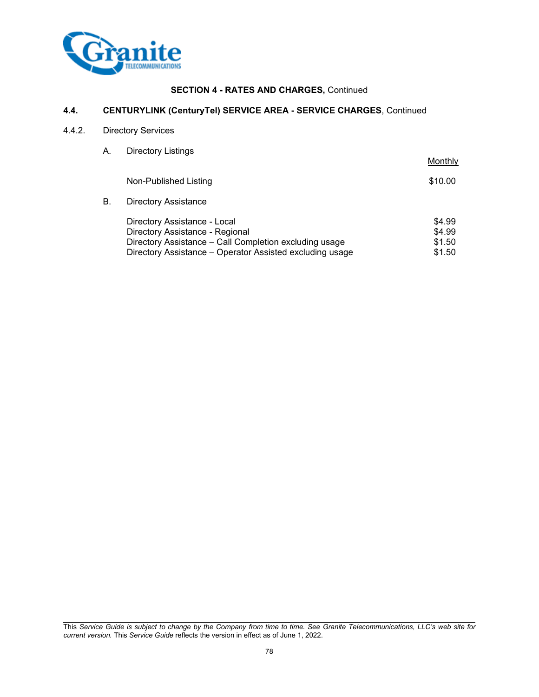

## **4.4. CENTURYLINK (CenturyTel) SERVICE AREA - SERVICE CHARGES**, Continued

## 4.4.2. Directory Services

A. Directory Listings

|    |                                                                                                                                                                                       | Monthly                              |
|----|---------------------------------------------------------------------------------------------------------------------------------------------------------------------------------------|--------------------------------------|
|    | Non-Published Listing                                                                                                                                                                 | \$10.00                              |
| В. | <b>Directory Assistance</b>                                                                                                                                                           |                                      |
|    | Directory Assistance - Local<br>Directory Assistance - Regional<br>Directory Assistance - Call Completion excluding usage<br>Directory Assistance - Operator Assisted excluding usage | \$4.99<br>\$4.99<br>\$1.50<br>\$1.50 |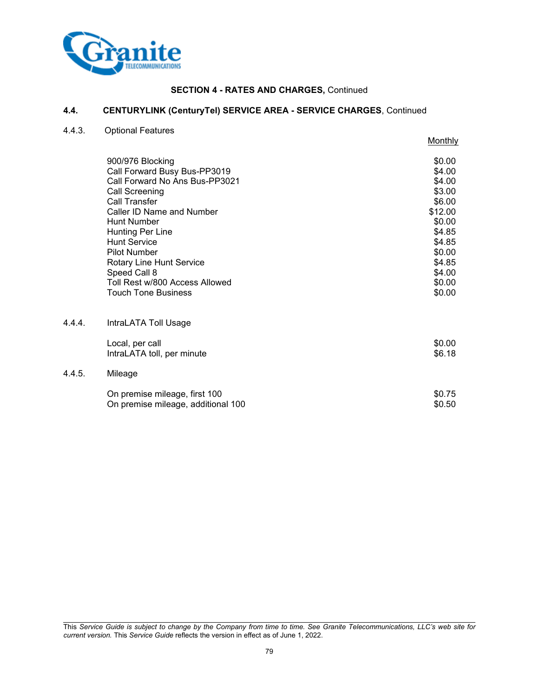

# **4.4. CENTURYLINK (CenturyTel) SERVICE AREA - SERVICE CHARGES**, Continued

4.4.3. Optional Features

 $4.4.4.$ 

 $4.4.5.$ 

|                                    | <b>Monthly</b> |
|------------------------------------|----------------|
| 900/976 Blocking                   | \$0.00         |
| Call Forward Busy Bus-PP3019       | \$4.00         |
| Call Forward No Ans Bus-PP3021     | \$4.00         |
| Call Screening                     | \$3.00         |
| Call Transfer                      | \$6.00         |
| Caller ID Name and Number          | \$12.00        |
| Hunt Number                        | \$0.00         |
| <b>Hunting Per Line</b>            | \$4.85         |
| <b>Hunt Service</b>                | \$4.85         |
| <b>Pilot Number</b>                | \$0.00         |
| Rotary Line Hunt Service           | \$4.85         |
| Speed Call 8                       | \$4.00         |
| Toll Rest w/800 Access Allowed     | \$0.00         |
| <b>Touch Tone Business</b>         | \$0.00         |
| IntraLATA Toll Usage               |                |
| Local, per call                    | \$0.00         |
| IntraLATA toll, per minute         | \$6.18         |
| Mileage                            |                |
| On premise mileage, first 100      | \$0.75         |
| On premise mileage, additional 100 | \$0.50         |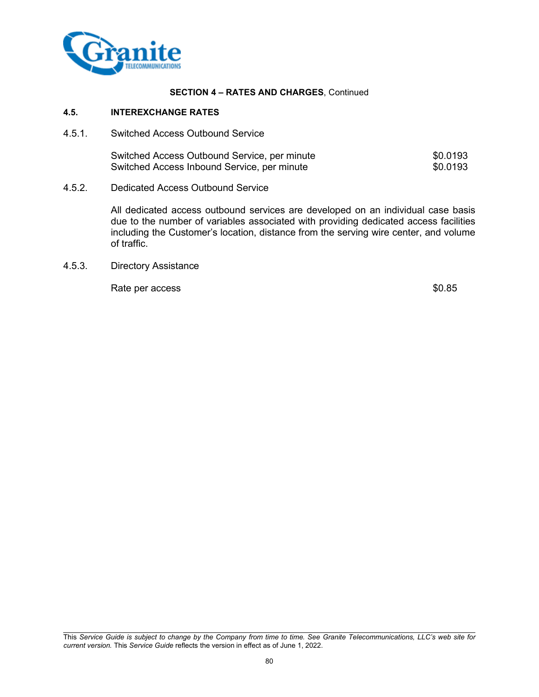

## **4.5. INTEREXCHANGE RATES**

4.5.1. Switched Access Outbound Service

| Switched Access Outbound Service, per minute | \$0.0193 |
|----------------------------------------------|----------|
| Switched Access Inbound Service, per minute  | \$0.0193 |

4.5.2. Dedicated Access Outbound Service

All dedicated access outbound services are developed on an individual case basis due to the number of variables associated with providing dedicated access facilities including the Customer's location, distance from the serving wire center, and volume of traffic.

4.5.3. Directory Assistance

Rate per access  $$0.85$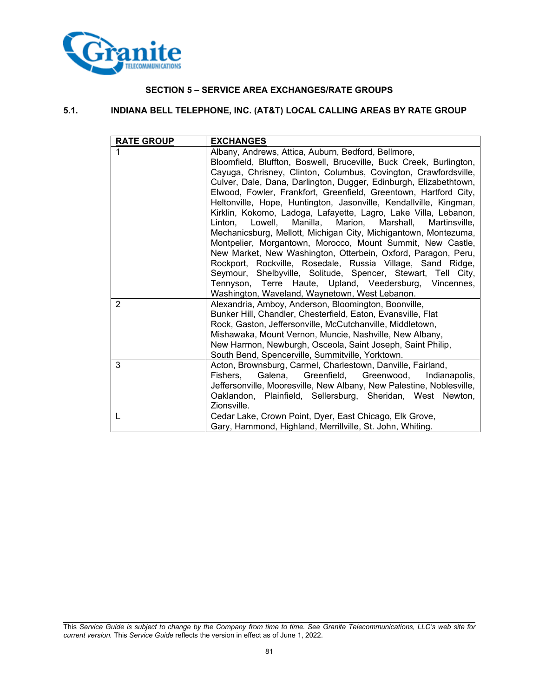

## **SECTION 5 – SERVICE AREA EXCHANGES/RATE GROUPS**

## **5.1. INDIANA BELL TELEPHONE, INC. (AT&T) LOCAL CALLING AREAS BY RATE GROUP**

| <b>RATE GROUP</b> | <b>EXCHANGES</b>                                                                                                              |
|-------------------|-------------------------------------------------------------------------------------------------------------------------------|
|                   | Albany, Andrews, Attica, Auburn, Bedford, Bellmore,                                                                           |
|                   | Bloomfield, Bluffton, Boswell, Bruceville, Buck Creek, Burlington,                                                            |
|                   | Cayuga, Chrisney, Clinton, Columbus, Covington, Crawfordsville,                                                               |
|                   | Culver, Dale, Dana, Darlington, Dugger, Edinburgh, Elizabethtown,                                                             |
|                   | Elwood, Fowler, Frankfort, Greenfield, Greentown, Hartford City,                                                              |
|                   | Heltonville, Hope, Huntington, Jasonville, Kendallville, Kingman,                                                             |
|                   | Kirklin, Kokomo, Ladoga, Lafayette, Lagro, Lake Villa, Lebanon,                                                               |
|                   | Manilla,<br>Marion,<br>Marshall,<br>Linton.<br>Lowell,<br>Martinsville.                                                       |
|                   | Mechanicsburg, Mellott, Michigan City, Michigantown, Montezuma,<br>Montpelier, Morgantown, Morocco, Mount Summit, New Castle, |
|                   | New Market, New Washington, Otterbein, Oxford, Paragon, Peru,                                                                 |
|                   | Rockport, Rockville, Rosedale, Russia Village, Sand Ridge,                                                                    |
|                   | Seymour, Shelbyville, Solitude, Spencer, Stewart, Tell City,                                                                  |
|                   | Tennyson, Terre Haute, Upland, Veedersburg, Vincennes,                                                                        |
|                   | Washington, Waveland, Waynetown, West Lebanon.                                                                                |
| $\overline{2}$    | Alexandria, Amboy, Anderson, Bloomington, Boonville,                                                                          |
|                   | Bunker Hill, Chandler, Chesterfield, Eaton, Evansville, Flat                                                                  |
|                   | Rock, Gaston, Jeffersonville, McCutchanville, Middletown,                                                                     |
|                   | Mishawaka, Mount Vernon, Muncie, Nashville, New Albany,                                                                       |
|                   | New Harmon, Newburgh, Osceola, Saint Joseph, Saint Philip,                                                                    |
| 3                 | South Bend, Spencerville, Summitville, Yorktown.<br>Acton, Brownsburg, Carmel, Charlestown, Danville, Fairland,               |
|                   | Galena, Greenfield, Greenwood, Indianapolis,<br>Fishers,                                                                      |
|                   | Jeffersonville, Mooresville, New Albany, New Palestine, Noblesville,                                                          |
|                   | Oaklandon, Plainfield, Sellersburg, Sheridan, West Newton,                                                                    |
|                   | Zionsville.                                                                                                                   |
| L                 | Cedar Lake, Crown Point, Dyer, East Chicago, Elk Grove,                                                                       |
|                   | Gary, Hammond, Highland, Merrillville, St. John, Whiting.                                                                     |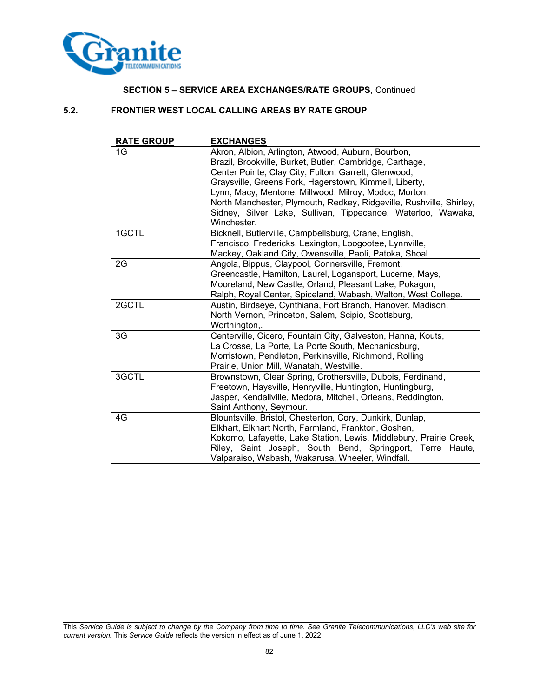

## **SECTION 5 – SERVICE AREA EXCHANGES/RATE GROUPS**, Continued

## **5.2. FRONTIER WEST LOCAL CALLING AREAS BY RATE GROUP**

| <b>RATE GROUP</b> | <b>EXCHANGES</b>                                                    |
|-------------------|---------------------------------------------------------------------|
| 1G                | Akron, Albion, Arlington, Atwood, Auburn, Bourbon,                  |
|                   | Brazil, Brookville, Burket, Butler, Cambridge, Carthage,            |
|                   | Center Pointe, Clay City, Fulton, Garrett, Glenwood,                |
|                   | Graysville, Greens Fork, Hagerstown, Kimmell, Liberty,              |
|                   | Lynn, Macy, Mentone, Millwood, Milroy, Modoc, Morton,               |
|                   | North Manchester, Plymouth, Redkey, Ridgeville, Rushville, Shirley, |
|                   | Sidney, Silver Lake, Sullivan, Tippecanoe, Waterloo, Wawaka,        |
|                   | Winchester.                                                         |
| 1GCTL             | Bicknell, Butlerville, Campbellsburg, Crane, English,               |
|                   | Francisco, Fredericks, Lexington, Loogootee, Lynnville,             |
|                   | Mackey, Oakland City, Owensville, Paoli, Patoka, Shoal.             |
| 2G                | Angola, Bippus, Claypool, Connersville, Fremont,                    |
|                   | Greencastle, Hamilton, Laurel, Logansport, Lucerne, Mays,           |
|                   | Mooreland, New Castle, Orland, Pleasant Lake, Pokagon,              |
|                   | Ralph, Royal Center, Spiceland, Wabash, Walton, West College.       |
| 2GCTL             | Austin, Birdseye, Cynthiana, Fort Branch, Hanover, Madison,         |
|                   | North Vernon, Princeton, Salem, Scipio, Scottsburg,                 |
|                   | Worthington,.                                                       |
| 3G                | Centerville, Cicero, Fountain City, Galveston, Hanna, Kouts,        |
|                   | La Crosse, La Porte, La Porte South, Mechanicsburg,                 |
|                   | Morristown, Pendleton, Perkinsville, Richmond, Rolling              |
|                   | Prairie, Union Mill, Wanatah, Westville.                            |
| 3GCTL             | Brownstown, Clear Spring, Crothersville, Dubois, Ferdinand,         |
|                   | Freetown, Haysville, Henryville, Huntington, Huntingburg,           |
|                   | Jasper, Kendallville, Medora, Mitchell, Orleans, Reddington,        |
|                   | Saint Anthony, Seymour.                                             |
| 4G                | Blountsville, Bristol, Chesterton, Cory, Dunkirk, Dunlap,           |
|                   | Elkhart, Elkhart North, Farmland, Frankton, Goshen,                 |
|                   | Kokomo, Lafayette, Lake Station, Lewis, Middlebury, Prairie Creek,  |
|                   | Riley, Saint Joseph, South Bend, Springport, Terre Haute,           |
|                   | Valparaiso, Wabash, Wakarusa, Wheeler, Windfall.                    |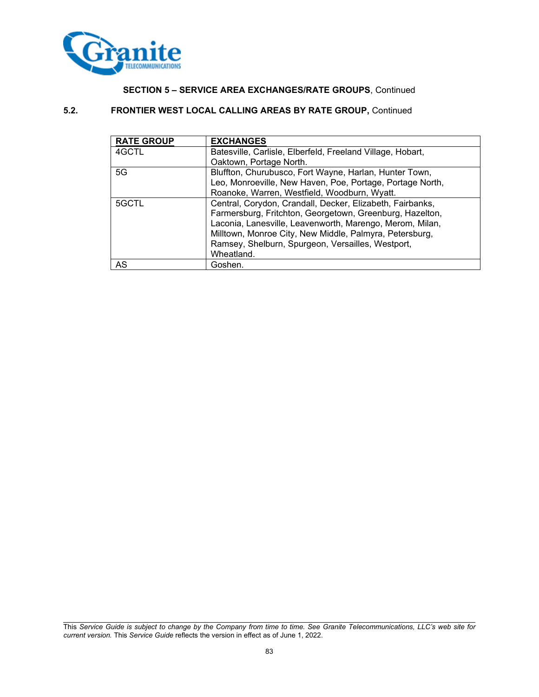

## **SECTION 5 – SERVICE AREA EXCHANGES/RATE GROUPS**, Continued

## **5.2. FRONTIER WEST LOCAL CALLING AREAS BY RATE GROUP,** Continued

| <b>RATE GROUP</b> | <b>EXCHANGES</b>                                           |
|-------------------|------------------------------------------------------------|
| 4GCTL             | Batesville, Carlisle, Elberfeld, Freeland Village, Hobart, |
|                   | Oaktown, Portage North.                                    |
| 5G                | Bluffton, Churubusco, Fort Wayne, Harlan, Hunter Town,     |
|                   | Leo, Monroeville, New Haven, Poe, Portage, Portage North,  |
|                   | Roanoke, Warren, Westfield, Woodburn, Wyatt.               |
| 5GCTL             | Central, Corydon, Crandall, Decker, Elizabeth, Fairbanks,  |
|                   | Farmersburg, Fritchton, Georgetown, Greenburg, Hazelton,   |
|                   | Laconia, Lanesville, Leavenworth, Marengo, Merom, Milan,   |
|                   | Milltown, Monroe City, New Middle, Palmyra, Petersburg,    |
|                   | Ramsey, Shelburn, Spurgeon, Versailles, Westport,          |
|                   | Wheatland.                                                 |
| AS                | Goshen.                                                    |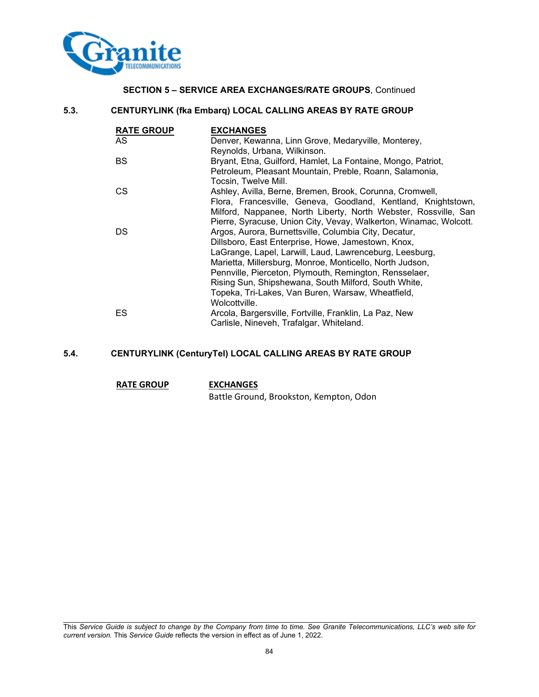

## **SECTION 5 – SERVICE AREA EXCHANGES/RATE GROUPS**, Continued

## **5.3. CENTURYLINK (fka Embarq) LOCAL CALLING AREAS BY RATE GROUP**

| <b>RATE GROUP</b> | <b>EXCHANGES</b>                                                  |
|-------------------|-------------------------------------------------------------------|
| AS                | Denver, Kewanna, Linn Grove, Medaryville, Monterey,               |
|                   | Reynolds, Urbana, Wilkinson.                                      |
| BS                | Bryant, Etna, Guilford, Hamlet, La Fontaine, Mongo, Patriot,      |
|                   | Petroleum, Pleasant Mountain, Preble, Roann, Salamonia,           |
|                   | Tocsin, Twelve Mill.                                              |
| CS                | Ashley, Avilla, Berne, Bremen, Brook, Corunna, Cromwell,          |
|                   | Flora, Francesville, Geneva, Goodland, Kentland, Knightstown,     |
|                   | Milford, Nappanee, North Liberty, North Webster, Rossville, San   |
|                   | Pierre, Syracuse, Union City, Vevay, Walkerton, Winamac, Wolcott. |
| DS                | Argos, Aurora, Burnettsville, Columbia City, Decatur,             |
|                   | Dillsboro, East Enterprise, Howe, Jamestown, Knox,                |
|                   | LaGrange, Lapel, Larwill, Laud, Lawrenceburg, Leesburg,           |
|                   | Marietta, Millersburg, Monroe, Monticello, North Judson,          |
|                   | Pennville, Pierceton, Plymouth, Remington, Rensselaer,            |
|                   | Rising Sun, Shipshewana, South Milford, South White,              |
|                   | Topeka, Tri-Lakes, Van Buren, Warsaw, Wheatfield,                 |
|                   | Wolcottville.                                                     |
| ES                | Arcola, Bargersville, Fortville, Franklin, La Paz, New            |
|                   | Carlisle, Nineveh, Trafalgar, Whiteland.                          |

## **5.4. CENTURYLINK (CenturyTel) LOCAL CALLING AREAS BY RATE GROUP**

#### **RATE GROUP EXCHANGES**

Battle Ground, Brookston, Kempton, Odon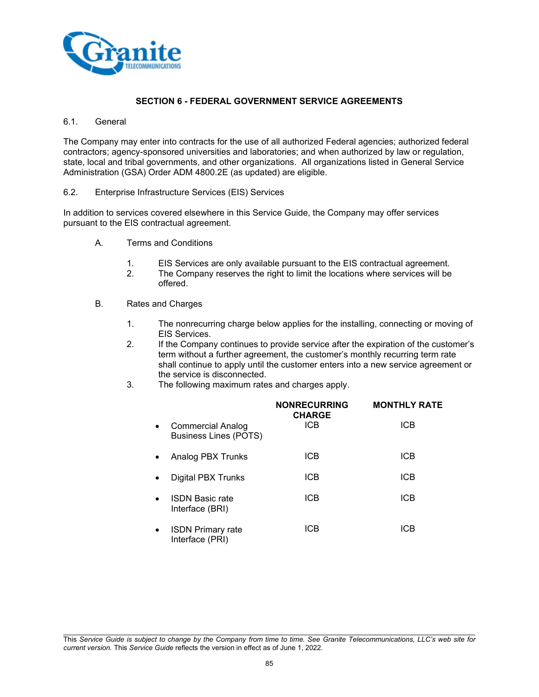

## **SECTION 6 - FEDERAL GOVERNMENT SERVICE AGREEMENTS**

#### 6.1. General

The Company may enter into contracts for the use of all authorized Federal agencies; authorized federal contractors; agency-sponsored universities and laboratories; and when authorized by law or regulation, state, local and tribal governments, and other organizations. All organizations listed in General Service Administration (GSA) Order ADM 4800.2E (as updated) are eligible.

#### 6.2. Enterprise Infrastructure Services (EIS) Services

In addition to services covered elsewhere in this Service Guide, the Company may offer services pursuant to the EIS contractual agreement.

- A. Terms and Conditions
	- 1. EIS Services are only available pursuant to the EIS contractual agreement.
	- 2. The Company reserves the right to limit the locations where services will be offered.
- B. Rates and Charges
	- 1. The nonrecurring charge below applies for the installing, connecting or moving of EIS Services.
	- 2. If the Company continues to provide service after the expiration of the customer's term without a further agreement, the customer's monthly recurring term rate shall continue to apply until the customer enters into a new service agreement or the service is disconnected.
	- 3. The following maximum rates and charges apply.

|           |                                                          | <b>NONRECURRING</b><br><b>CHARGE</b> | <b>MONTHLY RATE</b> |
|-----------|----------------------------------------------------------|--------------------------------------|---------------------|
| $\bullet$ | <b>Commercial Analog</b><br><b>Business Lines (POTS)</b> | <b>ICB</b>                           | <b>ICB</b>          |
|           | Analog PBX Trunks                                        | <b>ICB</b>                           | <b>ICB</b>          |
|           | Digital PBX Trunks                                       | ICB                                  | <b>ICB</b>          |
|           | <b>ISDN Basic rate</b><br>Interface (BRI)                | <b>ICB</b>                           | <b>ICB</b>          |
| $\bullet$ | <b>ISDN Primary rate</b><br>Interface (PRI)              | ICB                                  | ICB                 |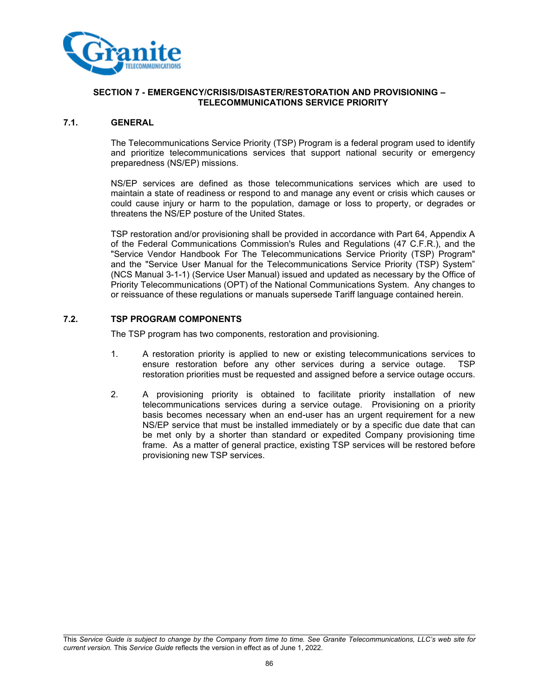

#### **7.1. GENERAL**

The Telecommunications Service Priority (TSP) Program is a federal program used to identify and prioritize telecommunications services that support national security or emergency preparedness (NS/EP) missions.

NS/EP services are defined as those telecommunications services which are used to maintain a state of readiness or respond to and manage any event or crisis which causes or could cause injury or harm to the population, damage or loss to property, or degrades or threatens the NS/EP posture of the United States.

TSP restoration and/or provisioning shall be provided in accordance with Part 64, Appendix A of the Federal Communications Commission's Rules and Regulations (47 C.F.R.), and the "Service Vendor Handbook For The Telecommunications Service Priority (TSP) Program" and the "Service User Manual for the Telecommunications Service Priority (TSP) System" (NCS Manual 3-1-1) (Service User Manual) issued and updated as necessary by the Office of Priority Telecommunications (OPT) of the National Communications System. Any changes to or reissuance of these regulations or manuals supersede Tariff language contained herein.

## **7.2. TSP PROGRAM COMPONENTS**

The TSP program has two components, restoration and provisioning.

- 1. A restoration priority is applied to new or existing telecommunications services to ensure restoration before any other services during a service outage. TSP restoration priorities must be requested and assigned before a service outage occurs.
- 2. A provisioning priority is obtained to facilitate priority installation of new telecommunications services during a service outage. Provisioning on a priority basis becomes necessary when an end-user has an urgent requirement for a new NS/EP service that must be installed immediately or by a specific due date that can be met only by a shorter than standard or expedited Company provisioning time frame. As a matter of general practice, existing TSP services will be restored before provisioning new TSP services.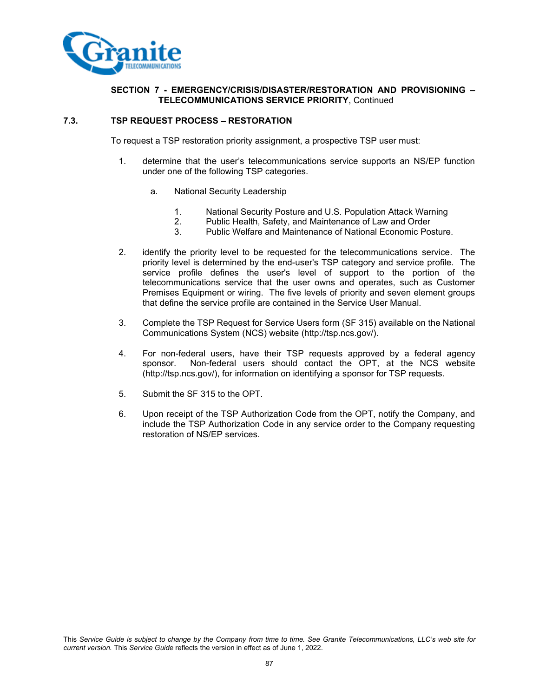

## **7.3. TSP REQUEST PROCESS – RESTORATION**

To request a TSP restoration priority assignment, a prospective TSP user must:

- 1. determine that the user's telecommunications service supports an NS/EP function under one of the following TSP categories.
	- a. National Security Leadership
		- 1. National Security Posture and U.S. Population Attack Warning
		- 2. Public Health, Safety, and Maintenance of Law and Order
		- 3. Public Welfare and Maintenance of National Economic Posture.
- 2. identify the priority level to be requested for the telecommunications service. The priority level is determined by the end-user's TSP category and service profile. The service profile defines the user's level of support to the portion of the telecommunications service that the user owns and operates, such as Customer Premises Equipment or wiring. The five levels of priority and seven element groups that define the service profile are contained in the Service User Manual.
- 3. Complete the TSP Request for Service Users form (SF 315) available on the National Communications System (NCS) website (http://tsp.ncs.gov/).
- 4. For non-federal users, have their TSP requests approved by a federal agency sponsor. Non-federal users should contact the OPT, at the NCS website (http://tsp.ncs.gov/), for information on identifying a sponsor for TSP requests.
- 5. Submit the SF 315 to the OPT.
- 6. Upon receipt of the TSP Authorization Code from the OPT, notify the Company, and include the TSP Authorization Code in any service order to the Company requesting restoration of NS/EP services.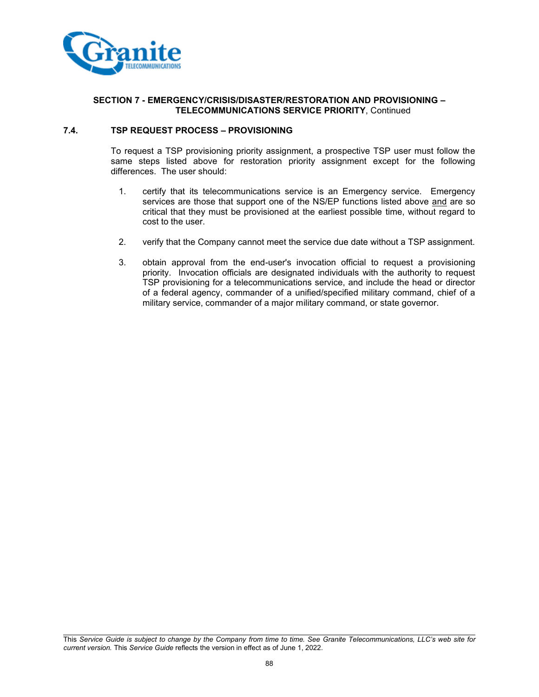

#### **7.4. TSP REQUEST PROCESS – PROVISIONING**

To request a TSP provisioning priority assignment, a prospective TSP user must follow the same steps listed above for restoration priority assignment except for the following differences. The user should:

- 1. certify that its telecommunications service is an Emergency service. Emergency services are those that support one of the NS/EP functions listed above and are so critical that they must be provisioned at the earliest possible time, without regard to cost to the user.
- 2. verify that the Company cannot meet the service due date without a TSP assignment.
- 3. obtain approval from the end-user's invocation official to request a provisioning priority. Invocation officials are designated individuals with the authority to request TSP provisioning for a telecommunications service, and include the head or director of a federal agency, commander of a unified/specified military command, chief of a military service, commander of a major military command, or state governor.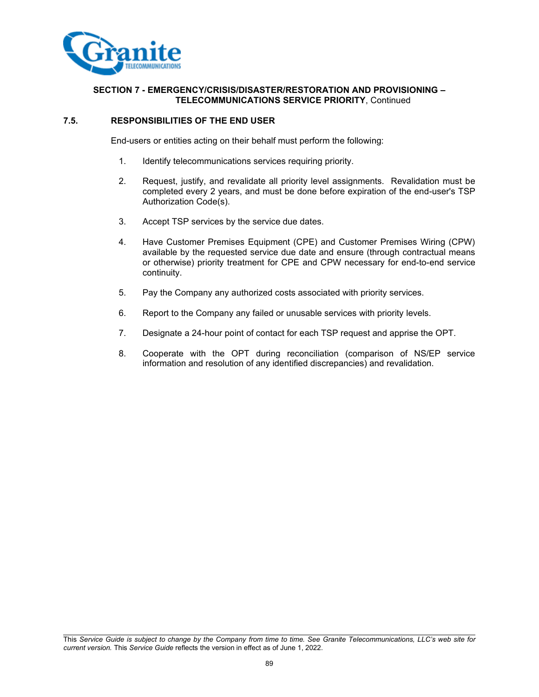

#### **7.5. RESPONSIBILITIES OF THE END USER**

End-users or entities acting on their behalf must perform the following:

- 1. Identify telecommunications services requiring priority.
- 2. Request, justify, and revalidate all priority level assignments. Revalidation must be completed every 2 years, and must be done before expiration of the end-user's TSP Authorization Code(s).
- 3. Accept TSP services by the service due dates.
- 4. Have Customer Premises Equipment (CPE) and Customer Premises Wiring (CPW) available by the requested service due date and ensure (through contractual means or otherwise) priority treatment for CPE and CPW necessary for end-to-end service continuity.
- 5. Pay the Company any authorized costs associated with priority services.
- 6. Report to the Company any failed or unusable services with priority levels.
- 7. Designate a 24-hour point of contact for each TSP request and apprise the OPT.
- 8. Cooperate with the OPT during reconciliation (comparison of NS/EP service information and resolution of any identified discrepancies) and revalidation.

This *Service Guide is subject to change by the Company from time to time. See Granite Telecommunications, LLC's web site for current version.* This *Service Guide* reflects the version in effect as of June 1, 2022.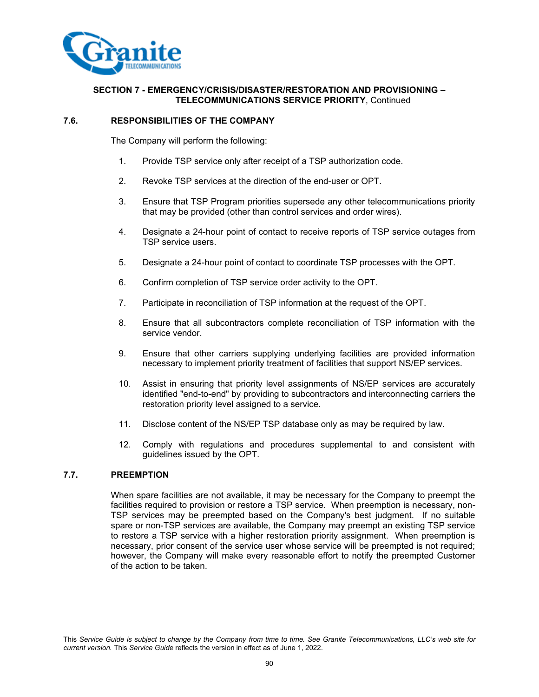

#### **7.6. RESPONSIBILITIES OF THE COMPANY**

The Company will perform the following:

- 1. Provide TSP service only after receipt of a TSP authorization code.
- 2. Revoke TSP services at the direction of the end-user or OPT.
- 3. Ensure that TSP Program priorities supersede any other telecommunications priority that may be provided (other than control services and order wires).
- 4. Designate a 24-hour point of contact to receive reports of TSP service outages from TSP service users.
- 5. Designate a 24-hour point of contact to coordinate TSP processes with the OPT.
- 6. Confirm completion of TSP service order activity to the OPT.
- 7. Participate in reconciliation of TSP information at the request of the OPT.
- 8. Ensure that all subcontractors complete reconciliation of TSP information with the service vendor.
- 9. Ensure that other carriers supplying underlying facilities are provided information necessary to implement priority treatment of facilities that support NS/EP services.
- 10. Assist in ensuring that priority level assignments of NS/EP services are accurately identified "end-to-end" by providing to subcontractors and interconnecting carriers the restoration priority level assigned to a service.
- 11. Disclose content of the NS/EP TSP database only as may be required by law.
- 12. Comply with regulations and procedures supplemental to and consistent with guidelines issued by the OPT.

#### **7.7. PREEMPTION**

When spare facilities are not available, it may be necessary for the Company to preempt the facilities required to provision or restore a TSP service. When preemption is necessary, non-TSP services may be preempted based on the Company's best judgment. If no suitable spare or non-TSP services are available, the Company may preempt an existing TSP service to restore a TSP service with a higher restoration priority assignment. When preemption is necessary, prior consent of the service user whose service will be preempted is not required; however, the Company will make every reasonable effort to notify the preempted Customer of the action to be taken.

This *Service Guide is subject to change by the Company from time to time. See Granite Telecommunications, LLC's web site for current version.* This *Service Guide* reflects the version in effect as of June 1, 2022.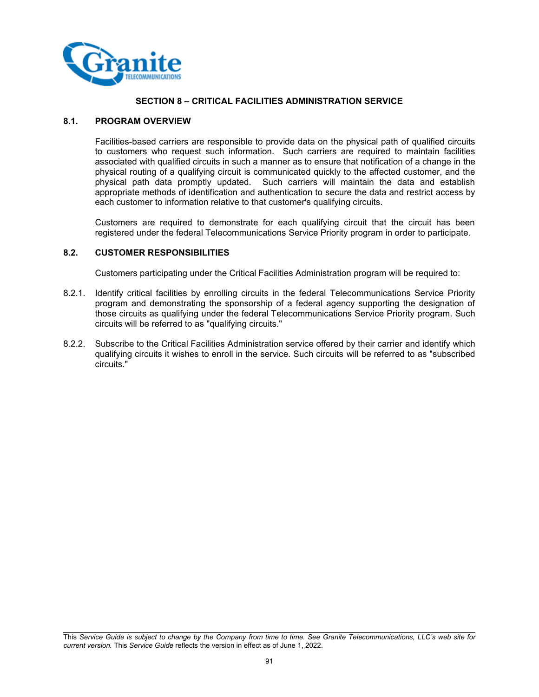

## **SECTION 8 – CRITICAL FACILITIES ADMINISTRATION SERVICE**

#### **8.1. PROGRAM OVERVIEW**

Facilities-based carriers are responsible to provide data on the physical path of qualified circuits to customers who request such information. Such carriers are required to maintain facilities associated with qualified circuits in such a manner as to ensure that notification of a change in the physical routing of a qualifying circuit is communicated quickly to the affected customer, and the physical path data promptly updated. Such carriers will maintain the data and establish appropriate methods of identification and authentication to secure the data and restrict access by each customer to information relative to that customer's qualifying circuits.

Customers are required to demonstrate for each qualifying circuit that the circuit has been registered under the federal Telecommunications Service Priority program in order to participate.

#### **8.2. CUSTOMER RESPONSIBILITIES**

Customers participating under the Critical Facilities Administration program will be required to:

- 8.2.1. Identify critical facilities by enrolling circuits in the federal Telecommunications Service Priority program and demonstrating the sponsorship of a federal agency supporting the designation of those circuits as qualifying under the federal Telecommunications Service Priority program. Such circuits will be referred to as "qualifying circuits."
- 8.2.2. Subscribe to the Critical Facilities Administration service offered by their carrier and identify which qualifying circuits it wishes to enroll in the service. Such circuits will be referred to as "subscribed circuits."